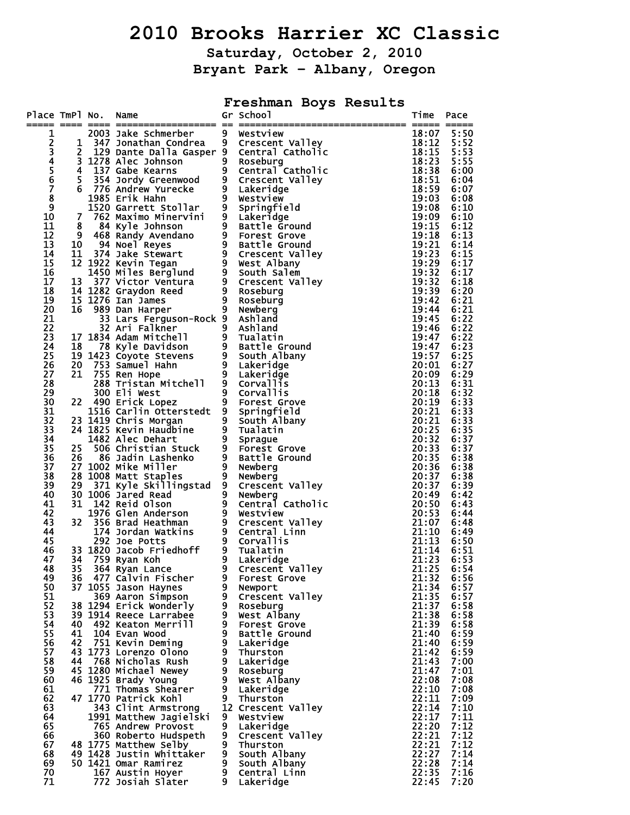# **2010 Brooks Harrier XC Classic**

**Saturday, October 2, 2010 Bryant Park – Albany, Oregon** 

**Freshman Boys Results** 

| Place TmPl No.          |                | Name                                                                                                                                                                                                        |                                  | Gr School                    | Time           | Pace         |
|-------------------------|----------------|-------------------------------------------------------------------------------------------------------------------------------------------------------------------------------------------------------------|----------------------------------|------------------------------|----------------|--------------|
| 1                       |                | 2003 Jake Schmerber                                                                                                                                                                                         | 9                                | Westview                     | 18:07          | 5:50         |
| $\overline{\mathbf{c}}$ | 1              | 347 Jonathan Condrea                                                                                                                                                                                        | 9                                | Crescent Valley              | 18:12          | 5:52         |
| 3                       | $\overline{2}$ | 129 Dante Dalla Gasper 9                                                                                                                                                                                    |                                  | Central Catholic             | 18:15          | 5:53         |
| $\overline{\bf{4}}$     |                | 3 1278 Alec Johnson                                                                                                                                                                                         | 9 <sub>1</sub>                   | Roseburg                     | 18:23          | 5:55         |
| $\frac{5}{6}$           | 4              | 137 Gabe Kearns                                                                                                                                                                                             | 9                                | Central Catholic             | 18:38          | 6:00         |
|                         | 5              | 354 Jordy Greenwood                                                                                                                                                                                         | 9                                | Crescent Valley              | 18:51          | 6:04         |
| Ž<br>$\bar{8}$          | 6              | 776 Andrew Yurecke<br>1985 Erik Hahn                                                                                                                                                                        | $\overline{9}$                   | Lakeridge<br>Westview        | 18:59<br>19:03 | 6:07<br>6:08 |
| 9                       |                | 1520 Garrett Stollar                                                                                                                                                                                        | $\overline{9}$                   | Springfield                  | 19:08          | 6:10         |
| 10                      | 7              | 762 Maximo Minervini                                                                                                                                                                                        |                                  | Lakeridge                    | 19:09          | 6:10         |
| 11                      | 8              | 84 Kyle Johnson                                                                                                                                                                                             | $\frac{9}{9}$                    | Battle Ground                | 19:15          | 6:12         |
| 12                      |                | 9 468 Randy Avendano<br>9 468 Randy Avendano<br>10 94 Noel Reyes<br>11 374 Jake Stewart<br>12 1922 Kevin Tegan<br>1450 Miles Berglund<br>13 377 Victor Ventura<br>14 1282 Graydon Reed<br>15 1276 Ian James |                                  | <b>Forest Grove</b>          | 19:18          | 6:13         |
| 13                      |                |                                                                                                                                                                                                             |                                  | Battle Ground                | 19:21          | 6:14         |
| 14                      |                |                                                                                                                                                                                                             |                                  | Crescent Valley              | 19:23          | 6:15         |
| 15<br>16                |                |                                                                                                                                                                                                             |                                  | West Albany<br>South Salem   | 19:29<br>19:32 | 6:17<br>6:17 |
| 17                      |                |                                                                                                                                                                                                             | 9 <sub>o</sub>                   | Crescent Valley              | 19:32          | 6:18         |
| 18                      |                |                                                                                                                                                                                                             |                                  | Roseburg                     | 19:39          | 6:20         |
| 19                      |                |                                                                                                                                                                                                             |                                  | Roseburg                     | 19:42          | 6:21         |
| 20                      | 16             | 989 Dan Harper                                                                                                                                                                                              | 9 <sub>o</sub>                   | Newberg                      | 19:44          | 6:21         |
| 21                      |                | 33 Lars Ferguson-Rock 9                                                                                                                                                                                     |                                  | Ashland                      | 19:45          | 6:22         |
| 22                      |                | 32 Ari Falkner                                                                                                                                                                                              | 9                                | Ashland                      | 19:46          | 6:22         |
| 23<br>24                |                | 32 Arl Faikner<br>17 1834 Adam Mitchell<br>18 78 Kyle Davidson<br>19 1423 Coyote Stevens<br>20 753 Samuel Hahn<br>21 755 Ren Hope                                                                           |                                  | Tualatin<br>Battle Ground    | 19:47<br>19:47 | 6:22<br>6:23 |
| 25                      |                |                                                                                                                                                                                                             |                                  | South Albany                 | 19:57          | 6:25         |
| 26                      |                |                                                                                                                                                                                                             |                                  | Lakeridge                    | 20:01          | 6:27         |
| 27                      | 21             | 755 Ren Hope                                                                                                                                                                                                | 9 <sup>°</sup>                   | Lakeridge                    | 20:09          | 6:29         |
| 28                      |                | 288 Tristan Mitchell                                                                                                                                                                                        | 9                                | Corvall <sub>15</sub>        | 20:13          | 6:31         |
| 29                      |                | 300 Eli West                                                                                                                                                                                                | $\overline{9}$                   | <b>Corvallis</b>             | 20:18          | 6:32         |
| 30                      | 22             | 490 Erick Lopez                                                                                                                                                                                             | 9 <sub>o</sub>                   | Forest Grove                 | 20:19          | 6:33         |
| 31                      |                | 1516 Carlin Otterstedt 9                                                                                                                                                                                    |                                  | Springfield                  | 20:21          | 6:33         |
| 32<br>33                |                | 23 1419 Chris Morgan                                                                                                                                                                                        | 9 <sub>o</sub><br>$\overline{9}$ | South Albany                 | 20:21<br>20:25 | 6:33<br>6:35 |
| 34                      |                | 23 1419 Chris Morgan<br>24 1825 Kevin Haudbine<br>1482 Alec Debart<br>1482 Alec Dehart                                                                                                                      | $9\phantom{.0}$                  | Tualatin<br>Sprague          | 20:32          | 6:37         |
| 35                      | 25             | -506 Alec Denart<br>506 Christian Stuck<br>06 Jadin Lashenko<br>002 Mike Miller                                                                                                                             | 9                                | Forest Grove                 | 20:33          | 6:37         |
| 36                      | 26             |                                                                                                                                                                                                             | $\overline{9}$                   | Battle Ground                | 20:35          | 6:38         |
| 37                      |                | 27 1002 Mike Miller                                                                                                                                                                                         | $\overline{9}$                   | Newberg                      | 20:36          | 6:38         |
| 38                      |                | 28 1008 Matt Staples<br>29 371 Kyle Skillingstad 9                                                                                                                                                          |                                  | Newberg                      | 20:37          | 6:38         |
| 39                      |                |                                                                                                                                                                                                             |                                  | Crescent Valley              | 20:37          | 6:39         |
| 40<br>41                |                | 30 1006 Jared Read                                                                                                                                                                                          | $\frac{9}{9}$                    | Newberg                      | 20:49          | 6:42         |
| 42                      | 31             | 1006 Jared Read<br>142 Reid Olson<br>1976 Glen Anderson<br>356 Brad Heathman<br>174 Jordan Watkins<br>292 Joe Potts                                                                                         |                                  | Central Catholic<br>Westview | 20:50<br>20:53 | 6:43<br>6:44 |
| 43                      | 32             |                                                                                                                                                                                                             | 9 <sub>o</sub>                   | Crescent Valley              | 21:07          | 6:48         |
| 44                      |                |                                                                                                                                                                                                             |                                  | Central Linn                 | 21:10          | 6:49         |
| 45                      |                | 292 Joe Potts                                                                                                                                                                                               | 9 <sub>o</sub>                   | <b>Corvallis</b>             | 21:13          | 6:50         |
| 46                      |                | 33 1820 Jacob Friedhoff<br>34 759 Byan Kob                                                                                                                                                                  | $9^{\circ}$                      | Tualatin                     | 21:14          | 6:51         |
| 47                      | 34             | 759 Ryan Koh                                                                                                                                                                                                | $\overline{9}$                   | Lakeridge                    | 21:23          | 6:53         |
| 48<br>49                | 35             | 364 Ryan Lance                                                                                                                                                                                              | 9<br>9                           | Crescent Valley              | 21:25<br>21:32 | 6:54<br>6:56 |
| 50                      | 36             | 477 Calvin Fischer<br>37 1055 Jason Haynes                                                                                                                                                                  | 9                                | Forest Grove<br>Newport      | 21:34          | 6:57         |
| 51                      |                | 369 Aaron Simpson                                                                                                                                                                                           | 9                                | Crescent Valley              | 21:35          | 6:57         |
| 52                      |                | 38 1294 Erick Wonderly                                                                                                                                                                                      | 9                                | Roseburg                     | 21:37          | 6:58         |
| 53                      |                | 39 1914 Reece Larrabee                                                                                                                                                                                      | 9                                | West Albany                  | 21:38          | 6:58         |
| 54                      | 40             | 492 Keaton Merrill                                                                                                                                                                                          | 9                                | <b>Forest Grove</b>          | 21:39          | 6:58         |
| 55                      | 41             | 104 Evan Wood                                                                                                                                                                                               | 9                                | Battle Ground                | 21:40          | 6:59         |
| 56<br>57                | 42             | 751 Kevin Deming                                                                                                                                                                                            | 9<br>9                           | Lakeridge                    | 21:40          | 6:59         |
| 58                      |                | 43 1773 Lorenzo Olono<br>44 768 Nicholas Rush                                                                                                                                                               | 9                                | Thurston<br>Lakeridge        | 21:42<br>21:43 | 6:59<br>7:00 |
| 59                      |                | 45 1280 Michael Newey                                                                                                                                                                                       | 9                                | Roseburg                     | 21:47          | 7:01         |
| 60                      |                | 46 1925 Brady Young                                                                                                                                                                                         | 9                                | West Albany                  | 22:08          | 7:08         |
| 61                      |                | 771 Thomas Shearer                                                                                                                                                                                          | 9                                | Lakeridge                    | 22:10          | 7:08         |
| 62                      |                | 47 1770 Patrick Kohl                                                                                                                                                                                        | 9                                | Thurston                     | 22:11          | 7:09         |
| 63                      |                | 343 Clint Armstrong                                                                                                                                                                                         |                                  | 12 Crescent Valley           | 22:14          | 7:10         |
| 64<br>65                |                | 1991 Matthew Jagielski                                                                                                                                                                                      | 9.<br>9                          | Westview                     | 22:17          | 7:11<br>7:12 |
| 66                      |                | 765 Andrew Provost<br>360 Roberto Hudspeth                                                                                                                                                                  | 9                                | Lakeridge<br>Crescent Valley | 22:20<br>22:21 | 7:12         |
| 67                      |                | 48 1775 Matthew Selby                                                                                                                                                                                       | 9                                | Thurston                     | 22:21          | 7:12         |
| 68                      |                | 49 1428 Justin Whittaker                                                                                                                                                                                    | 9                                | South Albany                 | 22:27          | 7:14         |
| 69                      |                | 50 1421 Omar Ramirez                                                                                                                                                                                        | 9                                | South Albany                 | 22:28          | 7:14         |
| 70                      |                | 167 Austin Hoyer                                                                                                                                                                                            | 9                                | Central Linn                 | 22:35          | 7:16         |
| 71                      |                | 772 Josiah Slater                                                                                                                                                                                           | 9                                | Lakeridge                    | 22:45          | 7:20         |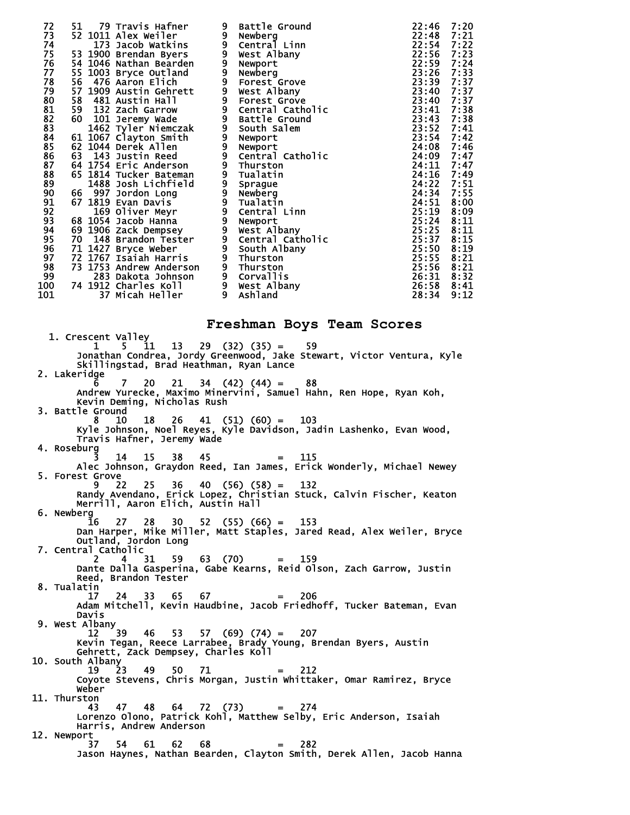| 72                               | 51 | 79 Travis Hafner                               | 9 | Battle Ground                                                                                                                              | 22:46      | 7:20 |
|----------------------------------|----|------------------------------------------------|---|--------------------------------------------------------------------------------------------------------------------------------------------|------------|------|
| 73                               |    | 52 1011 Alex Weiler                            |   | 9 Newberg                                                                                                                                  | 22:48      | 7:21 |
| 74                               |    | 173 Jacob Watkins                              |   |                                                                                                                                            | 22:54 7:22 |      |
| 75                               |    | 53 1900 Brendan Byers                          |   | 9 Central Linn<br>9 West Albany                                                                                                            | 22:56      | 7:23 |
| 76<br>77                         |    | 54 1046 Nathan Bearden                         |   | 9 Newport<br>9 Newberg<br>9 Forest Grove                                                                                                   | 22:59      | 7:24 |
|                                  |    | 55 1003 Bryce Outland                          |   |                                                                                                                                            | 23:26      | 7:33 |
| 78                               |    | 56 476 Aaron Elich                             |   |                                                                                                                                            | 23:39      | 7:37 |
| 79                               |    | 57 1909 Austin Gehrett                         |   | 9 West Albany                                                                                                                              | 23:40      | 7:37 |
| 80                               |    | 58 481 Austin Hall                             |   | 9 Forest Grove<br>9 Central Catholic                                                                                                       | 23:40      | 7:37 |
| $\frac{81}{82}$                  |    | 59 132 Zach Garrow                             |   |                                                                                                                                            | 23:41      | 7:38 |
|                                  |    | 60 101 Jeremy Wade                             |   | 9 Battle Ground                                                                                                                            | 23:43 7:38 |      |
| 83                               |    | 1462 Tyler Niemczak                            |   | 9 South Salem<br>9 Newport<br>9 Newport<br>9 Central Catholic                                                                              | 23:52 7:41 |      |
| 84<br>85<br>86<br>87<br>88<br>89 |    | 61 1067 Clayton Smith                          |   |                                                                                                                                            | 23:54      | 7:42 |
|                                  |    | 62 1044 Derek Allen                            |   |                                                                                                                                            | 24:08      | 7:46 |
|                                  |    | 63 143 Justin Reed                             |   |                                                                                                                                            | 24:09      | 7:47 |
|                                  |    | <b>64 1754 Eric Anderson</b>                   |   | e central catho<br>9 Thurston<br>9 Tualatin<br>9 Tualatin<br>9 Tualatin<br>9 Central Linn<br>9 Wewport<br>9 West Albany<br>6 Central Catho | 24:11      | 7:47 |
|                                  |    | 65 1814 Tucker Bateman                         |   |                                                                                                                                            | 24:16 7:49 |      |
|                                  |    | 1488 Josh Lichfield                            |   |                                                                                                                                            | 24:22      | 7:51 |
| 90                               |    | 66 997 Jordon Long                             |   |                                                                                                                                            | 24:34      | 7:55 |
| 91                               |    | 67 1819 Evan Davis                             |   |                                                                                                                                            | 24:51      | 8:00 |
| 92                               |    | 169 Oliver Meyr                                |   |                                                                                                                                            | 25:19      | 8:09 |
| 93                               |    | 68 1054 Jacob Hanna                            |   |                                                                                                                                            | 25:24      | 8:11 |
| 94                               |    | 69 1906 Zack Dempsey<br>70  148 Brandon Tester |   |                                                                                                                                            | 25:25      | 8:11 |
| 95                               |    |                                                |   | 9 Central Catholic<br>9 South Albany                                                                                                       | 25:37      | 8:15 |
| 96                               |    | 71 1427 Bryce Weber                            |   |                                                                                                                                            | 25:50      | 8:19 |
| 97                               |    | 72 1767 Isaiah Harris                          |   | 9 Thurston                                                                                                                                 | 25:55 8:21 |      |
| 98                               |    | 73 1753 Andrew Anderson                        |   |                                                                                                                                            | 25:56      | 8:21 |
| 99                               |    | 283 Dakota Johnson                             |   |                                                                                                                                            | 26:31      | 8:32 |
| 100                              |    | 74 1912 Charles Koll                           |   | 9 Thurston<br>9 Corvallis<br>9 West Albany                                                                                                 | 26:58      | 8:41 |
| 101                              |    | 37 Micah Heller                                | 9 | Ashland                                                                                                                                    | 28:34      | 9:12 |
|                                  |    |                                                |   |                                                                                                                                            |            |      |

#### **Freshman Boys Team Scores**

 1. Crescent Valley  $1 \quad 5 \quad 11 \quad 13 \quad 29 \quad (32) \quad (35) = \quad 59$  Jonathan Condrea, Jordy Greenwood, Jake Stewart, Victor Ventura, Kyle Skillingstad, Brad Heathman, Ryan Lance 2. Lakeridge 6 7 20 21 34 (42) (44) = 88 Andrew Yurecke, Maximo Minervini, Samuel Hahn, Ren Hope, Ryan Koh, Kevin Deming, Nicholas Rush 3. Battle Ground<br>8 10 8 10 18 26 41 (51) (60) = 103 Kyle Johnson, Noel Reyes, Kyle Davidson, Jadin Lashenko, Evan Wood, Travis Hafner, Jeremy Wade 4. Roseburg 3 14 15 38 45 = 115 Alec Johnson, Graydon Reed, Ian James, Erick Wonderly, Michael Newey 5. Forest Grove 9 22 25 36 40 (56) (58) = 132 Randy Avendano, Erick Lopez, Christian Stuck, Calvin Fischer, Keaton Merrill, Aaron Elich, Austin Hall 6. Newberg 16 27 28 30 52 (55) (66) = 153 Dan Harper, Mike Miller, Matt Staples, Jared Read, Alex Weiler, Bryce Outland, Jordon Long 7. Central Catholic 2 4 31 59 63 (70) = 159 Dante Dalla Gasperina, Gabe Kearns, Reid Olson, Zach Garrow, Justin Reed, Brandon Tester 8. Tualatin 17 24 33 65 67 = 206 Adam Mitchell, Kevin Haudbine, Jacob Friedhoff, Tucker Bateman, Evan Davis 9. West Albany<br>12 39 12 39 46 53 57 (69) (74) = 207 Kevin Tegan, Reece Larrabee, Brady Young, Brendan Byers, Austin Gehrett, Zack Dempsey, Charles Koll 10. South Albany 19 23 49 50 71 = 212 Coyote Stevens, Chris Morgan, Justin Whittaker, Omar Ramirez, Bryce Weber 11. Thurston 43 47 48 64 72 (73) = 274 Lorenzo Olono, Patrick Kohl, Matthew Selby, Eric Anderson, Isaiah Harris, Andrew Anderson 12. Newport  $54$   $61$   $62$   $68$   $=$   $282$ Jason Haynes, Nathan Bearden, Clayton Smith, Derek Allen, Jacob Hanna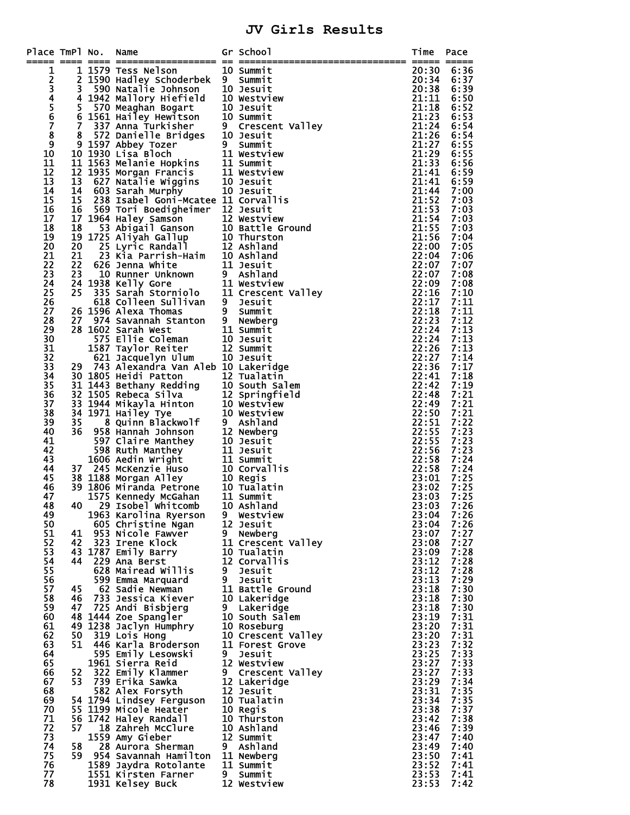### **JV Girls Results**

| Place TmPl No. |          | Name                                                                                                                               |       | Gr School<br>== ============    | Time<br>===== ===== | Pace         |
|----------------|----------|------------------------------------------------------------------------------------------------------------------------------------|-------|---------------------------------|---------------------|--------------|
|                |          | 1 1579 Tess Nelson                                                                                                                 |       | 10 Summit                       | 20:30               | 6:36         |
| 12345678       |          | 2 1590 Hadley Schoderbek                                                                                                           |       | 9 Summit                        | 20:34               | 6:37         |
|                | 3        | 590 Natalie Johnson                                                                                                                |       | 10 Jesuit                       | 20:38               | 6:39         |
|                |          | 4 1942 Mallory Hiefield                                                                                                            |       | 10 Westview                     | 21:11               | 6:50         |
|                |          | 5 570 Meaghan Bogart<br>6 1561 Hailey Hewitson<br>7 337 Anna Turkisher                                                             |       | 10 Jesuit<br>10 Summit          | 21:18<br>21:23      | 6:52<br>6:53 |
|                |          |                                                                                                                                    |       | 9 Crescent Valley               | 21:24               | 6:54         |
|                | 8        |                                                                                                                                    |       | 10 Jesuit                       | 21:26               | 6:54         |
| $\overline{9}$ |          | 572 Danielle Bridges<br>597 Abbey Tozer<br>930 Lisa Bloch<br>9 1597 Abbey Tozer                                                    |       | 9 Summit                        | 21:27               | 6:55         |
| 10             |          | 10 1930 Lisa Bloch                                                                                                                 |       | 11 Westview                     | 21:29               | 6:55         |
| 11             |          |                                                                                                                                    |       | 11 Summit                       | 21:33               | 6:56         |
| 12<br>13       |          | 10 1930 Lisa Bloch<br>11 1563 Melanie Hopkins<br>12 1935 Morgan Francis<br>13  627 Natalie Wiggins<br>14  603 Sarah_Murphy         |       | 11 Westview<br>10 Jesuit        | 21:41<br>21:41      | 6:59<br>6:59 |
| 14             |          | 603 Sarah Murphy                                                                                                                   |       | 10 Jesuit                       | 21:44               | 7:00         |
| 15             | 15       | 238 Isabel Goni-Mcatee 11 Corvallis                                                                                                |       |                                 | 21:52               | 7:03         |
| 16             | 16       | 569 Tori Boedigheimer                                                                                                              |       | 12 Jesuit                       | 21:53               | 7:03         |
| 17             | 17       | 1964 Haley Samson                                                                                                                  |       | 12 Westview                     | 21:54               | 7:03         |
| 18<br>19       | 18<br>19 |                                                                                                                                    |       | 10 Battle Ground<br>10 Thurston | 21:55<br>21:56      | 7:03<br>7:04 |
| 20             | 20       | - 53 Abigail Ganson<br>1725 Aliyah Gallup<br>25 Lyric Randall<br>23 Kia Parrish-Haim                                               |       | 12 Ashland                      | 22:00               | 7:05         |
| 21             | 21       |                                                                                                                                    |       | 10 Ashland                      | 22:04               | 7:06         |
| 22             | 22       | 626 Jenna White                                                                                                                    |       | 11 Jesuit                       | 22:07               | 7:07         |
| 23             | 23       | <b>10 Runner Unknown<br/>10 Runner Unknown<br/>1938 Kelly Gore<br/>335 Sarah Storniolo<br/>618 Colleen Sullivan</b>                |       | 9 Ashland                       | 22:07               | 7:08         |
| 24             |          | 24 1938 Kelly Gore                                                                                                                 |       | 11 Westview                     | 22:09               | 7:08         |
| 25             | 25       |                                                                                                                                    |       | 11 Crescent Valley              | 22:16<br>22:17      | 7:10         |
| 26<br>27       |          | 618 Colleen Sullivan<br>26 1596 Alexa Thomas                                                                                       |       | 9 Jesuit<br>9 Summit            | 22:18               | 7:11<br>7:11 |
| 28             | 27       | 974 Savannah Stanton                                                                                                               | $9 -$ | Newberg                         | 22:23               | 7:12         |
| 29             |          | 28 1602 Sarah West                                                                                                                 |       | 11 Summit                       | 22:24               | 7:13         |
| 30             |          | 575 Ellie Coleman                                                                                                                  |       | 10 Jesuit                       | 22:24               | 7:13         |
| 31             |          | 1587 Taylor Reiter                                                                                                                 |       | 12 Summit                       | 22:26               | 7:13         |
| 32             |          | 621 Jacquelyn Ulum                                                                                                                 |       | 10 Jesuit                       | 22:27               | 7:14         |
| 33             | 29       | 743 Alexandra Van Aleb 10 Lakeridge                                                                                                |       |                                 | 22:36               | 7:17         |
| 34<br>35       |          | 30 1805 Heidi Patton                                                                                                               |       | 12 Tualatin                     | 22:41<br>22:42      | 7:18<br>7:19 |
| 36             |          | 30 1003 Heldi Patton<br>31 1443 Bethany Redding<br>32 1505 Rebeca Silva<br>33 1944 Mikayla Hinton<br>10 Westview                   |       |                                 | 22:48               | 7:21         |
| 37             |          |                                                                                                                                    |       |                                 | 22:49               | 7:21         |
| 38             |          | 34 1971 Hailey Tye                                                                                                                 |       | 10 Westview                     | 22:50               | 7:21         |
| 39             | 35       | 8 Quinn Blackwolf<br>8 Hannah Johnson<br>7 Claire Manthey                                                                          |       | 9 Ashland                       | 22:51               | 7:22         |
| 40             | 36       | 958 Hannah Johnson                                                                                                                 |       | 12 Newberg                      | 22:55               | 7:23         |
| 41<br>42       |          | 597 Claire Manthey                                                                                                                 |       | 10 Jesuit                       | 22:55<br>22:56      | 7:23<br>7:23 |
| 43             |          | 598 Ruth Manthey<br>1606 Aedin Wright                                                                                              |       | 11 Jesuit<br>11 Summit          | 22:58               | 7:24         |
| 44             | 37       | 245 McKenzie Huso                                                                                                                  |       | 10 Corvallis                    | 22:58               | 7:24         |
| 45             |          |                                                                                                                                    |       | 10 Regis                        | 23:01               | 7:25         |
| 46             |          | <b>37   245  McKenzie  Huso</b><br><b>38  1188  Morgan  Alley<br/><b>39  1806  Miranda  Petrone</b><br/>1575  Kennedy  McGahan</b> |       | 10 Tualatin                     | 23:02               | 7:25         |
| 47             |          |                                                                                                                                    |       | 11 Summit                       | 23:03               | 7:25         |
| 48             | 40       | 29 Isobel Whitcomb                                                                                                                 |       | 10 Ashland                      | 23:03               | 7:26         |
| 49<br>50       |          | 1963 Karolina Ryerson<br>605 Christine Ngan                                                                                        | 9     | Westview<br>12 Jesuit           | 23:04<br>23:04      | 7:26<br>7:26 |
| 51             | 41       | 953 Nicole Fawver                                                                                                                  | 9     | Newberg                         | 23:07               | 7:27         |
| 52             | 42       | 323 Irene Klock                                                                                                                    |       | 11 Crescent Valley              | 23:08               | 7:27         |
| 53             |          | 43 1787 Emily Barry                                                                                                                |       | 10 Tualatin                     | 23:09               | 7:28         |
| 54             | 44       | 229 Ana Berst                                                                                                                      |       | 12 Corvallis                    | 23:12               | 7:28         |
| 55             |          | 628 Mairead Willis                                                                                                                 | 9     | Jesuit                          | 23:12               | 7:28         |
| 56             |          | 599 Emma Marquard                                                                                                                  | 9     | Jesuit<br>11 Battle Ground      | 23:13<br>23:18      | 7:29<br>7:30 |
| 57<br>58       | 45<br>46 | 62 Sadie Newman<br>733 Jessica Kiever                                                                                              |       | 10 Lakeridge                    | 23:18               | 7:30         |
| 59             | 47       | 725 Andi Bisbjerg                                                                                                                  |       | 9 Lakeridge                     | 23:18               | 7:30         |
| 60             |          | 48 1444 Zoe Spangler                                                                                                               |       | 10 South Salem                  | 23:19               | 7:31         |
| 61             |          | 49 1238 Jaclyn Humphry                                                                                                             |       | 10 Roseburg                     | 23:20               | 7:31         |
| 62             | 50       | 319 Lois Hong                                                                                                                      |       | 10 Crescent Valley              | 23:20               | 7:31         |
| 63             | 51       | 446 Karla Broderson                                                                                                                |       | 11 Forest Grove                 | 23:23               | 7:32         |
| 64<br>65       |          | 595 Emily Lesowski<br>1961 Sierra Reid                                                                                             | 9     | Jesuit<br>12 Westview           | 23:25<br>23:27      | 7:33<br>7:33 |
| 66             | 52       | 322 Emily Klammer                                                                                                                  |       | 9 Crescent Valley               | 23:27               | 7:33         |
| 67             | 53       | 739 Erika Sawka                                                                                                                    |       | 12 Lakeridge                    | 23:29               | 7:34         |
| 68             |          | 582 Alex Forsyth                                                                                                                   |       | 12 Jesuit                       | 23:31               | 7:35         |
| 69             |          | 54 1794 Lindsey Ferguson                                                                                                           |       | 10 Tualatin                     | 23:34               | 7:35         |
| 70             |          | 55 1199 Micole Heater                                                                                                              |       | 10 Regis                        | 23:38               | 7:37         |
| 71<br>72       |          | 56 1742 Haley Randall                                                                                                              |       | 10 Thurston                     | 23:42               | 7:38<br>7:39 |
| 73             | 57       | 18 Zahreh McClure<br>1559 Amy Gieber                                                                                               |       | 10 Ashland<br>12 Summit         | 23:46<br>23:47      | 7:40         |
| 74             | 58       | 28 Aurora Sherman                                                                                                                  |       | 9 Ashland                       | 23:49               | 7:40         |
| 75             | 59       | 954 Savannah Hamilton                                                                                                              |       | 11 Newberg                      | 23:50               | 7:41         |
| 76             |          | 1589 Jaydra Rotolante                                                                                                              |       | 11 Summit                       | 23:52               | 7:41         |
| 77             |          | 1551 Kirsten Farner                                                                                                                |       | 9 Summit                        | 23:53               | 7:41         |
| 78             |          | 1931 Kelsey Buck                                                                                                                   |       | 12 Westview                     | 23:53               | 7:42         |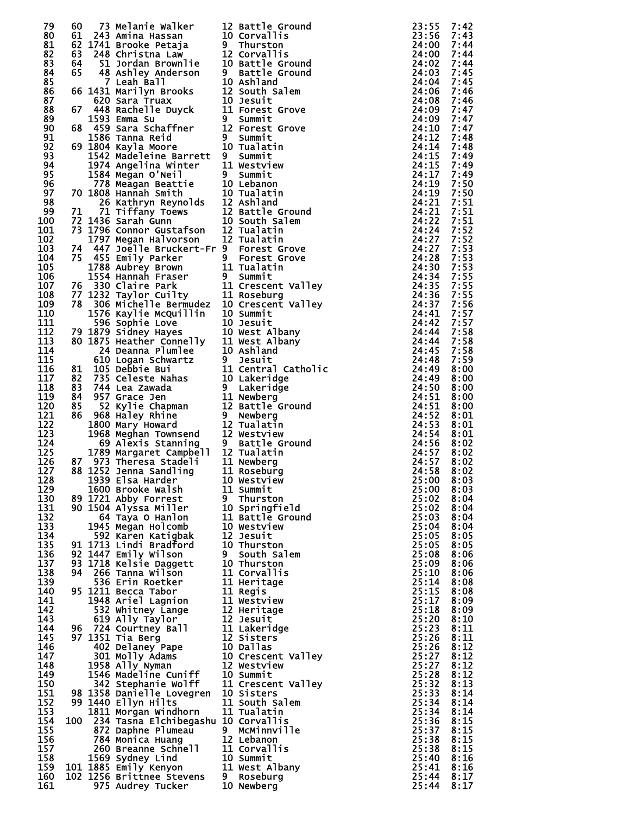| 79  |  |                                                                                                                                                                                                                                                  |                    | 23:55      | 7:42 |
|-----|--|--------------------------------------------------------------------------------------------------------------------------------------------------------------------------------------------------------------------------------------------------|--------------------|------------|------|
| 80  |  |                                                                                                                                                                                                                                                  |                    |            | 7:43 |
| 81  |  | 60 73 Melanie Walker 12 Battle Ground<br>61 243 Amina Hassan 10 Corvallis<br>62 1741 Brooke Petaja 9 Thurston<br>63 248 Christna Law 12 Corvallis<br>64 51 Jordan Brownlie 10 Battle Ground<br>65 48 Ashley Anderson 9 Battle Ground<br>7 Leah B |                    |            | 7:44 |
|     |  |                                                                                                                                                                                                                                                  |                    |            |      |
| 82  |  |                                                                                                                                                                                                                                                  |                    |            | 7:44 |
| 83  |  |                                                                                                                                                                                                                                                  |                    |            | 7:44 |
| 84  |  |                                                                                                                                                                                                                                                  |                    |            | 7:45 |
|     |  |                                                                                                                                                                                                                                                  |                    |            |      |
| 85  |  |                                                                                                                                                                                                                                                  |                    |            | 7:45 |
| 86  |  |                                                                                                                                                                                                                                                  |                    |            | 7:46 |
| 87  |  |                                                                                                                                                                                                                                                  |                    |            | 7:46 |
|     |  |                                                                                                                                                                                                                                                  |                    |            |      |
| 88  |  |                                                                                                                                                                                                                                                  |                    |            | 7:47 |
| 89  |  |                                                                                                                                                                                                                                                  |                    |            | 7:47 |
| 90  |  |                                                                                                                                                                                                                                                  |                    |            | 7:47 |
|     |  |                                                                                                                                                                                                                                                  |                    |            |      |
| 91  |  |                                                                                                                                                                                                                                                  |                    |            | 7:48 |
| 92  |  |                                                                                                                                                                                                                                                  |                    |            | 7:48 |
| 93  |  |                                                                                                                                                                                                                                                  |                    |            | 7:49 |
|     |  |                                                                                                                                                                                                                                                  |                    |            |      |
| 94  |  |                                                                                                                                                                                                                                                  |                    |            | 7:49 |
| 95  |  |                                                                                                                                                                                                                                                  |                    |            | 7:49 |
|     |  |                                                                                                                                                                                                                                                  |                    |            |      |
| 96  |  |                                                                                                                                                                                                                                                  |                    |            | 7:50 |
| 97  |  |                                                                                                                                                                                                                                                  |                    |            | 7:50 |
| 98  |  |                                                                                                                                                                                                                                                  |                    |            | 7:51 |
|     |  |                                                                                                                                                                                                                                                  |                    |            |      |
| 99  |  |                                                                                                                                                                                                                                                  |                    |            | 7:51 |
| 100 |  |                                                                                                                                                                                                                                                  |                    |            | 7:51 |
| 101 |  |                                                                                                                                                                                                                                                  |                    |            | 7:52 |
|     |  |                                                                                                                                                                                                                                                  |                    |            |      |
| 102 |  |                                                                                                                                                                                                                                                  |                    |            | 7:52 |
| 103 |  |                                                                                                                                                                                                                                                  |                    |            | 7:53 |
| 104 |  |                                                                                                                                                                                                                                                  |                    |            | 7:53 |
|     |  |                                                                                                                                                                                                                                                  |                    |            |      |
| 105 |  |                                                                                                                                                                                                                                                  |                    |            | 7:53 |
| 106 |  |                                                                                                                                                                                                                                                  |                    |            | 7:55 |
| 107 |  |                                                                                                                                                                                                                                                  |                    |            | 7:55 |
|     |  |                                                                                                                                                                                                                                                  |                    |            |      |
| 108 |  |                                                                                                                                                                                                                                                  |                    |            | 7:55 |
| 109 |  |                                                                                                                                                                                                                                                  |                    |            | 7:56 |
| 110 |  |                                                                                                                                                                                                                                                  |                    |            | 7:57 |
|     |  |                                                                                                                                                                                                                                                  |                    |            |      |
| 111 |  |                                                                                                                                                                                                                                                  |                    |            | 7:57 |
| 112 |  |                                                                                                                                                                                                                                                  |                    |            | 7:58 |
| 113 |  |                                                                                                                                                                                                                                                  |                    |            | 7:58 |
|     |  |                                                                                                                                                                                                                                                  |                    |            |      |
| 114 |  |                                                                                                                                                                                                                                                  |                    |            | 7:58 |
| 115 |  |                                                                                                                                                                                                                                                  |                    |            | 7:59 |
| 116 |  |                                                                                                                                                                                                                                                  |                    |            | 8:00 |
|     |  |                                                                                                                                                                                                                                                  |                    |            |      |
| 117 |  |                                                                                                                                                                                                                                                  |                    |            | 8:00 |
| 118 |  |                                                                                                                                                                                                                                                  |                    |            | 8:00 |
|     |  |                                                                                                                                                                                                                                                  |                    |            |      |
| 119 |  |                                                                                                                                                                                                                                                  |                    |            | 8:00 |
| 120 |  |                                                                                                                                                                                                                                                  |                    |            | 8:00 |
| 121 |  |                                                                                                                                                                                                                                                  |                    |            | 8:01 |
|     |  |                                                                                                                                                                                                                                                  |                    |            |      |
| 122 |  |                                                                                                                                                                                                                                                  |                    |            | 8:01 |
| 123 |  |                                                                                                                                                                                                                                                  |                    |            | 8:01 |
| 124 |  |                                                                                                                                                                                                                                                  |                    |            | 8:02 |
|     |  |                                                                                                                                                                                                                                                  |                    |            |      |
| 125 |  |                                                                                                                                                                                                                                                  |                    |            | 8:02 |
| 126 |  |                                                                                                                                                                                                                                                  |                    |            | 8:02 |
| 127 |  |                                                                                                                                                                                                                                                  |                    |            | 8:02 |
|     |  |                                                                                                                                                                                                                                                  |                    |            |      |
| 128 |  | 1939 Elsa Harder               10 Westview                                                                                                                                                                                                       |                    | 25:00 8:03 |      |
| 129 |  | 1600 Brooke Walsh                                                                                                                                                                                                                                | 11 Summit          | 25:00      | 8:03 |
| 130 |  | 89 1721 Abby Forrest                                                                                                                                                                                                                             | 9 Thurston         | 25:02      | 8:04 |
|     |  |                                                                                                                                                                                                                                                  |                    |            |      |
| 131 |  | 90 1504 Alyssa Miller                                                                                                                                                                                                                            | 10 Springfield     | 25:02      | 8:04 |
| 132 |  | 64 Taya O Hanlon                                                                                                                                                                                                                                 | 11 Battle Ground   | 25:03      | 8:04 |
| 133 |  | 1945 Megan Holcomb                                                                                                                                                                                                                               | 10 Westview        | 25:04      | 8:04 |
|     |  |                                                                                                                                                                                                                                                  |                    |            |      |
| 134 |  | 592 Karen Katigbak                                                                                                                                                                                                                               | 12 Jesuit          | 25:05      | 8:05 |
| 135 |  | 91 1713 Lindi Bradford                                                                                                                                                                                                                           | 10 Thurston        | 25:05      | 8:05 |
| 136 |  | 92 1447 Emily Wilson                                                                                                                                                                                                                             | 9 South Salem      | 25:08      | 8:06 |
|     |  |                                                                                                                                                                                                                                                  |                    |            |      |
| 137 |  | 93 1718 Kelsie Daggett                                                                                                                                                                                                                           | 10 Thurston        | 25:09      | 8:06 |
| 138 |  | 94 266 Tanna Wilson                                                                                                                                                                                                                              | 11 Corvallis       | 25:10      | 8:06 |
| 139 |  | 536 Erin Roetker                                                                                                                                                                                                                                 | 11 Heritage        | 25:14      | 8:08 |
|     |  |                                                                                                                                                                                                                                                  |                    |            |      |
| 140 |  | 95 1211 Becca Tabor                                                                                                                                                                                                                              | 11 Regis           | 25:15      | 8:08 |
| 141 |  | 1948 Ariel Lagnion                                                                                                                                                                                                                               | 11 Westview        | 25:17      | 8:09 |
| 142 |  | 532 Whitney Lange                                                                                                                                                                                                                                | 12 Heritage        | 25:18      | 8:09 |
|     |  |                                                                                                                                                                                                                                                  |                    |            |      |
| 143 |  |                                                                                                                                                                                                                                                  |                    | 25:20      | 8:10 |
| 144 |  | 96 724 Courtney Ball                                                                                                                                                                                                                             |                    | 25:23      | 8:11 |
| 145 |  | 97 1351 Tia Berg                                                                                                                                                                                                                                 |                    | 25:26      | 8:11 |
|     |  |                                                                                                                                                                                                                                                  |                    |            |      |
| 146 |  | 332 Whitney Lange<br>619 Ally Taylor<br>724 Courtney Ball<br>11 Lakeridge<br>1351 Tia Berg<br>402 Delaney Pape<br>301 Molly Adams<br>10 Crescent Valley<br>1958 Ally Nyman<br>12 Westview                                                        |                    | 25:26      | 8:12 |
| 147 |  |                                                                                                                                                                                                                                                  |                    | 25:27      | 8:12 |
| 148 |  |                                                                                                                                                                                                                                                  | 12 Westview        |            | 8:12 |
|     |  | 1958 Ally Nyman                                                                                                                                                                                                                                  |                    | 25:27      |      |
| 149 |  | 1546 Madeline Cuniff                                                                                                                                                                                                                             | 10 Summit          | 25:28      | 8:12 |
| 150 |  | 342 Stephanie Wolff                                                                                                                                                                                                                              | 11 Crescent Valley | 25:32      | 8:13 |
|     |  |                                                                                                                                                                                                                                                  | 10 Sisters         |            |      |
| 151 |  | 98 1358 Danielle Lovegren                                                                                                                                                                                                                        |                    | 25:33      | 8:14 |
| 152 |  | 99 1440 Ellyn Hilts                                                                                                                                                                                                                              | 11 South Salem     | 25:34      | 8:14 |
| 153 |  | 1811 Morgan Windhorn                                                                                                                                                                                                                             | 11 Tualatin        | 25:34      | 8:14 |
|     |  |                                                                                                                                                                                                                                                  |                    |            |      |
| 154 |  | 100 234 Tasna Elchibegashu 10 Corvallis                                                                                                                                                                                                          |                    | 25:36      | 8:15 |
| 155 |  | 872 Daphne Plumeau 9 McMinnville                                                                                                                                                                                                                 |                    | 25:37      | 8:15 |
| 156 |  | 784 Monica Huang                                                                                                                                                                                                                                 | 12 Lebanon         | 25:38      | 8:15 |
|     |  |                                                                                                                                                                                                                                                  |                    |            |      |
| 157 |  |                                                                                                                                                                                                                                                  |                    | 25:38      | 8:15 |
| 158 |  |                                                                                                                                                                                                                                                  |                    | 25:40      | 8:16 |
| 159 |  |                                                                                                                                                                                                                                                  |                    | 25:41      | 8:16 |
|     |  |                                                                                                                                                                                                                                                  |                    |            |      |
| 160 |  |                                                                                                                                                                                                                                                  |                    | 25:44      | 8:17 |
| 161 |  | 784 Monica Huang 12 Lebanon<br>260 Breanne Schnell 11 Corvallis<br>1569 Sydney Lind 10 Summit<br>101 1885 Emily Kenyon 11 West Albany<br>102 1256 Brittnee Stevens 9 Roseburg<br>975 Audrey Tucker 10 Newberg                                    |                    | 25:44      | 8:17 |
|     |  |                                                                                                                                                                                                                                                  |                    |            |      |

| 2<br>0                                        | Battle Ground<br>Corvallis                |
|-----------------------------------------------|-------------------------------------------|
|                                               | Thurston<br>Corvallis                     |
| $\frac{2}{0}$                                 | Battle Ground<br>Battle Ground            |
| 0<br>2                                        | Ashland<br>South Salem                    |
| $\begin{smallmatrix} 0 \ 1 \end{smallmatrix}$ | Jesuit<br>Grove<br><b>Forest</b>          |
| $\overline{2}$                                | Summit<br>Forest<br>Grove                 |
| 0                                             | Summit<br>Tualatin                        |
| 1                                             | Summit<br>Westview                        |
|                                               | Summit<br>Lebanon                         |
| 0022022                                       | Tualatin<br>Ashland                       |
|                                               | Battle Ground<br>South Salem              |
|                                               | <b>Tualatin</b><br>Tualatin               |
|                                               | Forest Grove<br>Forest<br>Grove           |
| 1                                             | Tualatin<br>Summit                        |
| $\frac{1}{1}$                                 | Crescent Valley<br>Roseburg               |
| 0                                             | Valley<br>Crescent<br>Summit              |
| 0<br>0                                        | Jesuit<br>West Albany                     |
| 1<br>0                                        | <b>West Albany</b><br>Ashland             |
| 1                                             | Jesuit<br>Central Catholic                |
| 0                                             | Lakeridge<br>Lakeridge                    |
| $\frac{1}{2}$                                 | Newberg<br><b>Battle</b> Ground           |
|                                               | Newberg<br>Tualatin                       |
| 2<br>2<br>2<br>1<br>1                         | Westview<br>Battle Ground<br>Tualatin     |
|                                               | Newberg                                   |
| 0                                             | Roseburg<br>Westview                      |
| 1                                             | Summit<br>Thurston                        |
| $\begin{smallmatrix} 0 \ 1 \end{smallmatrix}$ | Springfield<br>Battle Ground              |
| 0<br>2                                        | Westview<br>Jesuit                        |
| 0                                             | Thurston<br>South Salem                   |
|                                               | Thurston<br>Corvallis                     |
|                                               | Heritage<br>Regis                         |
|                                               | Westview<br>Heritage                      |
| 011112212                                     | Jesuit<br>Lakeridge                       |
| 0<br>0                                        | Sisters<br><b>Dallas</b>                  |
| $\tilde{2}$<br>0                              | Crescent<br>Valley<br>Westview            |
| $\mathbf{1}$<br>0                             | Summit<br>Crescent Valley                 |
| $\frac{1}{1}$                                 | Sisters<br>South Salem                    |
| 0                                             | -<br>Tualatin<br>Corvallis<br>McMinnville |
| 2<br>1                                        | Lebanon<br><b>Corvallis</b>               |
| 0<br>1                                        | Summit<br>West Albany                     |
| 0                                             | Roseburg<br>Newberg                       |
|                                               |                                           |

| ,我们也不是有一个人的。我们也不是有一个人的。我们也不是有一个人的。我们也不是有一个人的。我们也不是有一个人的。我们也不是有一个人的。我们也不是有一个人的。我们 |
|----------------------------------------------------------------------------------|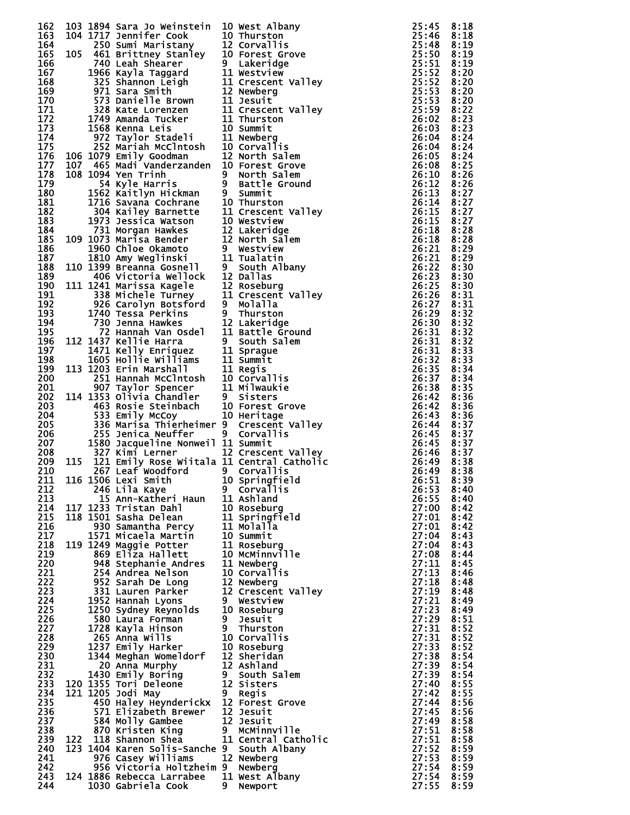| 162 |     | 103 1894 Sara Jo Weinstein                                                                                                                                                                                                                           |    | 10 West Albany                                                                                                                                                                                     | 25:45          | 8:18 |
|-----|-----|------------------------------------------------------------------------------------------------------------------------------------------------------------------------------------------------------------------------------------------------------|----|----------------------------------------------------------------------------------------------------------------------------------------------------------------------------------------------------|----------------|------|
| 163 |     | 104 1717 Jennifer Cook                                                                                                                                                                                                                               |    | 10 Thurston                                                                                                                                                                                        | 25:46 8:18     |      |
| 164 |     | 104 1717 Jennifer Cook<br>250 Sumi Maristany<br>105 461 Brittney Stanley<br>740 Leah Shearer<br>10 Forest Grove<br>740 Leah Shearer<br>1966 Kayla Taggard<br>325 Shannon Leigh<br>11 Crescent Vall<br>971 Sara Smith<br>12 Newberg<br>573 Danielle B |    |                                                                                                                                                                                                    | 25:48          | 8:19 |
| 165 |     |                                                                                                                                                                                                                                                      |    |                                                                                                                                                                                                    | 25:50          | 8:19 |
| 166 |     |                                                                                                                                                                                                                                                      |    |                                                                                                                                                                                                    | 25:51          | 8:19 |
| 167 |     |                                                                                                                                                                                                                                                      |    |                                                                                                                                                                                                    | 25:52          | 8:20 |
| 168 |     |                                                                                                                                                                                                                                                      |    | 11 Crescent Valley                                                                                                                                                                                 | 25:52          | 8:20 |
|     |     |                                                                                                                                                                                                                                                      |    |                                                                                                                                                                                                    |                |      |
| 169 |     |                                                                                                                                                                                                                                                      |    |                                                                                                                                                                                                    | 25:53          | 8:20 |
| 170 |     |                                                                                                                                                                                                                                                      |    |                                                                                                                                                                                                    | 25:53          | 8:20 |
| 171 |     |                                                                                                                                                                                                                                                      |    | 11 Crescent Valley                                                                                                                                                                                 | 25:59          | 8:22 |
| 172 |     |                                                                                                                                                                                                                                                      |    |                                                                                                                                                                                                    | 26:02          | 8:23 |
| 173 |     |                                                                                                                                                                                                                                                      |    |                                                                                                                                                                                                    | 26:03          | 8:23 |
| 174 |     |                                                                                                                                                                                                                                                      |    |                                                                                                                                                                                                    | 26:04          | 8:24 |
| 175 |     |                                                                                                                                                                                                                                                      |    |                                                                                                                                                                                                    | 26:04          | 8:24 |
|     |     |                                                                                                                                                                                                                                                      |    |                                                                                                                                                                                                    |                |      |
| 176 |     | in 1970.<br>106 1079 Emily Goodman                                                                                                                                                                                                                   |    | 12 North Salem                                                                                                                                                                                     | 26:05          | 8:24 |
| 177 |     | 107 465 Madi Vanderzanden 10 Forest Grove                                                                                                                                                                                                            |    |                                                                                                                                                                                                    | 26:08          | 8:25 |
| 178 |     | 108 1094 Yen Trinh                                                                                                                                                                                                                                   |    | 9 North Salem                                                                                                                                                                                      | 26:10          | 8:26 |
| 179 |     | 54 Kyle Harris                                                                                                                                                                                                                                       |    | 9 Battle Ground                                                                                                                                                                                    | 26:12          | 8:26 |
| 180 |     | 1562 Kaitlyn Hickman                                                                                                                                                                                                                                 |    | 9 Summit<br>10 Thurst                                                                                                                                                                              | 26:13          | 8:27 |
| 181 |     | 1716 Savana Cochrane                                                                                                                                                                                                                                 |    | 10 Thurston                                                                                                                                                                                        | 26:14          | 8:27 |
| 182 |     |                                                                                                                                                                                                                                                      |    |                                                                                                                                                                                                    |                |      |
|     |     |                                                                                                                                                                                                                                                      |    | 11 Crescent Valley                                                                                                                                                                                 | 26:15          | 8:27 |
| 183 |     |                                                                                                                                                                                                                                                      |    |                                                                                                                                                                                                    | 26:15          | 8:27 |
| 184 |     |                                                                                                                                                                                                                                                      |    |                                                                                                                                                                                                    | 26:18          | 8:28 |
| 185 |     |                                                                                                                                                                                                                                                      |    |                                                                                                                                                                                                    | 26:18          | 8:28 |
| 186 |     |                                                                                                                                                                                                                                                      |    |                                                                                                                                                                                                    | 26:21          | 8:29 |
| 187 |     |                                                                                                                                                                                                                                                      |    |                                                                                                                                                                                                    | 26:21          | 8:29 |
| 188 |     |                                                                                                                                                                                                                                                      |    |                                                                                                                                                                                                    | 26:22          | 8:30 |
|     |     |                                                                                                                                                                                                                                                      |    |                                                                                                                                                                                                    |                |      |
| 189 |     | 1/10 Savania Countaine<br>304 Kailey Barnette<br>11 Crescent Vall<br>1973 Jessica Watson<br>731 Morgan Hawkes<br>12 Lakeridge<br>1960 Chloe Okamoto<br>12 North Salem<br>1960 Chloe Okamoto<br>12 North Salem<br>1399 Breanna Gosnell<br>19 South Al |    |                                                                                                                                                                                                    | 26:23          | 8:30 |
| 190 |     | 111 1241 Marissa Kagele                                                                                                                                                                                                                              |    | 12 Roseburg                                                                                                                                                                                        | 26:25          | 8:30 |
| 191 |     | 1241 Marissa Kagele<br>338 Michele Turney<br>926 Carolyn Botsford<br>1740 Tessa Perkins                                                                                                                                                              |    | 11 Crescent Valley                                                                                                                                                                                 | 26:26          | 8:31 |
| 192 |     |                                                                                                                                                                                                                                                      |    | 9 Molalla                                                                                                                                                                                          | 26:27          | 8:31 |
| 193 |     |                                                                                                                                                                                                                                                      |    | 9 Thurston                                                                                                                                                                                         | 26:29          | 8:32 |
| 194 |     | 730 Jenna Hawkes                                                                                                                                                                                                                                     |    |                                                                                                                                                                                                    | 26:30          | 8:32 |
| 195 |     |                                                                                                                                                                                                                                                      |    |                                                                                                                                                                                                    | 26:31          | 8:32 |
|     |     |                                                                                                                                                                                                                                                      |    |                                                                                                                                                                                                    |                |      |
| 196 |     | 112 1437 Kellie Harra                                                                                                                                                                                                                                |    | 9 South Salem                                                                                                                                                                                      | 26:31          | 8:32 |
| 197 |     |                                                                                                                                                                                                                                                      |    | 11 Sprague                                                                                                                                                                                         | 26:31          | 8:33 |
| 198 |     | 1437 Kellie Harra<br>1471 Kelly Enriquez<br>1605 Hollie Williams<br>1203 Erin Marshall<br>251 Hannah McClntosh<br>907 Taylor Spencer<br>1353 Olivia Chandler                                                                                         |    | 11 Summit                                                                                                                                                                                          | 26:32          | 8:33 |
| 199 |     | 113 1203 Erin Marshall                                                                                                                                                                                                                               |    | 11 Regis                                                                                                                                                                                           | 26:35          | 8:34 |
| 200 |     |                                                                                                                                                                                                                                                      |    | 10 Corvallis                                                                                                                                                                                       | 26:37          | 8:34 |
| 201 |     |                                                                                                                                                                                                                                                      |    | 11 Milwaukie                                                                                                                                                                                       | 26:38          | 8:35 |
|     |     |                                                                                                                                                                                                                                                      |    |                                                                                                                                                                                                    |                |      |
| 202 |     |                                                                                                                                                                                                                                                      |    |                                                                                                                                                                                                    | 26:42          | 8:36 |
| 203 |     | 114 1353 Olivia Chandler<br>463 Rosie Steinbach<br>533 Emily McCoy 10 Heritage                                                                                                                                                                       |    |                                                                                                                                                                                                    | 26:42          | 8:36 |
| 204 |     |                                                                                                                                                                                                                                                      |    |                                                                                                                                                                                                    | 26:43          | 8:36 |
| 205 |     | 336 Marisa Thierheimer 9 Crescent Valley                                                                                                                                                                                                             |    |                                                                                                                                                                                                    | 26:44          | 8:37 |
| 206 |     | 533 Emily McCoy<br>336 Marisa Thierheimer 9  Crescent \<br>255 Jenica Neuffer     9  Corvallis<br>1580 Jacqueline Nonweil 11 Summit<br>1580 Jacqueline Nonweil 11 Summit                                                                             |    | 327 Kimi Lerner<br>115 121 Emily Rose Wiitala 11 Central Catholic<br>267 Leaf Woodford 9 Corvallis<br>116 1506 Lexi Smith 10 Springfield<br>246 Lila Kaye 9 Corvallis<br>117 1233 Ann-Katheri Haum | 26:45          | 8:37 |
| 207 |     |                                                                                                                                                                                                                                                      |    |                                                                                                                                                                                                    | 26:45          | 8:37 |
| 208 |     |                                                                                                                                                                                                                                                      |    |                                                                                                                                                                                                    | 26:46          | 8:37 |
| 209 |     |                                                                                                                                                                                                                                                      |    |                                                                                                                                                                                                    | 26:49 8:38     |      |
|     |     |                                                                                                                                                                                                                                                      |    |                                                                                                                                                                                                    |                |      |
| 210 |     |                                                                                                                                                                                                                                                      |    |                                                                                                                                                                                                    | 26:49          | 8:38 |
|     |     | 211 116 1506 Lexi Smith 10 Springfield                                                                                                                                                                                                               |    |                                                                                                                                                                                                    | $26:51$ $8:39$ |      |
| 212 |     |                                                                                                                                                                                                                                                      |    |                                                                                                                                                                                                    | 26:53          | 8:40 |
| 213 |     |                                                                                                                                                                                                                                                      |    |                                                                                                                                                                                                    | 26:55          | 8:40 |
| 214 |     | 117 1233 Tristan Dahl                                                                                                                                                                                                                                |    | 10 Roseburg                                                                                                                                                                                        | 27:00          | 8:42 |
| 215 |     | 118 1501 Sasha Delean                                                                                                                                                                                                                                |    | 11 Springfield                                                                                                                                                                                     | 27:01          | 8:42 |
| 216 |     | 930 Samantha Percy                                                                                                                                                                                                                                   |    | 11 Molalla                                                                                                                                                                                         | 27:01          | 8:42 |
| 217 |     |                                                                                                                                                                                                                                                      |    | 10 Summit                                                                                                                                                                                          | 27:04          | 8:43 |
|     |     | 1571 Micaela Martin                                                                                                                                                                                                                                  |    |                                                                                                                                                                                                    |                |      |
| 218 |     | 119 1249 Maggie Potter                                                                                                                                                                                                                               |    | 11 Roseburg                                                                                                                                                                                        | 27:04          | 8:43 |
| 219 |     | 869 Eliza Hallett                                                                                                                                                                                                                                    |    | 10 McMinnville                                                                                                                                                                                     | 27:08          | 8:44 |
| 220 |     | 948 Stephanie Andres                                                                                                                                                                                                                                 |    | 11 Newberg                                                                                                                                                                                         | 27:11          | 8:45 |
| 221 |     | 254 Andrea Nelson                                                                                                                                                                                                                                    |    | 10 Corvallis                                                                                                                                                                                       | 27:13          | 8:46 |
| 222 |     | 952 Sarah De Long                                                                                                                                                                                                                                    |    | 12 Newberg                                                                                                                                                                                         | 27:18          | 8:48 |
| 223 |     | 331 Lauren Parker                                                                                                                                                                                                                                    |    | 12 Crescent Valley                                                                                                                                                                                 | 27:19          | 8:48 |
| 224 |     | 1952 Hannah Lyons                                                                                                                                                                                                                                    |    | 9 Westview                                                                                                                                                                                         | 27:21          | 8:49 |
| 225 |     | 1250 Sydney Reynolds                                                                                                                                                                                                                                 |    | 10 Roseburg                                                                                                                                                                                        | 27:23          | 8:49 |
|     |     |                                                                                                                                                                                                                                                      |    |                                                                                                                                                                                                    |                |      |
| 226 |     | 580 Laura Forman                                                                                                                                                                                                                                     |    | 9 Jesuit<br>9 Thurston                                                                                                                                                                             | 27:29          | 8:51 |
| 227 |     | 1728 Kayla Hinson                                                                                                                                                                                                                                    |    |                                                                                                                                                                                                    | 27:31          | 8:52 |
| 228 |     | 265 Anna Wills                                                                                                                                                                                                                                       |    | 10 Corvallis                                                                                                                                                                                       | 27:31          | 8:52 |
| 229 |     | 1237 Emily Harker                                                                                                                                                                                                                                    |    | 10 Roseburg                                                                                                                                                                                        | 27:33          | 8:52 |
| 230 |     | 1344 Meghan Womeldorf                                                                                                                                                                                                                                |    | 12 Sheridan                                                                                                                                                                                        | 27:38          | 8:54 |
| 231 |     | 20 Anna Murphy                                                                                                                                                                                                                                       |    | 12 Ashland                                                                                                                                                                                         | 27:39          | 8:54 |
| 232 |     | 1430 Emily Boring                                                                                                                                                                                                                                    |    | 9 South Salem                                                                                                                                                                                      | 27:39          | 8:54 |
| 233 |     | 120 1355 Tori Deleone                                                                                                                                                                                                                                |    | 12 Sisters                                                                                                                                                                                         | 27:40          | 8:55 |
|     |     |                                                                                                                                                                                                                                                      |    |                                                                                                                                                                                                    |                |      |
| 234 |     | 121 1205 Jodi May                                                                                                                                                                                                                                    |    | 9 Regis                                                                                                                                                                                            | 27:42          | 8:55 |
| 235 |     | 450 Haley Heynderickx                                                                                                                                                                                                                                |    | 12 Forest Grove                                                                                                                                                                                    | 27:44          | 8:56 |
| 236 |     | 571 Elizabeth Brewer                                                                                                                                                                                                                                 |    | 12 Jesuit                                                                                                                                                                                          | 27:45          | 8:56 |
| 237 |     | 584 Molly Gambee                                                                                                                                                                                                                                     |    | 12 Jesuit                                                                                                                                                                                          | 27:49          | 8:58 |
| 238 |     | 870 Kristen King                                                                                                                                                                                                                                     |    | 9 MCMinnville                                                                                                                                                                                      | 27:51          | 8:58 |
| 239 | 122 | 118 Shannon Shea                                                                                                                                                                                                                                     |    | 11 Central Catholic                                                                                                                                                                                | 27:51          | 8:58 |
| 240 |     | 123 1404 Karen Solis-Sanche 9 South Albany                                                                                                                                                                                                           |    |                                                                                                                                                                                                    | 27:52          | 8:59 |
|     |     |                                                                                                                                                                                                                                                      |    |                                                                                                                                                                                                    |                |      |
| 241 |     | 976 Casey Williams                                                                                                                                                                                                                                   |    | 12 Newberg                                                                                                                                                                                         | 27:53          | 8:59 |
| 242 |     | 956 Victoria Holtzheim 9 Newberg                                                                                                                                                                                                                     |    |                                                                                                                                                                                                    | 27:54          | 8:59 |
| 243 |     | 124 1886 Rebecca Larrabee 11 West Albany                                                                                                                                                                                                             |    |                                                                                                                                                                                                    | 27:54          | 8:59 |
| 244 |     | 1030 Gabriela Cook                                                                                                                                                                                                                                   | 9. | Newport                                                                                                                                                                                            | 27:55          | 8:59 |

| 44455555556000000011111111222222233333333344444445566991                                 |                                            |
|------------------------------------------------------------------------------------------|--------------------------------------------|
|                                                                                          |                                            |
|                                                                                          |                                            |
|                                                                                          |                                            |
|                                                                                          |                                            |
|                                                                                          |                                            |
|                                                                                          |                                            |
|                                                                                          |                                            |
|                                                                                          |                                            |
|                                                                                          |                                            |
|                                                                                          |                                            |
|                                                                                          |                                            |
|                                                                                          |                                            |
|                                                                                          |                                            |
|                                                                                          |                                            |
|                                                                                          |                                            |
|                                                                                          |                                            |
|                                                                                          |                                            |
|                                                                                          |                                            |
|                                                                                          |                                            |
|                                                                                          |                                            |
|                                                                                          |                                            |
|                                                                                          |                                            |
|                                                                                          |                                            |
|                                                                                          |                                            |
|                                                                                          |                                            |
|                                                                                          |                                            |
|                                                                                          |                                            |
|                                                                                          |                                            |
|                                                                                          |                                            |
|                                                                                          |                                            |
|                                                                                          |                                            |
|                                                                                          |                                            |
|                                                                                          |                                            |
|                                                                                          |                                            |
|                                                                                          |                                            |
|                                                                                          |                                            |
|                                                                                          |                                            |
|                                                                                          |                                            |
|                                                                                          |                                            |
|                                                                                          |                                            |
|                                                                                          |                                            |
|                                                                                          |                                            |
|                                                                                          |                                            |
|                                                                                          |                                            |
|                                                                                          |                                            |
|                                                                                          |                                            |
|                                                                                          |                                            |
|                                                                                          |                                            |
|                                                                                          |                                            |
|                                                                                          |                                            |
|                                                                                          |                                            |
|                                                                                          |                                            |
|                                                                                          | $\frac{1}{2}$                              |
|                                                                                          |                                            |
|                                                                                          | $\ddot{ }$                                 |
|                                                                                          |                                            |
|                                                                                          |                                            |
|                                                                                          | $\frac{1}{2}$                              |
|                                                                                          |                                            |
|                                                                                          | $\ddot{\phantom{a}}$                       |
|                                                                                          |                                            |
|                                                                                          |                                            |
|                                                                                          |                                            |
|                                                                                          |                                            |
|                                                                                          |                                            |
|                                                                                          |                                            |
|                                                                                          |                                            |
|                                                                                          |                                            |
|                                                                                          |                                            |
|                                                                                          |                                            |
|                                                                                          |                                            |
|                                                                                          |                                            |
|                                                                                          |                                            |
|                                                                                          |                                            |
|                                                                                          |                                            |
|                                                                                          |                                            |
|                                                                                          |                                            |
|                                                                                          |                                            |
|                                                                                          |                                            |
|                                                                                          |                                            |
|                                                                                          |                                            |
|                                                                                          |                                            |
|                                                                                          |                                            |
|                                                                                          |                                            |
|                                                                                          |                                            |
|                                                                                          |                                            |
|                                                                                          | į                                          |
|                                                                                          | ֢֢֦֧֢ׅ֧ׅ֧ׅ֧֚֚֚֚֚֚֚֚֚֚֚֚֚֚֬֡֡֡֡֡֡֡֡֡֬֜֓֡֬֓֜ |
| <b>155000000011111222233333344444555555555556565</b><br>こ6677777777777777777777777777777 | þ                                          |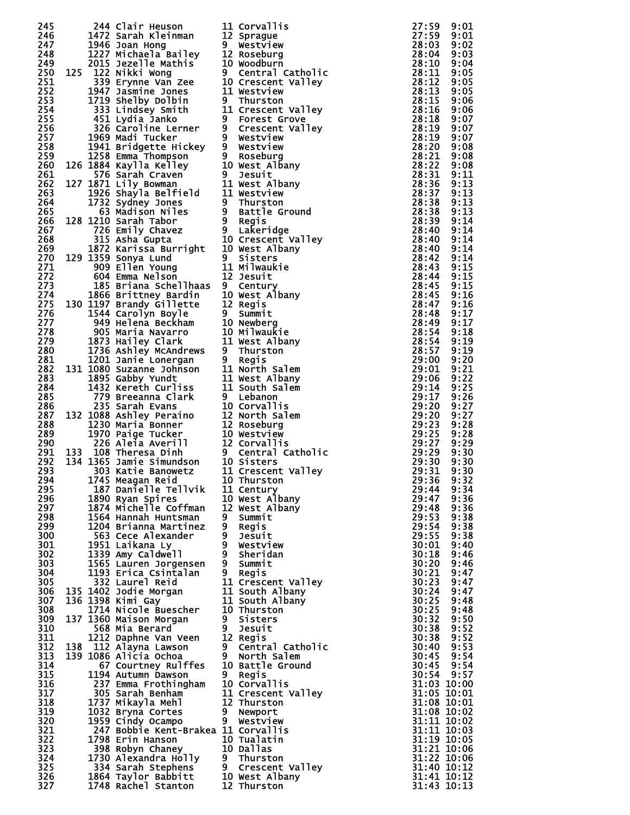| 245        |  | 244 Clair Heuson                                                                                                                                                                                                                                       | 11 Corvallis                                                                                                                                                                                                                               | 27:59                      | 9:01         |
|------------|--|--------------------------------------------------------------------------------------------------------------------------------------------------------------------------------------------------------------------------------------------------------|--------------------------------------------------------------------------------------------------------------------------------------------------------------------------------------------------------------------------------------------|----------------------------|--------------|
| 246        |  | z44 Ciair Heuson<br>1472 Sarah Kleinman                                                                                                                                                                                                                | 12 Sprague                                                                                                                                                                                                                                 | 27:59 9:01                 |              |
| 247        |  |                                                                                                                                                                                                                                                        |                                                                                                                                                                                                                                            | 28:03                      | 9:02         |
| 248        |  | 1472 Sarah Kleinman<br>1946 Joan Hong<br>1227 Michaela Bailey<br>2015 Jezelle Mathis<br>10 Woodburn<br>125 122 Nikki Wong<br>39 Erynne Van Zee<br>10 Crescent Valley<br>1947 Jasmine Jones<br>11 Westview<br>11 Westview<br>11 Crescent Valley<br>451  |                                                                                                                                                                                                                                            | 28:04                      | 9:03         |
| 249        |  |                                                                                                                                                                                                                                                        |                                                                                                                                                                                                                                            | 28:10                      | 9:04         |
| 250        |  |                                                                                                                                                                                                                                                        |                                                                                                                                                                                                                                            | 28:11                      | 9:05         |
| 251        |  |                                                                                                                                                                                                                                                        |                                                                                                                                                                                                                                            | 28:12                      | 9:05         |
| 252        |  |                                                                                                                                                                                                                                                        |                                                                                                                                                                                                                                            | 28:13                      | 9:05         |
| 253        |  |                                                                                                                                                                                                                                                        |                                                                                                                                                                                                                                            | 28:15                      | 9:06         |
| 254<br>255 |  |                                                                                                                                                                                                                                                        |                                                                                                                                                                                                                                            | 28:16<br>28:18             | 9:06<br>9:07 |
| 256        |  |                                                                                                                                                                                                                                                        |                                                                                                                                                                                                                                            | 28:19                      | 9:07         |
| 257        |  |                                                                                                                                                                                                                                                        |                                                                                                                                                                                                                                            | 28:19                      | 9:07         |
| 258        |  |                                                                                                                                                                                                                                                        | 326 Caroline Lerner 9 Crescent Valley<br>1969 Madi Tucker 9 Westview<br>1941 Bridgette Hickey 9 Westview<br>1258 Emma Thompson<br>126 1884 Kaylla Kelley 10 West Albany<br>576 Sarah Craven 9 Jesuit<br>127 1871 Lily Bowman 11 West Alban | 28:20                      | 9:08         |
| 259        |  |                                                                                                                                                                                                                                                        |                                                                                                                                                                                                                                            | 28:21                      | 9:08         |
| 260        |  |                                                                                                                                                                                                                                                        |                                                                                                                                                                                                                                            | 28:22                      | 9:08         |
| 261        |  |                                                                                                                                                                                                                                                        |                                                                                                                                                                                                                                            | 28:31                      | 9:11         |
| 262        |  |                                                                                                                                                                                                                                                        |                                                                                                                                                                                                                                            | 28:36                      | 9:13         |
| 263        |  |                                                                                                                                                                                                                                                        |                                                                                                                                                                                                                                            | 28:37                      | 9:13         |
| 264        |  |                                                                                                                                                                                                                                                        |                                                                                                                                                                                                                                            | 28:38                      | 9:13         |
| 265<br>266 |  |                                                                                                                                                                                                                                                        |                                                                                                                                                                                                                                            | 28:38<br>28:39             | 9:13<br>9:14 |
| 267        |  |                                                                                                                                                                                                                                                        |                                                                                                                                                                                                                                            | 28:40                      | 9:14         |
| 268        |  |                                                                                                                                                                                                                                                        |                                                                                                                                                                                                                                            | 28:40                      | 9:14         |
| 269        |  |                                                                                                                                                                                                                                                        |                                                                                                                                                                                                                                            | 28:40                      | 9:14         |
| 270        |  |                                                                                                                                                                                                                                                        |                                                                                                                                                                                                                                            | 28:42                      | 9:14         |
| 271        |  |                                                                                                                                                                                                                                                        |                                                                                                                                                                                                                                            | 28:43                      | 9:15         |
| 272        |  |                                                                                                                                                                                                                                                        |                                                                                                                                                                                                                                            | 28:44                      | 9:15         |
| 273        |  |                                                                                                                                                                                                                                                        |                                                                                                                                                                                                                                            | 28:45                      | 9:15         |
| 274        |  |                                                                                                                                                                                                                                                        |                                                                                                                                                                                                                                            | 28:45                      | 9:16         |
| 275        |  |                                                                                                                                                                                                                                                        |                                                                                                                                                                                                                                            | 28:47                      | 9:16         |
| 276        |  | 185 Briana Schellhaas<br>1866 Brittney Bardin<br>1866 Brittney Bardin<br>10 West Albany<br>130 1197 Brandy Gillette<br>12 Regis<br>1544 Carolyn Boyle<br>9 Summit<br>949 Helena Beckham<br>10 Newberg<br>905 Maria Navarro<br>10 Milwaukie<br>1873 Hai |                                                                                                                                                                                                                                            | 28:48                      | 9:17         |
| 277        |  |                                                                                                                                                                                                                                                        |                                                                                                                                                                                                                                            | 28:49                      | 9:17         |
| 278<br>279 |  |                                                                                                                                                                                                                                                        |                                                                                                                                                                                                                                            | 28:54<br>28:54             | 9:18<br>9:19 |
| 280        |  |                                                                                                                                                                                                                                                        |                                                                                                                                                                                                                                            | 28:57 9:19                 |              |
| 281        |  | 1201 Janie Lonergan<br>131 1080 Suzanne Johnson<br>1895 Gabby Yundt<br>14 North Salem<br>14 Nest Albany<br>14 South Salem<br>172 Kenester Curliss<br>11 South Salem                                                                                    |                                                                                                                                                                                                                                            | 29:00                      | 9:20         |
| 282        |  |                                                                                                                                                                                                                                                        |                                                                                                                                                                                                                                            | 29:01                      | 9:21         |
| 283        |  |                                                                                                                                                                                                                                                        |                                                                                                                                                                                                                                            | 29:06                      | 9:22         |
| 284        |  |                                                                                                                                                                                                                                                        |                                                                                                                                                                                                                                            | 29:14                      | 9:25         |
| 285        |  |                                                                                                                                                                                                                                                        |                                                                                                                                                                                                                                            | 29:17                      | 9:26         |
| 286        |  | 1432 Kereth Curliss<br>779 Breeanna Clark<br>235 Sarah Evans<br>10 Corvallis<br>132 1088 Ashley Peraino<br>12 North Salem<br>1270 Maria Bonner<br>12 Roseburg<br>1970 Paige Tucker<br>10 Westview<br>226 Aleia Averill<br>12 Corvallis<br>12 Corvallis |                                                                                                                                                                                                                                            | 29:20                      | 9:27         |
| 287        |  |                                                                                                                                                                                                                                                        |                                                                                                                                                                                                                                            | 29:20                      | 9:27         |
| 288        |  |                                                                                                                                                                                                                                                        |                                                                                                                                                                                                                                            | 29:23                      | 9:28         |
| 289        |  |                                                                                                                                                                                                                                                        |                                                                                                                                                                                                                                            | 29:25                      | 9:28         |
| 290        |  |                                                                                                                                                                                                                                                        |                                                                                                                                                                                                                                            | 29:27                      | 9:29         |
| 291<br>292 |  |                                                                                                                                                                                                                                                        |                                                                                                                                                                                                                                            | 29:29<br>29:30             | 9:30<br>9:30 |
| 293        |  |                                                                                                                                                                                                                                                        |                                                                                                                                                                                                                                            | 29:31                      | 9:30         |
| 294        |  | 1745 Meagan Reid 10 Thurston                                                                                                                                                                                                                           |                                                                                                                                                                                                                                            | 29:36 9:32                 |              |
| 295        |  | 187 Danielle Tellvik                                                                                                                                                                                                                                   | 11 Century                                                                                                                                                                                                                                 | 29:44                      | 9:34         |
| 296        |  | 1890 Ryan Spires                                                                                                                                                                                                                                       | 10 West Albany                                                                                                                                                                                                                             | 29:47 9:36                 |              |
| 297        |  | 1874 Michelle Coffman                                                                                                                                                                                                                                  | 12 West Albany                                                                                                                                                                                                                             | 29:48                      | 9:36         |
| 298        |  | 1564 Hannah Huntsman                                                                                                                                                                                                                                   | 9 Summit                                                                                                                                                                                                                                   | 29:53                      | 9:38         |
| 299        |  | 1204 Brianna Martinez                                                                                                                                                                                                                                  | 9 Regis                                                                                                                                                                                                                                    | 29:54                      | 9:38         |
| 300        |  | 563 Cece Alexander                                                                                                                                                                                                                                     | 9 Jesuit                                                                                                                                                                                                                                   | 29:55                      | 9:38         |
| 301        |  | 1951 Laikana Ly                                                                                                                                                                                                                                        | 9 Westview<br>9 Sheridan                                                                                                                                                                                                                   | 30:01                      | 9:40         |
| 302<br>303 |  | 1339 Amy Caldwell<br>1565 Lauren Jorgensen                                                                                                                                                                                                             | 9 Summit                                                                                                                                                                                                                                   | 30:18<br>30:20             | 9:46<br>9:46 |
| 304        |  | 1193 Erica Csintalan                                                                                                                                                                                                                                   | 9 Regis                                                                                                                                                                                                                                    | 30:21                      | 9:47         |
| 305        |  | 332 Laurel Reid                                                                                                                                                                                                                                        | 11 Crescent Valley                                                                                                                                                                                                                         | 30:23                      | 9:47         |
| 306        |  | 135 1402 Jodie Morgan                                                                                                                                                                                                                                  | 11 South Albany                                                                                                                                                                                                                            | 30:24                      | 9:47         |
| 307        |  | 136 1398 Kimi Gay                                                                                                                                                                                                                                      | 11 South Albany                                                                                                                                                                                                                            | 30:25                      | 9:48         |
| 308        |  | 1714 Nicole Buescher                                                                                                                                                                                                                                   | 10 Thurston                                                                                                                                                                                                                                | 30:25                      | 9:48         |
| 309        |  | 137 1360 Maison Morgan                                                                                                                                                                                                                                 | 9 Sisters                                                                                                                                                                                                                                  | 30:32                      | 9:50         |
| 310        |  | 568 Mia Berard                                                                                                                                                                                                                                         | 9 Jesuit                                                                                                                                                                                                                                   | 30:38                      | 9:52         |
| 311        |  | 1212 Daphne Van Veen                                                                                                                                                                                                                                   | 12 Regis                                                                                                                                                                                                                                   | 30:38                      | 9:52         |
| 312        |  | 138 112 Alayna Lawson                                                                                                                                                                                                                                  | 9 Central Catholic                                                                                                                                                                                                                         | 30:40                      | 9:53         |
| 313<br>314 |  | 139 1086 Alicia Ochoa<br>67 Courtney Rulffes                                                                                                                                                                                                           | 9 North Salem<br>10 Battle Ground                                                                                                                                                                                                          | 30:45<br>30:45 9:54        | 9:54         |
| 315        |  | 1194 Autumn Dawson                                                                                                                                                                                                                                     | 9 Regis                                                                                                                                                                                                                                    | 30:54 9:57                 |              |
| 316        |  | 237 Emma Frothingham                                                                                                                                                                                                                                   | 10 Corvallis                                                                                                                                                                                                                               | 31:03 10:00                |              |
| 317        |  | 305 Sarah Benham                                                                                                                                                                                                                                       | 11 Crescent Valley                                                                                                                                                                                                                         | 31:05 10:01                |              |
| 318        |  | 1737 Mikayla Mehl                                                                                                                                                                                                                                      | 12 Thurston                                                                                                                                                                                                                                | 31:08 10:01                |              |
| 319        |  | 1032 Bryna Cortes                                                                                                                                                                                                                                      | 9 Newport                                                                                                                                                                                                                                  | 31:08 10:02                |              |
| 320        |  | 1959 Cindy Ocampo                                                                                                                                                                                                                                      | 9 Westview                                                                                                                                                                                                                                 | 31:11 10:02                |              |
| 321        |  | 247 Bobbie Kent-Brakea 11 Corvallis                                                                                                                                                                                                                    |                                                                                                                                                                                                                                            | 31:11 10:03                |              |
| 322        |  | 1798 Erin Hanson                                                                                                                                                                                                                                       | 10 Tualatin                                                                                                                                                                                                                                | 31:19 10:05                |              |
| 323        |  |                                                                                                                                                                                                                                                        |                                                                                                                                                                                                                                            | 31:21 10:06                |              |
| 324<br>325 |  | 398 Robyn Chaney<br>1730 Alexandra Holly 9 Thurston<br>334 Sarah Stephens 9 Crescent Valley<br>1864 Taylor Babbitt 10 West Albany<br>1748 Rachel Stanton 12 Thurston                                                                                   |                                                                                                                                                                                                                                            | 31:22 10:06<br>31:40 10:12 |              |
| 326        |  |                                                                                                                                                                                                                                                        |                                                                                                                                                                                                                                            | 31:41 10:12                |              |
| 327        |  |                                                                                                                                                                                                                                                        |                                                                                                                                                                                                                                            | 31:43 10:13                |              |
|            |  |                                                                                                                                                                                                                                                        |                                                                                                                                                                                                                                            |                            |              |

| $\overline{1}$        | Corvallis                             |
|-----------------------|---------------------------------------|
| L2                    | Sprague                               |
| )                     | Westview                              |
| L2                    | Roseburg                              |
| LO                    | Woodburn                              |
| J.                    | Central Catholic                      |
| LO.                   | Valley<br>Crescent                    |
| L1                    | Westview                              |
| )                     | Thurston                              |
| L1                    | Crescent Valley                       |
| )                     | Forest Grove                          |
| )                     | Crescent Valley                       |
| )                     | Westview                              |
| )                     | Westview                              |
| )                     | Roseburg                              |
| LO                    | West Albany                           |
| )                     | Jesuit                                |
| L1                    | West Albany                           |
|                       | L1 Westview                           |
| ,                     | Thurston                              |
| ì                     | Battle Ground                         |
| J.                    | Regis                                 |
| )                     | Lakeridge                             |
| LO                    | Crescent Valley                       |
| LO                    | West Albany                           |
| )                     |                                       |
| $\overline{1}$        | Sisters<br>Milwaukie                  |
| L2                    | Jesuit                                |
| ).                    | Century                               |
| LO                    | West Albany                           |
| L2                    | Regis                                 |
|                       | Summit                                |
| J.                    |                                       |
| LO                    | Newberg                               |
| LO                    | Milwauƙie                             |
| L1                    | West Albany                           |
| )                     | Thurston                              |
| )                     | <b>Regis</b>                          |
| L1.                   | Salem<br>North                        |
| $\overline{1}$        | West Albany                           |
| $\overline{1}$        | South Salem                           |
| }                     | Lebanon                               |
| LO.                   | Corvallis                             |
| L2                    | North Salem                           |
| L2                    | Roseburg                              |
| LO.                   | Westview                              |
| $\overline{2}$        | Corvallis                             |
| ,                     | Central Catholic                      |
| LO.                   | <b>Sisters</b>                        |
| L1                    | Crescent Valley                       |
| LO                    | Thurston                              |
| $\overline{1}$        | Century<br>West Albany<br>West Albany |
| LO.                   |                                       |
| L2                    |                                       |
|                       | Summit                                |
|                       | <b>Regis</b>                          |
| )<br>)<br>)<br>)<br>) | Jesuit                                |
|                       | Westview                              |
|                       | Sheridan                              |
|                       | Summit                                |
| Ì                     | Regi s                                |
| $\overline{1}$        | Crescent Valley                       |
| L1                    | South Albany<br>South Albany          |
| $\overline{1}$        |                                       |
| LO                    | Thurston                              |
| )                     | Sisters                               |
| J                     | Jesuit                                |
| L2                    | Regis                                 |
| ,                     | Central Catholic                      |
| )                     | North Salem                           |
| LO                    | Battle Ground                         |
| ,                     | Regis                                 |
| LO                    | Corvallis                             |
| $\overline{1}$        | Crescent Valley                       |
| L2                    | Thurston                              |
| )                     | Newport                               |
| )                     | Westview                              |
| Ĺ1                    | Corvallis                             |
| LO.                   | Tualatin<br>Dallas                    |
| LO                    |                                       |
| ,                     | Thurston                              |
| ì                     | Crescent Valley                       |
| LO.                   | West Albany                           |
|                       |                                       |

| 550011111111111112222333333444444444445550006111222222333355790016<br>$\vdots$ |                                                          |
|--------------------------------------------------------------------------------|----------------------------------------------------------|
|                                                                                | i                                                        |
|                                                                                |                                                          |
|                                                                                | $\ddot{\phantom{a}}$                                     |
|                                                                                |                                                          |
|                                                                                |                                                          |
|                                                                                |                                                          |
|                                                                                |                                                          |
|                                                                                |                                                          |
|                                                                                |                                                          |
|                                                                                |                                                          |
|                                                                                |                                                          |
|                                                                                |                                                          |
|                                                                                |                                                          |
|                                                                                |                                                          |
|                                                                                |                                                          |
|                                                                                |                                                          |
|                                                                                |                                                          |
|                                                                                |                                                          |
|                                                                                |                                                          |
|                                                                                |                                                          |
|                                                                                |                                                          |
|                                                                                |                                                          |
|                                                                                |                                                          |
|                                                                                |                                                          |
|                                                                                |                                                          |
|                                                                                |                                                          |
|                                                                                |                                                          |
|                                                                                |                                                          |
|                                                                                |                                                          |
|                                                                                |                                                          |
|                                                                                |                                                          |
|                                                                                |                                                          |
|                                                                                |                                                          |
|                                                                                |                                                          |
|                                                                                |                                                          |
|                                                                                |                                                          |
|                                                                                |                                                          |
|                                                                                |                                                          |
|                                                                                |                                                          |
|                                                                                |                                                          |
|                                                                                |                                                          |
| $\overline{c}$<br>9<br>44<br>÷                                                 | 34<br>9<br>Ē                                             |
| 29<br>I                                                                        | 36<br>9<br>E                                             |
| 47<br>48<br>53<br>54<br>55<br>50<br>1<br>9:<br>$\overline{c}$                  | 36                                                       |
| 29<br>I                                                                        | 38<br>38                                                 |
| 29:                                                                            | 38                                                       |
| _<br>29:<br>30:                                                                |                                                          |
| 3Ō<br>18<br>20<br>ì                                                            |                                                          |
|                                                                                |                                                          |
|                                                                                |                                                          |
| .<br>30:                                                                       |                                                          |
|                                                                                |                                                          |
|                                                                                |                                                          |
|                                                                                |                                                          |
|                                                                                |                                                          |
|                                                                                |                                                          |
|                                                                                |                                                          |
| 12222223388                                                                    |                                                          |
|                                                                                |                                                          |
|                                                                                |                                                          |
|                                                                                |                                                          |
| 40<br>45<br>45<br>54<br>54<br>03                                               | : ق<br>: 10<br>÷                                         |
| Ŏ5                                                                             | īo:<br>10<br>E                                           |
|                                                                                | $\ddot{\mathbf{0}}$<br>1<br>Ē                            |
|                                                                                | ī0<br>Ē                                                  |
|                                                                                | 10<br>Ē                                                  |
|                                                                                | īò<br>E                                                  |
|                                                                                | 10<br>Ē                                                  |
|                                                                                | <b>4444444455555550000000000012</b><br>ī0<br>E<br>0<br>Ì |
| 40<br>41<br><u>31</u><br>43                                                    | ī2<br>้เ<br>0<br>Ē<br>13<br>10:                          |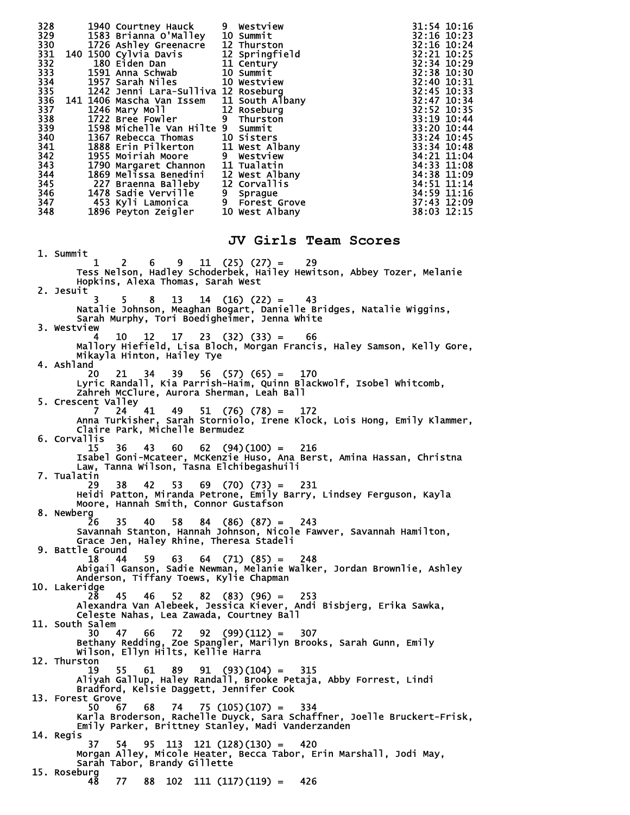328 1940 Courtney Hauck 9 Westview 31:54 10:16 329 1583 Brianna O'Malley 10 Summit 32:16 10:23<br>330 1726 Ashley Greenacre 12 Thurston 32:16 332:16 10:24<br>331 140 1500 Cylvia Davis 12 Springfield 32:21 10:25<br>332 180 Eiden Dan 11 Century 32:34 10:29 330 1726 Ashley Greenacre 12 Thurston 32:16 10:24 331 140 1500 Cylvia Davis 12 Springfield 32:21 10:25 332 180 Eiden Dan 11 Century 32:34 10:29 331 140 1500 Cylvia Davis<br>
332 180 Eiden Dan 11 Century<br>
332 180 Eiden Dan 11 Century<br>
333 1591 Anna Schwab 10 Summit<br>
334 1957 Sarah Niles 10 Westview<br>
32:38 10:30<br>
334 1957 Sarah Niles 10 Westview<br>
32:40 10:31<br>
32:40 10: 334 1957 Sarah Niles 10 Westview 32:40 10:31 335 1242 Jenni Lara-Sulliva 12 Roseburg 32:45 10:33 336 141 1406 Mascha Van Issem 11 South Albany<br>337 1246 Mary Moll 12 Roseburg<br>338 1722 Bree Fowler 9 Thurston 337 1246 Mary Moll 12 Roseburg 32:52 10:35 338 1722 Bree Fowler 9 Thurston 33:19 10:44 339 1598 Michelle Van Hilte 9 Summit 33:20 10:44 340 1367 Rebecca Thomas 10 Sisters 33:24 10:45 341 1888 Erin Pilkerton 11 West Albany 33:34 10:48 342 1955 Moiriah Moore 9 Westview 34:21 11:04 343 1790 Margaret Channon 11 Tualatin 34:33 11:08 344 1869 Melissa Benedini 12 West Albany 34:38 11:09 345 227 Braenna Balleby 12 Corvallis 34:51 11:14 344 1869 Melissa Benedini 12 West Albany 34:38 11:09<br>
345 227 Braenna Balleby 12 Corvallis 34:51 11:14<br>
346 1478 Sadie Verville 9 Sprague 34:59 11:16<br>
347 453 Kyli Lamonica 9 Forest Grove 37:43 12:09<br>
348 1896 Peyton Zeigl 347 453 Kyli Lamonica 9 Forest Grove<br>348 1896 Peyton Zeigler 10 West Albany 1896 Peyton Zeigler **JV Girls Team Scores** 1. Summit  $1 \quad 2 \quad 6 \quad 9 \quad 11 \quad (25) \quad (27) = \quad 29$  Tess Nelson, Hadley Schoderbek, Hailey Hewitson, Abbey Tozer, Melanie Hopkins, Alexa Thomas, Sarah West 2. Jesuit 3 5 8 13 14 (16) (22) = 43 Natalie Johnson, Meaghan Bogart, Danielle Bridges, Natalie Wiggins, Sarah Murphy, Tori Boedigheimer, Jenna White 3. Westview 4 10 12 17 23 (32) (33) = 66 Mallory Hiefield, Lisa Bloch, Morgan Francis, Haley Samson, Kelly Gore, Mikayla Hinton, Hailey Tye 4. Ashland 20 21 34 39 56 (57) (65) = 170 Lyric Randall, Kia Parrish-Haim, Quinn Blackwolf, Isobel Whitcomb, Zahreh McClure, Aurora Sherman, Leah Ball 5. Crescent Valley 7 24 41 49 51 (76) (78) = 172 Anna Turkisher, Sarah Storniolo, Irene Klock, Lois Hong, Emily Klammer, Claire Park, Michelle Bermudez 6. Corvallis 15 36 43 60 62 (94)(100) = 216 Isabel Goni-Mcateer, McKenzie Huso, Ana Berst, Amina Hassan, Christna Law, Tanna Wilson, Tasna Elchibegashuili 7. Tualatin 29 38 42 53 69 (70) (73) = 231 Heidi Patton, Miranda Petrone, Emily Barry, Lindsey Ferguson, Kayla Moore, Hannah Smith, Connor Gustafson 8. Newberg 26 35 40 58 84 (86) (87) = 243 Savannah Stanton, Hannah Johnson, Nicole Fawver, Savannah Hamilton, Grace Jen, Haley Rhine, Theresa Stadeli 9. Battle Ground 18 44 59 63 64 (71) (85) = 248 Abigail Ganson, Sadie Newman, Melanie Walker, Jordan Brownlie, Ashley Anderson, Tiffany Toews, Kylie Chapman 10. Lakeridge 28 45 46 52 82 (83) (96) = 253 Alexandra Van Alebeek, Jessica Kiever, Andi Bisbjerg, Erika Sawka, Celeste Nahas, Lea Zawada, Courtney Ball 11. South Salem 30 47 66 72 92 (99)(112) = 307 Bethany Redding, Zoe Spangler, Marilyn Brooks, Sarah Gunn, Emily Wilson, Ellyn Hilts, Kellie Harra 12. Thurston 19 55 61 89 91 (93)(104) = 315 Aliyah Gallup, Haley Randall, Brooke Petaja, Abby Forrest, Lindi Bradford, Kelsie Daggett, Jennifer Cook 13. Forest Grove 50 67 68 74 75 (105)(107) = 334 Karla Broderson, Rachelle Duyck, Sara Schaffner, Joelle Bruckert-Frisk, Emily Parker, Brittney Stanley, Madi Vanderzanden 14. Regis 37 54 95 113 121 (128)(130) = 420 Morgan Alley, Micole Heater, Becca Tabor, Erin Marshall, Jodi May, Sarah Tabor, Brandy Gillette 15. Roseburg 48 77 88 102 111 (117)(119) = 426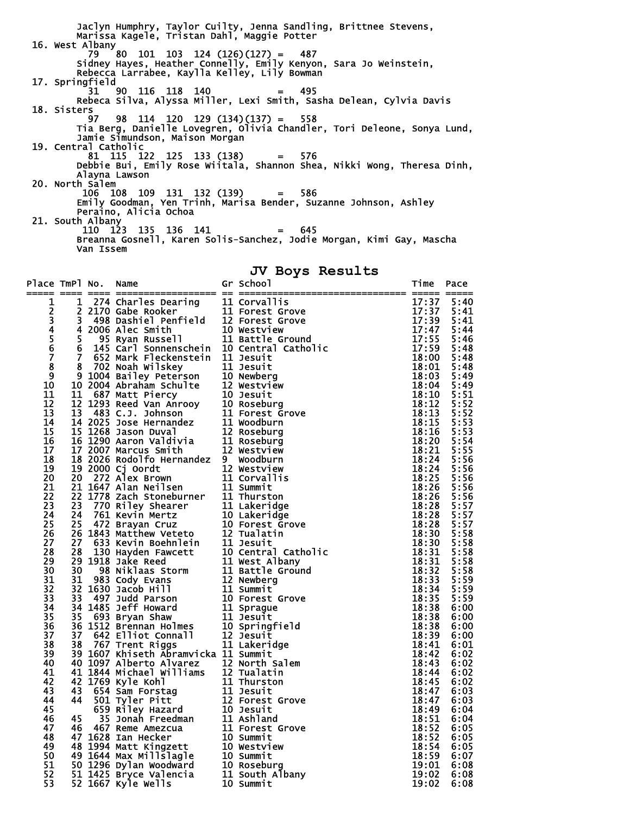Jaclyn Humphry, Taylor Cuilty, Jenna Sandling, Brittnee Stevens, Marissa Kagele, Tristan Dahl, Maggie Potter 16. West Albany 79 80 101 103 124 (126)(127) = 487 Sidney Hayes, Heather Connelly, Emily Kenyon, Sara Jo Weinstein, Rebecca Larrabee, Kaylla Kelley, Lily Bowman 17. Springfield 31 90 116 118 140 = 495 Rebeca Silva, Alyssa Miller, Lexi Smith, Sasha Delean, Cylvia Davis 18. Sisters 97 98 114 120 129 (134)(137) = 558 Tia Berg, Danielle Lovegren, Olivia Chandler, Tori Deleone, Sonya Lund, Jamie Simundson, Maison Morgan 19. Central Catholic 81 115 122 125 133 (138) = 576 Debbie Bui, Emily Rose Wiitala, Shannon Shea, Nikki Wong, Theresa Dinh, Alayna Lawson 20. North Salem 106 108 109 131 132 (139) = 586 Emily Goodman, Yen Trinh, Marisa Bender, Suzanne Johnson, Ashley Peraino, Alicia Ochoa 21. South Albany 110 123 135 136 141 = 645 Breanna Gosnell, Karen Solis-Sanchez, Jodie Morgan, Kimi Gay, Mascha Van Issem

#### **JV Boys Results**

| Place TmPl No.  |    | Name<br>====== == ==:                                                                                                                                                                                                                            | Gr School<br>--------<br>1,<br>17:3<br>17:3<br>17:55<br>17:55<br>17:59<br>18:0<br>18:1<br>18: |                                                                                                 | Pace         |
|-----------------|----|--------------------------------------------------------------------------------------------------------------------------------------------------------------------------------------------------------------------------------------------------|-----------------------------------------------------------------------------------------------|-------------------------------------------------------------------------------------------------|--------------|
| 1               |    | -1 -274 Charles Dearing<br>2 2170 Gabe Rooker<br>3 498 Dashiel Penfield<br>5 95 Ryan Russell<br>5 95 Ryan Russell<br>6 145 Carl Sonnenschein<br>6 145 Carl Sonnenschein<br>10 Central Catholic<br>6 145 Carl Sonnenschein<br>10 Central Catholic |                                                                                               |                                                                                                 | 5:40         |
|                 |    |                                                                                                                                                                                                                                                  |                                                                                               |                                                                                                 | 5:41         |
|                 |    |                                                                                                                                                                                                                                                  |                                                                                               |                                                                                                 | 5:41         |
| 2345678         |    |                                                                                                                                                                                                                                                  |                                                                                               |                                                                                                 | 5:44         |
|                 |    |                                                                                                                                                                                                                                                  |                                                                                               |                                                                                                 | 5:46         |
|                 |    |                                                                                                                                                                                                                                                  |                                                                                               |                                                                                                 | 5:48         |
|                 | Ž. | 652 Mark Fleckenstein 11 Jesuit                                                                                                                                                                                                                  |                                                                                               |                                                                                                 | 5:48         |
|                 |    |                                                                                                                                                                                                                                                  |                                                                                               |                                                                                                 | 5:48         |
| $\overline{9}$  |    |                                                                                                                                                                                                                                                  |                                                                                               |                                                                                                 | 5:49         |
| 10              |    |                                                                                                                                                                                                                                                  |                                                                                               | 18:04                                                                                           | 5:49         |
| 11              |    |                                                                                                                                                                                                                                                  |                                                                                               | 18:10                                                                                           | 5:51         |
| 12              |    |                                                                                                                                                                                                                                                  |                                                                                               | 18:12                                                                                           | 5:52         |
| 13              |    |                                                                                                                                                                                                                                                  |                                                                                               | 18:13                                                                                           | 5:52         |
| 14              |    |                                                                                                                                                                                                                                                  |                                                                                               | 18:15                                                                                           | 5:53         |
| 15              |    |                                                                                                                                                                                                                                                  |                                                                                               | 18:16                                                                                           | 5:53         |
| 16              |    |                                                                                                                                                                                                                                                  |                                                                                               | 18:20<br>18:21                                                                                  | 5:54         |
| 17              |    |                                                                                                                                                                                                                                                  |                                                                                               |                                                                                                 | 5:55         |
| 18              |    |                                                                                                                                                                                                                                                  |                                                                                               | 18:24                                                                                           | 5:56         |
| 19              |    |                                                                                                                                                                                                                                                  |                                                                                               | 18:24                                                                                           | 5:56         |
| 20              |    |                                                                                                                                                                                                                                                  |                                                                                               | 18:25<br>18:26                                                                                  | 5:56         |
| 21<br>22        |    |                                                                                                                                                                                                                                                  |                                                                                               |                                                                                                 | 5:56         |
| 23              |    |                                                                                                                                                                                                                                                  |                                                                                               | 18:26                                                                                           | 5:56         |
| 24              |    |                                                                                                                                                                                                                                                  |                                                                                               |                                                                                                 | 5:57<br>5:57 |
| 25              |    |                                                                                                                                                                                                                                                  |                                                                                               |                                                                                                 | 5:57         |
| 26              |    |                                                                                                                                                                                                                                                  |                                                                                               |                                                                                                 | 5:58         |
| 27              |    |                                                                                                                                                                                                                                                  |                                                                                               |                                                                                                 | 5:58         |
| 28              |    | 6 143 Carl Sonnenschein ID Central Catholic<br>652 Mark Fleckenstein II Jesuit<br>8 702 Noah Wilskey 11 Jesuit<br>10 2004 Abraham Schulte 12 Westview<br>10 2004 Abraham Schulte 12 Westview<br>10 Newberg<br>10 2004 Abraham Schulte 12 W       |                                                                                               | $18:28 \ 18:28 \ 18:28 \ 18:30 \ 18:30 \ 18:31 \ 18:31 \ 18:31 \ 18:31 \ 18:32 \ 18:33 \ 18:34$ | 5:58         |
| 29              |    |                                                                                                                                                                                                                                                  |                                                                                               |                                                                                                 | 5:58         |
| 30              |    |                                                                                                                                                                                                                                                  |                                                                                               |                                                                                                 | 5:58         |
| 31              |    |                                                                                                                                                                                                                                                  |                                                                                               |                                                                                                 | 5:59         |
| 32              |    |                                                                                                                                                                                                                                                  |                                                                                               | 18:34                                                                                           | 5:59         |
| 33              |    |                                                                                                                                                                                                                                                  |                                                                                               | 18:35                                                                                           | 5:59         |
| 34              |    |                                                                                                                                                                                                                                                  |                                                                                               | 18:38                                                                                           | 6:00         |
| $\overline{35}$ |    |                                                                                                                                                                                                                                                  |                                                                                               | 18:38                                                                                           | 6:00         |
| 36              |    |                                                                                                                                                                                                                                                  |                                                                                               | 18:38                                                                                           | 6:00         |
| 37              |    |                                                                                                                                                                                                                                                  |                                                                                               | 18:39                                                                                           | 6:00         |
| 38              |    | 38 767 Trent Riggs 11 Lakeri<br>39 1607 Khiseth Abramvicka 11 Summit                                                                                                                                                                             |                                                                                               | 18:41                                                                                           | 6:01         |
| 39              |    |                                                                                                                                                                                                                                                  |                                                                                               | 18:42                                                                                           | 6:02         |
| 40              |    |                                                                                                                                                                                                                                                  |                                                                                               | 18:43                                                                                           | 6:02         |
| 41              |    |                                                                                                                                                                                                                                                  |                                                                                               | 18:44                                                                                           | 6:02         |
| 42              |    |                                                                                                                                                                                                                                                  |                                                                                               | 18:45                                                                                           | 6:02         |
| 43              |    |                                                                                                                                                                                                                                                  |                                                                                               | 18:47                                                                                           | 6:03         |
| 44              |    |                                                                                                                                                                                                                                                  |                                                                                               | 18:47                                                                                           | 6:03         |
| 45              |    |                                                                                                                                                                                                                                                  |                                                                                               | 18:49                                                                                           | 6:04         |
| 46              |    | 39 1607 Khiseth Abramvicka 11 Summit<br>40 1097 Alberto Alvarez 12 North Salem<br>41 1844 Michael Williams 12 Tualatin<br>42 1769 Kyle Kohl 11 Thurston<br>43 654 Sam Forstag 11 Jesuit<br>44 501 Tyler Pitt 12 Forest Grove<br>659 Riley        |                                                                                               | 18:51                                                                                           | 6:04         |
| 47              |    |                                                                                                                                                                                                                                                  |                                                                                               | $18:52$<br>$18:52$                                                                              | 6:05         |
| 48              |    |                                                                                                                                                                                                                                                  |                                                                                               |                                                                                                 | 6:05         |
| 49              |    |                                                                                                                                                                                                                                                  |                                                                                               | 18:54                                                                                           | 6:05         |
| 50              |    |                                                                                                                                                                                                                                                  |                                                                                               | 18:59                                                                                           | 6:07         |
| 51<br>52        |    |                                                                                                                                                                                                                                                  |                                                                                               | 19:01                                                                                           | 6:08         |
| 53              |    |                                                                                                                                                                                                                                                  |                                                                                               | 19:02<br>19:02                                                                                  | 6:08         |
|                 |    | 52 1667 Kyle Wells                                                                                                                                                                                                                               | 10 Summit                                                                                     |                                                                                                 | 6:08         |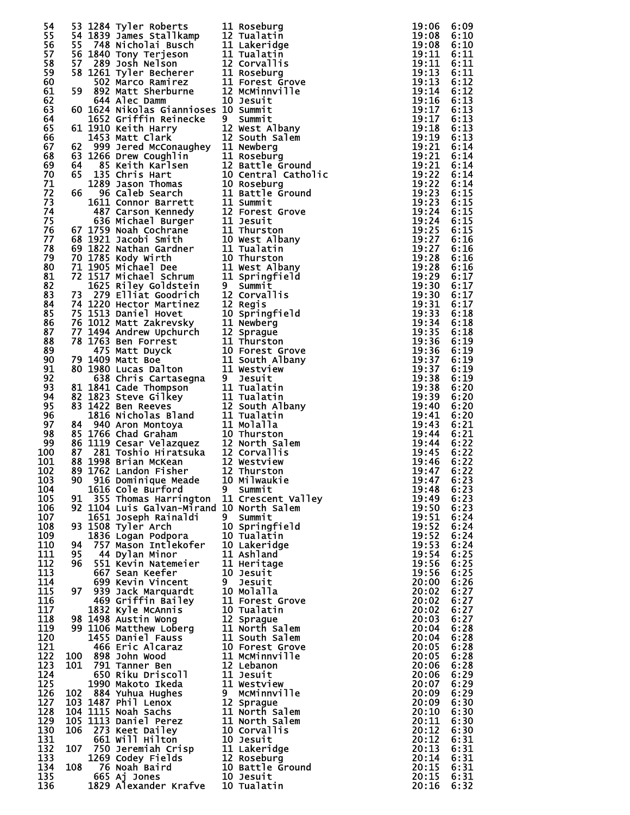| 54       |    |                                                                                                                                                                                                                                                      |                                                                                                                                                                                                                                                        | 19:06          | 6:09         |
|----------|----|------------------------------------------------------------------------------------------------------------------------------------------------------------------------------------------------------------------------------------------------------|--------------------------------------------------------------------------------------------------------------------------------------------------------------------------------------------------------------------------------------------------------|----------------|--------------|
| 55       |    |                                                                                                                                                                                                                                                      |                                                                                                                                                                                                                                                        | 19:08          | 6:10         |
| 56       |    |                                                                                                                                                                                                                                                      |                                                                                                                                                                                                                                                        | 19:08          | 6:10         |
| 57       |    | 33 1284 Tyler Roberts<br>54 1839 James Stallkamp<br>55 748 Nicholai Busch<br>55 748 Nicholai Busch<br>11 Lakeridge<br>56 1840 Tony Terjeson<br>57 289 Josh Nelson<br>57 289 Josh Nelson<br>52 Marc Becherer<br>502 Mart Sherburne<br>59 892 Matt S   |                                                                                                                                                                                                                                                        | 19:11          | 6:11         |
|          |    |                                                                                                                                                                                                                                                      |                                                                                                                                                                                                                                                        |                |              |
| 58       |    |                                                                                                                                                                                                                                                      |                                                                                                                                                                                                                                                        | 19:11          | 6:11         |
| 59       |    |                                                                                                                                                                                                                                                      |                                                                                                                                                                                                                                                        | 19:13          | 6:11         |
| 60       |    |                                                                                                                                                                                                                                                      |                                                                                                                                                                                                                                                        | 19:13          | 6:12         |
| 61       |    |                                                                                                                                                                                                                                                      |                                                                                                                                                                                                                                                        | 19:14          | 6:12         |
| 62       |    |                                                                                                                                                                                                                                                      |                                                                                                                                                                                                                                                        | 19:16          | 6:13         |
| 63       |    | 60 1624 Nikolas Giannioses 10 Summit                                                                                                                                                                                                                 |                                                                                                                                                                                                                                                        | 19:17          | 6:13         |
| 64       |    |                                                                                                                                                                                                                                                      |                                                                                                                                                                                                                                                        | 19:17          | 6:13         |
| 65       |    |                                                                                                                                                                                                                                                      |                                                                                                                                                                                                                                                        | 19:18          | 6:13         |
| 66       |    |                                                                                                                                                                                                                                                      |                                                                                                                                                                                                                                                        | 19:19          | 6:13         |
| 67       |    |                                                                                                                                                                                                                                                      |                                                                                                                                                                                                                                                        | 19:21          | 6:14         |
| 68       |    |                                                                                                                                                                                                                                                      |                                                                                                                                                                                                                                                        | 19:21          | 6:14         |
| 69       |    |                                                                                                                                                                                                                                                      |                                                                                                                                                                                                                                                        | 19:21          | 6:14         |
| 70       |    |                                                                                                                                                                                                                                                      |                                                                                                                                                                                                                                                        | 19:22          | 6:14         |
| 71       |    |                                                                                                                                                                                                                                                      |                                                                                                                                                                                                                                                        | 19:22          | 6:14         |
| 72       |    |                                                                                                                                                                                                                                                      |                                                                                                                                                                                                                                                        | 19:23          | 6:15         |
| 73       |    |                                                                                                                                                                                                                                                      |                                                                                                                                                                                                                                                        | 19:23          | 6:15         |
| 74       |    |                                                                                                                                                                                                                                                      |                                                                                                                                                                                                                                                        | 19:24          | 6:15         |
| 75       |    |                                                                                                                                                                                                                                                      |                                                                                                                                                                                                                                                        | 19:24          | 6:15         |
| 76       |    |                                                                                                                                                                                                                                                      |                                                                                                                                                                                                                                                        | 19:25          | 6:15         |
| 77       |    |                                                                                                                                                                                                                                                      |                                                                                                                                                                                                                                                        | 19:27          | 6:16         |
|          |    |                                                                                                                                                                                                                                                      |                                                                                                                                                                                                                                                        |                |              |
| 78<br>79 |    |                                                                                                                                                                                                                                                      |                                                                                                                                                                                                                                                        | 19:27<br>19:28 | 6:16<br>6:16 |
|          |    |                                                                                                                                                                                                                                                      |                                                                                                                                                                                                                                                        |                |              |
| 80       |    |                                                                                                                                                                                                                                                      |                                                                                                                                                                                                                                                        | 19:28          | 6:16         |
| 81       |    |                                                                                                                                                                                                                                                      |                                                                                                                                                                                                                                                        | 19:29          | 6:17         |
| 82       |    |                                                                                                                                                                                                                                                      |                                                                                                                                                                                                                                                        | 19:30          | 6:17         |
| 83       |    |                                                                                                                                                                                                                                                      | 644 Alec Damn 10 Jesuit<br>10 1024 wikolas Giannioses 10 summit<br>10 1624 wikolas Giannioses 10 summit<br>10 1621 Metrin Reinecke<br>12 Suest Albany<br>1413 Matt Clark<br>10 99 Jered McConaughey 11 Newberg<br>62 1286 Drew Coughilin<br>11 Rastell | 19:30          | 6:17         |
| 84       |    |                                                                                                                                                                                                                                                      |                                                                                                                                                                                                                                                        | 19:31          | 6:17         |
| 85       |    |                                                                                                                                                                                                                                                      |                                                                                                                                                                                                                                                        | 19:33          | 6:18         |
| 86       |    |                                                                                                                                                                                                                                                      |                                                                                                                                                                                                                                                        | 19:34          | 6:18         |
| 87       |    |                                                                                                                                                                                                                                                      |                                                                                                                                                                                                                                                        | 19:35          | 6:18         |
| 88       |    |                                                                                                                                                                                                                                                      |                                                                                                                                                                                                                                                        | 19:36          | 6:19         |
| 89       |    |                                                                                                                                                                                                                                                      |                                                                                                                                                                                                                                                        | 19:36          | 6:19         |
| 90       |    |                                                                                                                                                                                                                                                      |                                                                                                                                                                                                                                                        | 19:37          | 6:19         |
| 91       |    |                                                                                                                                                                                                                                                      |                                                                                                                                                                                                                                                        | 19:37          | 6:19         |
| 92       |    |                                                                                                                                                                                                                                                      |                                                                                                                                                                                                                                                        | 19:38          | 6:19         |
| 93       |    |                                                                                                                                                                                                                                                      |                                                                                                                                                                                                                                                        | 19:38          | 6:20         |
| 94       |    |                                                                                                                                                                                                                                                      |                                                                                                                                                                                                                                                        | 19:39          | 6:20         |
| 95       |    |                                                                                                                                                                                                                                                      |                                                                                                                                                                                                                                                        | 19:40          | 6:20         |
| 96       |    |                                                                                                                                                                                                                                                      |                                                                                                                                                                                                                                                        | 19:41          | 6:20         |
| 97       |    |                                                                                                                                                                                                                                                      |                                                                                                                                                                                                                                                        | 19:43          | 6:21         |
| 98       |    |                                                                                                                                                                                                                                                      |                                                                                                                                                                                                                                                        | 19:44          | 6:21         |
| 99       |    |                                                                                                                                                                                                                                                      |                                                                                                                                                                                                                                                        | 19:44          | 6:22         |
|          |    |                                                                                                                                                                                                                                                      |                                                                                                                                                                                                                                                        |                |              |
| 100      |    |                                                                                                                                                                                                                                                      |                                                                                                                                                                                                                                                        | 19:45          | 6:22         |
| 101      |    |                                                                                                                                                                                                                                                      |                                                                                                                                                                                                                                                        | 19:46          | 6:22         |
| 102      |    |                                                                                                                                                                                                                                                      |                                                                                                                                                                                                                                                        | 19:47          | 6:22         |
| 103      |    | 90 916 Dominique Meade 10 Milwaukie                                                                                                                                                                                                                  |                                                                                                                                                                                                                                                        | 19:47 6:23     |              |
| 104      |    | 1616 Cole Burford                                                                                                                                                                                                                                    | 9 Summit                                                                                                                                                                                                                                               | 19:48          | 6:23         |
| 105      |    | 91 355 Thomas Harrington 11 Crescent Valley                                                                                                                                                                                                          |                                                                                                                                                                                                                                                        | 19:49          | 6:23         |
| 106      |    | 92 1104 Luis Galvan-Mirand 10 North Salem                                                                                                                                                                                                            |                                                                                                                                                                                                                                                        | 19:50          | 6:23         |
| 107      |    | 1651 Joseph Rainaldi                                                                                                                                                                                                                                 |                                                                                                                                                                                                                                                        | 19:51          | 6:24         |
| 108      |    | 93 1508 Tyler Arch                                                                                                                                                                                                                                   |                                                                                                                                                                                                                                                        | 19:52          | 6:24         |
| 109      |    | 1836 Logan Podpora                                                                                                                                                                                                                                   |                                                                                                                                                                                                                                                        | 19:52          | 6:24         |
| 110      | 94 |                                                                                                                                                                                                                                                      |                                                                                                                                                                                                                                                        | 19:53          | 6:24         |
| 111      | 95 |                                                                                                                                                                                                                                                      |                                                                                                                                                                                                                                                        | 19:54          | 6:25         |
| 112      | 96 |                                                                                                                                                                                                                                                      |                                                                                                                                                                                                                                                        | 19:56          | 6:25         |
| 113      |    | 667 Sean Keefer                                                                                                                                                                                                                                      | 10 Jesuit                                                                                                                                                                                                                                              | 19:56          | 6:25         |
| 114      |    |                                                                                                                                                                                                                                                      |                                                                                                                                                                                                                                                        | 20:00          | 6:26         |
| 115      |    |                                                                                                                                                                                                                                                      |                                                                                                                                                                                                                                                        | 20:02          | 6:27         |
| 116      |    |                                                                                                                                                                                                                                                      |                                                                                                                                                                                                                                                        | 20:02          | 6:27         |
| 117      |    |                                                                                                                                                                                                                                                      |                                                                                                                                                                                                                                                        | 20:02          | 6:27         |
| 118      |    | 699 Kevin Vincent<br>97 939 Jack Marquardt<br>469 Griffin Bailey<br>10 Molalla<br>469 Griffin Bailey<br>11 Forest Grove<br>1832 Kyle McAnnis<br>98 1408 Austin Wong<br>99 1106 Matthew Loberg<br>11 North Salem<br>1455 Daniel Fauss<br>11 South Sal |                                                                                                                                                                                                                                                        | 20:03          | 6:27         |
| 119      |    |                                                                                                                                                                                                                                                      |                                                                                                                                                                                                                                                        | 20:04          | 6:28         |
| 120      |    |                                                                                                                                                                                                                                                      |                                                                                                                                                                                                                                                        | 20:04          | 6:28         |
| 121      |    |                                                                                                                                                                                                                                                      |                                                                                                                                                                                                                                                        | 20:05          | 6:28         |
| 122      |    | 100 898 John Wood                                                                                                                                                                                                                                    |                                                                                                                                                                                                                                                        | 20:05          | 6:28         |
| 123      |    |                                                                                                                                                                                                                                                      |                                                                                                                                                                                                                                                        | 20:06          | 6:28         |
| 124      |    |                                                                                                                                                                                                                                                      |                                                                                                                                                                                                                                                        | 20:06          | 6:29         |
| 125      |    |                                                                                                                                                                                                                                                      |                                                                                                                                                                                                                                                        | 20:07          | 6:29         |
| 126      |    |                                                                                                                                                                                                                                                      |                                                                                                                                                                                                                                                        | 20:09          | 6:29         |
| 127      |    |                                                                                                                                                                                                                                                      |                                                                                                                                                                                                                                                        | 20:09          | 6:30         |
| 128      |    |                                                                                                                                                                                                                                                      |                                                                                                                                                                                                                                                        | 20:10          | 6:30         |
| 129      |    |                                                                                                                                                                                                                                                      |                                                                                                                                                                                                                                                        | 20:11          | 6:30         |
| 130      |    |                                                                                                                                                                                                                                                      |                                                                                                                                                                                                                                                        | 20:12          | 6:30         |
| 131      |    |                                                                                                                                                                                                                                                      |                                                                                                                                                                                                                                                        | 20:12          | 6:31         |
| 132      |    |                                                                                                                                                                                                                                                      |                                                                                                                                                                                                                                                        | 20:13          | 6:31         |
| 133      |    |                                                                                                                                                                                                                                                      |                                                                                                                                                                                                                                                        | 20:14          | 6:31         |
| 134      |    | 104 1115 Noah Sachs<br>104 1115 Noah Sachs<br>105 1113 Noah Sachs<br>105 1113 Daniel Perez<br>106 273 Keet Dailey<br>106 273 Keet Dailey<br>106 273 Keet Dailey<br>107 750 Jeremiah Crisp<br>10 Jesuit<br>107 750 Jeremiah Crisp<br>10 Jesuit<br>108 |                                                                                                                                                                                                                                                        | 20:15          | 6:31         |
|          |    |                                                                                                                                                                                                                                                      |                                                                                                                                                                                                                                                        |                |              |
| 135      |    |                                                                                                                                                                                                                                                      |                                                                                                                                                                                                                                                        | 20:15          | 6:31         |
| 136      |    |                                                                                                                                                                                                                                                      |                                                                                                                                                                                                                                                        | 20:16          | 6:32         |

| $\vdots$                                | $\vdots$                                                                   |
|-----------------------------------------|----------------------------------------------------------------------------|
| I                                       |                                                                            |
| ֦֧֦֧֦֧֦֧֦֧֦֧֦֧֦֧֦֧֦֧֦֧֦֧֦֧֚֚֬           | $\ddot{\phantom{a}}$                                                       |
| $\vdots$                                | $\vdots$                                                                   |
| I                                       |                                                                            |
| ֦֧֦֧֦֧֦֧֦֧֦֧֦֧֦֧֦֧֦֧֦֧֦֧֦֧֚֚֬           | $\vdots$                                                                   |
| $\vdots$                                |                                                                            |
|                                         | :::::::::::::                                                              |
| $\vdots$                                |                                                                            |
|                                         |                                                                            |
| ::::::::<br>:                           |                                                                            |
|                                         |                                                                            |
|                                         |                                                                            |
|                                         |                                                                            |
|                                         | $\vdots$                                                                   |
|                                         |                                                                            |
| :<br>:<br>:<br>:                        | $\ddot{\phantom{a}}$                                                       |
|                                         | $\ddot{ }$                                                                 |
|                                         |                                                                            |
| :<br>:<br>:<br>:                        | $\ddot{ }$                                                                 |
|                                         |                                                                            |
| $\vdots$                                | $\ddot{ }$                                                                 |
| $\vdots$                                | $\ddot{ }$                                                                 |
| -44555555555000000000000000011111111116 | 22222222222222222222222333333333333<br>666666666666666666666666666666<br>Ē |
| $\vdots$                                |                                                                            |
| ì                                       | Ē                                                                          |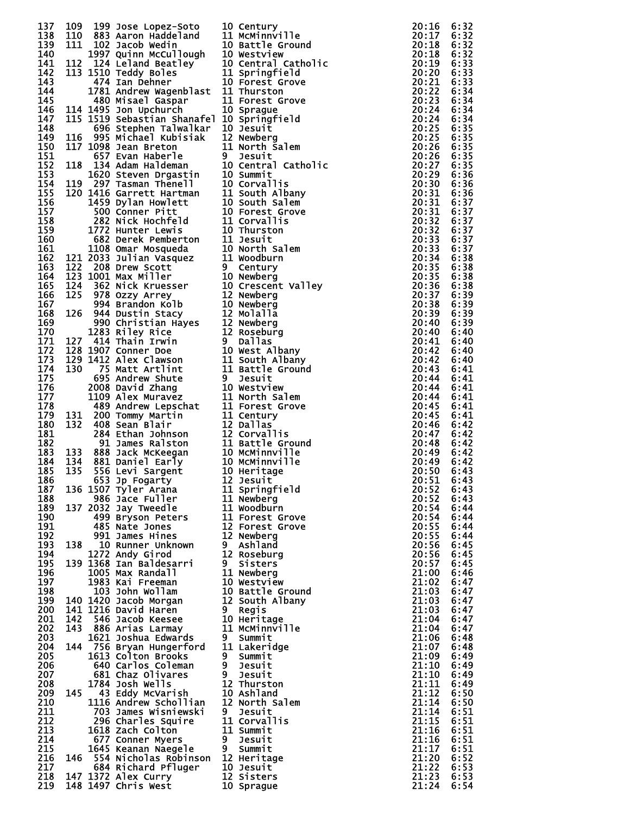| 137        |     |                                                                                                                                                                                                                                               |   | 109 199 Most Lopez-Scott 110 Centry<br>111 883 Aaron Haddeland 11 Meximiville 20:16 199<br>111 883 Aaron Haddeland 11 Meximiville 20:16 12<br>111 883 Aaron Haddeland 11 Meximiville 20:218 12<br>111 9224 Melmer Wangelb 11 Septembe |                | 6:32         |
|------------|-----|-----------------------------------------------------------------------------------------------------------------------------------------------------------------------------------------------------------------------------------------------|---|---------------------------------------------------------------------------------------------------------------------------------------------------------------------------------------------------------------------------------------|----------------|--------------|
| 138        |     |                                                                                                                                                                                                                                               |   |                                                                                                                                                                                                                                       |                | 6:32         |
| 139        |     |                                                                                                                                                                                                                                               |   |                                                                                                                                                                                                                                       |                | 6:32         |
| 140<br>141 |     |                                                                                                                                                                                                                                               |   |                                                                                                                                                                                                                                       |                | 6:32<br>6:33 |
| 142        |     |                                                                                                                                                                                                                                               |   |                                                                                                                                                                                                                                       |                | 6:33         |
| 143        |     |                                                                                                                                                                                                                                               |   |                                                                                                                                                                                                                                       |                | 6:33         |
| 144        |     |                                                                                                                                                                                                                                               |   |                                                                                                                                                                                                                                       |                | 6:34         |
| 145        |     |                                                                                                                                                                                                                                               |   |                                                                                                                                                                                                                                       |                | 6:34         |
| 146        |     |                                                                                                                                                                                                                                               |   |                                                                                                                                                                                                                                       |                | 6:34         |
| 147        |     |                                                                                                                                                                                                                                               |   |                                                                                                                                                                                                                                       |                | 6:34         |
| 148<br>149 |     |                                                                                                                                                                                                                                               |   |                                                                                                                                                                                                                                       |                | 6:35<br>6:35 |
| 150        |     |                                                                                                                                                                                                                                               |   |                                                                                                                                                                                                                                       |                | 6:35         |
| 151        |     |                                                                                                                                                                                                                                               |   |                                                                                                                                                                                                                                       |                | 6:35         |
| 152        |     |                                                                                                                                                                                                                                               |   |                                                                                                                                                                                                                                       |                | 6:35         |
| 153        |     |                                                                                                                                                                                                                                               |   |                                                                                                                                                                                                                                       |                | 6:36         |
| 154        |     |                                                                                                                                                                                                                                               |   |                                                                                                                                                                                                                                       |                | 6:36         |
| 155        |     |                                                                                                                                                                                                                                               |   |                                                                                                                                                                                                                                       |                | 6:36         |
| 156        |     |                                                                                                                                                                                                                                               |   |                                                                                                                                                                                                                                       |                | 6:37         |
| 157        |     |                                                                                                                                                                                                                                               |   |                                                                                                                                                                                                                                       |                | 6:37         |
| 158<br>159 |     |                                                                                                                                                                                                                                               |   |                                                                                                                                                                                                                                       |                | 6:37<br>6:37 |
| 160        |     |                                                                                                                                                                                                                                               |   |                                                                                                                                                                                                                                       |                | 6:37         |
| 161        |     |                                                                                                                                                                                                                                               |   |                                                                                                                                                                                                                                       |                | 6:37         |
| 162        |     |                                                                                                                                                                                                                                               |   |                                                                                                                                                                                                                                       |                | 6:38         |
| 163        |     |                                                                                                                                                                                                                                               |   |                                                                                                                                                                                                                                       |                | 6:38         |
| 164        |     |                                                                                                                                                                                                                                               |   |                                                                                                                                                                                                                                       |                | 6:38         |
| 165        |     |                                                                                                                                                                                                                                               |   |                                                                                                                                                                                                                                       |                | 6:38         |
| 166        |     |                                                                                                                                                                                                                                               |   |                                                                                                                                                                                                                                       |                | 6:39         |
| 167        |     |                                                                                                                                                                                                                                               |   |                                                                                                                                                                                                                                       |                | 6:39         |
| 168<br>169 |     |                                                                                                                                                                                                                                               |   |                                                                                                                                                                                                                                       |                | 6:39<br>6:39 |
| 170        |     |                                                                                                                                                                                                                                               |   |                                                                                                                                                                                                                                       |                | 6:40         |
| 171        |     |                                                                                                                                                                                                                                               |   |                                                                                                                                                                                                                                       |                | 6:40         |
| 172        |     |                                                                                                                                                                                                                                               |   |                                                                                                                                                                                                                                       |                | 6:40         |
| 173        |     |                                                                                                                                                                                                                                               |   |                                                                                                                                                                                                                                       |                | 6:40         |
| 174        |     |                                                                                                                                                                                                                                               |   |                                                                                                                                                                                                                                       |                | 6:41         |
| 175        |     |                                                                                                                                                                                                                                               |   |                                                                                                                                                                                                                                       |                | 6:41         |
| 176        |     |                                                                                                                                                                                                                                               |   |                                                                                                                                                                                                                                       |                | 6:41         |
| 177        |     |                                                                                                                                                                                                                                               |   |                                                                                                                                                                                                                                       |                | 6:41         |
| 178        |     |                                                                                                                                                                                                                                               |   |                                                                                                                                                                                                                                       |                | 6:41         |
| 179<br>180 |     |                                                                                                                                                                                                                                               |   |                                                                                                                                                                                                                                       |                | 6:41<br>6:42 |
| 181        |     |                                                                                                                                                                                                                                               |   |                                                                                                                                                                                                                                       |                | 6:42         |
| 182        |     |                                                                                                                                                                                                                                               |   |                                                                                                                                                                                                                                       |                | 6:42         |
| 183        |     |                                                                                                                                                                                                                                               |   |                                                                                                                                                                                                                                       |                | 6:42         |
| 184        |     |                                                                                                                                                                                                                                               |   |                                                                                                                                                                                                                                       |                | 6:42         |
| 185        |     |                                                                                                                                                                                                                                               |   |                                                                                                                                                                                                                                       |                | 6:43         |
| 186        |     |                                                                                                                                                                                                                                               |   |                                                                                                                                                                                                                                       | $20:51$ 6:43   |              |
| 187        |     | 136 1507 Tyler Arana                                                                                                                                                                                                                          |   | 11 Springfield                                                                                                                                                                                                                        | 20:52          | 6:43         |
| 188<br>189 |     | 986 Jace Fuller<br>137 2032 Jay Tweedle                                                                                                                                                                                                       |   | 11 Newberg<br>11 Woodburn                                                                                                                                                                                                             | 20:52<br>20:54 | 6:43<br>6:44 |
| 190        |     | 499 Bryson Peters                                                                                                                                                                                                                             |   | 11 Forest Grove                                                                                                                                                                                                                       | 20:54          | 6:44         |
| 191        |     | 485 Nate Jones                                                                                                                                                                                                                                |   | 12 Forest Grove                                                                                                                                                                                                                       | 20:55          | 6:44         |
| 192        |     | 991 James Hines                                                                                                                                                                                                                               |   | 12 Newberg                                                                                                                                                                                                                            | 20:55          | 6:44         |
| 193        |     | 138 10 Runner Unknown                                                                                                                                                                                                                         |   | 9 Ashland                                                                                                                                                                                                                             | 20:56          | 6:45         |
| 194        |     | 1272 Andy Girod                                                                                                                                                                                                                               |   | 12 Roseburg                                                                                                                                                                                                                           | 20:56          | 6:45         |
| 195        |     | 139 1368 Ian Baldesarri                                                                                                                                                                                                                       |   | 9 Sisters                                                                                                                                                                                                                             | 20:57          | 6:45         |
| 196        |     | 1005 Max Randall                                                                                                                                                                                                                              |   | 11 Newberg                                                                                                                                                                                                                            | 21:00          | 6:46         |
| 197<br>198 |     | 1983 Kai Freeman<br>31 10 Battle Ground Hard 12 South Albar.<br>246 Jacob Keesee 10 Heritage<br>143 886 Arias Larmay 11 McMinnville<br>1621 Joshua Edwards 9 Summit<br>1625 Bryan Hungerford 11 Laker:<br>1640 Carlos Coleman<br>179.<br>179. |   | 10 Westview<br>10 Battle Ground                                                                                                                                                                                                       | 21:02<br>21:03 | 6:47<br>6:47 |
| 199        |     |                                                                                                                                                                                                                                               |   | 12 South Albany                                                                                                                                                                                                                       | 21:03          | 6:47         |
| 200        |     |                                                                                                                                                                                                                                               |   |                                                                                                                                                                                                                                       | 21:03          | 6:47         |
| 201        |     |                                                                                                                                                                                                                                               |   |                                                                                                                                                                                                                                       | 21:04          | 6:47         |
| 202        |     |                                                                                                                                                                                                                                               |   |                                                                                                                                                                                                                                       | 21:04          | 6:47         |
| 203        |     |                                                                                                                                                                                                                                               |   |                                                                                                                                                                                                                                       | 21:06          | 6:48         |
| 204        |     |                                                                                                                                                                                                                                               |   |                                                                                                                                                                                                                                       | 21:07          | 6:48         |
| 205        |     |                                                                                                                                                                                                                                               |   |                                                                                                                                                                                                                                       | 21:09          | 6:49         |
| 206        |     |                                                                                                                                                                                                                                               |   |                                                                                                                                                                                                                                       | 21:10          | 6:49         |
| 207        |     |                                                                                                                                                                                                                                               |   | 12 Thurston                                                                                                                                                                                                                           | 21:10          | 6:49         |
| 208<br>209 | 145 | 1784 Josh Wells<br>43 Eddy McVarish                                                                                                                                                                                                           |   | 10 Ashland                                                                                                                                                                                                                            | 21:11<br>21:12 | 6:49<br>6:50 |
| 210        |     | 1116 Andrew Schollian                                                                                                                                                                                                                         |   | 12 North Salem                                                                                                                                                                                                                        | 21:14          | 6:50         |
| 211        |     | 703 James Wisniewski                                                                                                                                                                                                                          | 9 | Jesuit                                                                                                                                                                                                                                | 21:14          | 6:51         |
| 212        |     | 296 Charles Squire                                                                                                                                                                                                                            |   | 11 Corvallis                                                                                                                                                                                                                          | 21:15          | 6:51         |
| 213        |     | 1618 Zach Colton                                                                                                                                                                                                                              |   | 11 Summit                                                                                                                                                                                                                             | 21:16          | 6:51         |
| 214        |     | 677 Conner Myers                                                                                                                                                                                                                              |   | 9 Jesuit                                                                                                                                                                                                                              | 21:16          | 6:51         |
| 215        |     | 1645 Keanan Naegele                                                                                                                                                                                                                           |   | 9 Summit                                                                                                                                                                                                                              | 21:17          | 6:51         |
| 216        |     | 146 554 Nicholas Robinson 12 Heritage                                                                                                                                                                                                         |   |                                                                                                                                                                                                                                       | 21:20          | 6:52         |
| 217<br>218 |     | 684 Richard Pfluger<br>147 1372 Alex Curry                                                                                                                                                                                                    |   | 10 Jesuit<br>12 Sisters                                                                                                                                                                                                               | 21:22<br>21:23 | 6:53<br>6:53 |
| 219        |     | 148 1497 Chris West                                                                                                                                                                                                                           |   | 10 Sprague                                                                                                                                                                                                                            | 21:24          | 6:54         |
|            |     |                                                                                                                                                                                                                                               |   |                                                                                                                                                                                                                                       |                |              |

| 0.                                    | Century                            |
|---------------------------------------|------------------------------------|
| $\mathbf{1}$                          | <b>McMinnville</b>                 |
| 0.                                    | Battle Ground                      |
| 0.                                    | Westview                           |
| $\overline{0}$                        | Central Catholio                   |
| $\mathbf{1}$                          | Springfield                        |
| $\frac{0}{1}$                         | <b>Forest Grove</b>                |
|                                       | Thurston                           |
| $\vec{1}$                             | Forest Grove                       |
| $\mathbf{0}$                          | Sprague                            |
| 0.                                    | Springfield                        |
| $\bf{0}$                              | Jesuit                             |
| $\frac{2}{1}$                         | Newberg                            |
|                                       | North Šalem                        |
| L                                     | Jesuit                             |
| 0.                                    | Central Catholio                   |
| .0                                    | Summit                             |
| 0.                                    | Corvallis                          |
| $\mathbf{1}$                          | South Albany<br>South Salem        |
| 0.                                    |                                    |
| $\overline{0}$                        |                                    |
| $\mathbf{1}$                          | Forest Grove<br>Corvallis          |
| $\frac{0}{1}$                         | Thurston                           |
|                                       | Jesuit                             |
| .0<br>.1                              | North Salem                        |
|                                       | Woodburn                           |
| L                                     | Century                            |
| 0.                                    | Newberg                            |
| $\ddot{\mathbf{0}}$                   | Valley<br>Crescent                 |
| $\mathbf{2}$                          | Newberg                            |
|                                       | Newbera                            |
| $\frac{0}{2}$                         | Molalla                            |
|                                       | Newberg                            |
| $\frac{2}{2}$                         | Roseburg                           |
| L                                     | <b>Dallas</b>                      |
| 0.                                    | West Albany                        |
|                                       | South Albany                       |
| $\frac{1}{1}$                         | Battle Ground                      |
| I.                                    | Jesuit                             |
|                                       | Westview                           |
| 0.                                    |                                    |
| $\frac{1}{1}$<br>$\frac{1}{2}$        | North Salem<br>Forest Grove        |
|                                       |                                    |
|                                       | Century<br>Dallas                  |
|                                       |                                    |
| $\frac{2}{1}$                         | Corvallis<br>Battle Ground         |
|                                       |                                    |
| 0.<br>0.                              | MCMinnville<br>MCMinnville         |
| 0.                                    | Heritage                           |
|                                       |                                    |
| -2.1.1.1.1.2.2.2                      | Jesuit <sup>-</sup><br>Springfield |
|                                       | Newberg                            |
|                                       | Woodburn                           |
|                                       |                                    |
|                                       | Forest Grove<br>Forest Grove       |
|                                       | Newberg                            |
|                                       | Ashland                            |
| $\overline{2}$                        | Roseburg                           |
| L                                     | Sisters                            |
| $\mathbf{1}$                          | Newberg                            |
|                                       |                                    |
| 0.<br>0.0<br>2.                       | Westview<br>Battle Ground          |
|                                       | <b>South</b><br>Albany             |
| L                                     |                                    |
|                                       | Regis<br>Heritage                  |
| $\begin{array}{c} 0 \\ 1 \end{array}$ | McMinnville                        |
|                                       |                                    |
| $\mathbf{1}$                          | Summit<br>Lakeridge                |
| I                                     |                                    |
|                                       | Summit                             |
|                                       | Jesuit                             |
|                                       | Jesuit                             |
| $\overline{c}$                        | Thurston                           |
| .ō<br>.2                              | Ashland                            |
|                                       | North Salem                        |
|                                       | Jesuit<br>Corvallis                |
| $\mathbf{1}$<br>$\mathbf{1}$          |                                    |
|                                       | Summit                             |
| L                                     | Jesuit                             |
| $\overline{c}$                        | Summit                             |
|                                       |                                    |
|                                       | Heritage                           |
|                                       | Jesuit                             |
| $\frac{0}{2}$<br>0.                   | Sisters<br>Sprague                 |

| 20<br>20<br>$\vdots$                          | i                                   |
|-----------------------------------------------|-------------------------------------|
| i                                             |                                     |
|                                               | $\ddot{\phantom{a}}$                |
|                                               |                                     |
|                                               | $\ddot{ }$                          |
|                                               |                                     |
|                                               |                                     |
|                                               |                                     |
|                                               |                                     |
|                                               |                                     |
|                                               |                                     |
|                                               |                                     |
|                                               |                                     |
|                                               |                                     |
|                                               |                                     |
|                                               |                                     |
|                                               |                                     |
|                                               |                                     |
|                                               |                                     |
|                                               |                                     |
|                                               |                                     |
|                                               |                                     |
|                                               |                                     |
|                                               |                                     |
|                                               |                                     |
|                                               |                                     |
|                                               |                                     |
|                                               |                                     |
|                                               |                                     |
|                                               |                                     |
|                                               |                                     |
|                                               |                                     |
|                                               |                                     |
|                                               |                                     |
|                                               |                                     |
|                                               |                                     |
|                                               |                                     |
|                                               |                                     |
|                                               |                                     |
|                                               |                                     |
|                                               |                                     |
|                                               |                                     |
|                                               |                                     |
|                                               |                                     |
|                                               |                                     |
|                                               |                                     |
|                                               |                                     |
|                                               |                                     |
|                                               |                                     |
|                                               |                                     |
|                                               |                                     |
| 20<br>20<br>20                                | $\ddot{\phantom{a}}$                |
|                                               |                                     |
|                                               | $\ddot{\phantom{a}}$                |
|                                               |                                     |
|                                               | i                                   |
|                                               |                                     |
|                                               |                                     |
|                                               |                                     |
|                                               |                                     |
|                                               |                                     |
|                                               |                                     |
|                                               |                                     |
|                                               |                                     |
|                                               |                                     |
|                                               |                                     |
|                                               |                                     |
|                                               |                                     |
|                                               |                                     |
|                                               |                                     |
|                                               |                                     |
|                                               |                                     |
|                                               |                                     |
|                                               |                                     |
|                                               |                                     |
|                                               |                                     |
|                                               |                                     |
|                                               |                                     |
|                                               |                                     |
|                                               |                                     |
|                                               |                                     |
| <b> 222222222222222222222222222222222221 </b> | 666666666666666666666666666666<br>E |
|                                               | E                                   |
|                                               |                                     |
|                                               |                                     |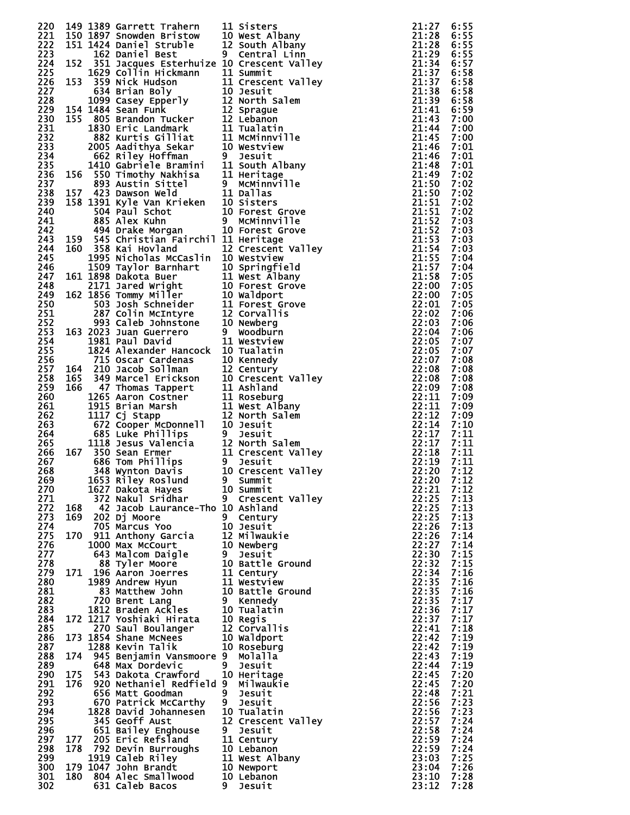| 220         |     | 149 1389 Garrett Trahern                                                                                                                                                                                                                                                    |   | 11 Sisters                                                                                                                 | 21:27          | 6:55         |
|-------------|-----|-----------------------------------------------------------------------------------------------------------------------------------------------------------------------------------------------------------------------------------------------------------------------------|---|----------------------------------------------------------------------------------------------------------------------------|----------------|--------------|
| 221         |     | 150 1897 Snowden Bristow 10 West Albany<br>151 1424 Daniel Struble 12 South Albany<br>162 Daniel Best 9 Central Linn                                                                                                                                                        |   | 21:27<br>21:28<br>21:28<br>21:34<br>21:37<br>21:37<br>21:38<br>21:38<br>21:44<br>21:44<br>21:44<br>21:44<br>21:44<br>21:44 |                | 6:55         |
| 222<br>223  |     |                                                                                                                                                                                                                                                                             |   |                                                                                                                            |                | 6:55<br>6:55 |
| 224         |     | 152 351 Jacques Esterhuize 10 Crescent Valley                                                                                                                                                                                                                               |   |                                                                                                                            |                | 6:57         |
| 225         |     | 152 351 bacques Esterhuize 10 Crescent Valley<br>1629 Collin Hickmann 11 Summit<br>153 359 Nick Hudson<br>634 Brian Boly 10 Jesuit<br>1099 Casey Epperly 10 Jesuit<br>1099 Casey Epperly 12 North salem<br>154 1484 Sean Funk 12 Sprague<br>                                |   |                                                                                                                            |                | 6:58         |
| 226         |     |                                                                                                                                                                                                                                                                             |   |                                                                                                                            |                | 6:58         |
| 227         |     |                                                                                                                                                                                                                                                                             |   |                                                                                                                            |                | 6:58         |
| 228<br>229  |     |                                                                                                                                                                                                                                                                             |   |                                                                                                                            |                | 6:58         |
| 230         |     |                                                                                                                                                                                                                                                                             |   |                                                                                                                            |                | 6:59<br>7:00 |
| 231         |     |                                                                                                                                                                                                                                                                             |   |                                                                                                                            |                | 7:00         |
| 232         |     |                                                                                                                                                                                                                                                                             |   |                                                                                                                            |                | 7:00         |
| 233         |     |                                                                                                                                                                                                                                                                             |   |                                                                                                                            | 21:46          | 7:01         |
| 234         |     |                                                                                                                                                                                                                                                                             |   |                                                                                                                            | 21:46          | 7:01         |
| 235<br>236  |     |                                                                                                                                                                                                                                                                             |   |                                                                                                                            |                | 7:01<br>7:02 |
| 237         |     |                                                                                                                                                                                                                                                                             |   |                                                                                                                            |                | 7:02         |
| 238         |     |                                                                                                                                                                                                                                                                             |   |                                                                                                                            |                | 7:02         |
| 239         |     |                                                                                                                                                                                                                                                                             |   |                                                                                                                            |                | 7:02         |
| 240         |     |                                                                                                                                                                                                                                                                             |   |                                                                                                                            |                | 7:02         |
| 241<br>242  |     |                                                                                                                                                                                                                                                                             |   |                                                                                                                            |                | 7:03<br>7:03 |
| 243         |     |                                                                                                                                                                                                                                                                             |   |                                                                                                                            |                | 7:03         |
| 244         |     | 160 358 Kai Hovland                                                                                                                                                                                                                                                         |   |                                                                                                                            |                | 7:03         |
| 245         |     | 1995 Nicholas McCaslin 10 Westview                                                                                                                                                                                                                                          |   |                                                                                                                            |                | 7:04         |
| 246         |     |                                                                                                                                                                                                                                                                             |   |                                                                                                                            |                | 7:04         |
| 247.<br>248 |     |                                                                                                                                                                                                                                                                             |   |                                                                                                                            |                | 7:05<br>7:05 |
| 249         |     |                                                                                                                                                                                                                                                                             |   |                                                                                                                            |                | 7:05         |
| 250         |     | 1995 Nicholas McCaslin 10 Westview<br>1509 Taylor Barnhart 10 Springfield<br>161 1898 Dakota Buer 11 West Albany<br>2171 Jared Wright 10 Forest Grove<br>162 1856 Tommy Miller 10 Waldport<br>503 Josh Schneider 11 Forest Grove<br>287 Colin Mc                            |   |                                                                                                                            |                | 7:05         |
| 251         |     |                                                                                                                                                                                                                                                                             |   |                                                                                                                            |                | 7:06         |
| 252         |     |                                                                                                                                                                                                                                                                             |   |                                                                                                                            |                | 7:06         |
| 253         |     |                                                                                                                                                                                                                                                                             |   |                                                                                                                            |                | 7:06         |
| 254<br>255  |     |                                                                                                                                                                                                                                                                             |   |                                                                                                                            |                | 7:07<br>7:07 |
| 256         |     |                                                                                                                                                                                                                                                                             |   |                                                                                                                            |                | 7:08         |
| 257         |     |                                                                                                                                                                                                                                                                             |   |                                                                                                                            |                | 7:08         |
| 258         |     |                                                                                                                                                                                                                                                                             |   |                                                                                                                            |                | 7:08         |
| 259         |     |                                                                                                                                                                                                                                                                             |   |                                                                                                                            |                | 7:08         |
| 260<br>261  |     |                                                                                                                                                                                                                                                                             |   |                                                                                                                            | 22:11          | 7:09<br>7:09 |
| 262         |     | 1824 Alexander Hancock 10 Tualatin<br>715 Oscar Cardenas<br>10 Kennedy<br>164 210 Jacob Sollman<br>12 Century<br>165 349 Marcel Erickson<br>10 Crescent Valley<br>166 47 Thomas Tappert<br>11 Ashland<br>1265 Aaron Costner<br>11 Roseburg<br>1915 B                        |   | 22:11<br>22:12<br>22:14<br>22:17<br>22:17<br>22:18<br>22:18<br>22:20<br>22:20                                              |                | 7:09         |
| 263         |     |                                                                                                                                                                                                                                                                             |   |                                                                                                                            |                | 7:10         |
| 264         |     |                                                                                                                                                                                                                                                                             |   |                                                                                                                            |                | 7:11         |
| 265         |     |                                                                                                                                                                                                                                                                             |   |                                                                                                                            |                | 7:11<br>7:11 |
| 266<br>267  |     |                                                                                                                                                                                                                                                                             |   |                                                                                                                            |                | 7:11         |
| 268         |     |                                                                                                                                                                                                                                                                             |   |                                                                                                                            |                | 7:12         |
| 269         |     |                                                                                                                                                                                                                                                                             |   | $22:20 \quad 7:12$                                                                                                         |                |              |
| 270         |     | 1627 Dakota Hayes                                                                                                                                                                                                                                                           |   | 10 Summit                                                                                                                  | 22:21          | 7:12         |
| 271         |     | 372 Nakul Sridhar<br>42 Jacob Laurance-Tho 10 Ashland                                                                                                                                                                                                                       |   | 9 Crescent Valley                                                                                                          | 22:25<br>22:25 | 7:13         |
| 272<br>273  | 168 | 169 202 Dj Moore                                                                                                                                                                                                                                                            |   | 9 Century                                                                                                                  | 22:25          | 7:13<br>7:13 |
| 274         |     | 705 Marcus Yoo                                                                                                                                                                                                                                                              |   | 10 Jesuit                                                                                                                  | 22:26          | 7:13         |
| 275         |     | 170 911 Anthony Garcia 12 Milwaukie                                                                                                                                                                                                                                         |   |                                                                                                                            | 22:26          | 7:14         |
| 276         |     | 1000 Max McCourt                                                                                                                                                                                                                                                            |   | 10 Newberg                                                                                                                 | 22:27          | 7:14         |
| 277<br>278  |     | 643 Malcom Daigle                                                                                                                                                                                                                                                           |   | 9 Jesuit                                                                                                                   | 22:30<br>22:32 | 7:15<br>7:15 |
| 279         | 171 | 88 Tyler Moore<br>196 Aaron Joernes<br>196 Aaron Joernes<br>11 Century<br>1989 Andrew Hyun<br>83 Matthew John<br>720 Brent Lang<br>1812 Braden Ackles<br>19 Mennedy<br>1812 Braden Ackles<br>19 Mennedy<br>19 Mennedy<br>19 Mennedy<br>19 Mennedy<br>19 Mennedy<br>19 Menne |   |                                                                                                                            | 22:34          | 7:16         |
| 280         |     |                                                                                                                                                                                                                                                                             |   |                                                                                                                            | 22:35          | 7:16         |
| 281         |     |                                                                                                                                                                                                                                                                             |   |                                                                                                                            | 22:35          | 7:16         |
| 282         |     |                                                                                                                                                                                                                                                                             |   |                                                                                                                            | 22:35          | 7:17         |
| 283         |     |                                                                                                                                                                                                                                                                             |   |                                                                                                                            | 22:36          | 7:17<br>7:17 |
| 284<br>285  |     | 172 1217 Yoshiaki Hirata<br>270 Saul Boulanger                                                                                                                                                                                                                              |   | 12 Corvallis                                                                                                               | 22:37<br>22:41 | 7:18         |
| 286         |     | 173 1854 Shane McNees                                                                                                                                                                                                                                                       |   | 10 Waldport                                                                                                                | 22:42          | 7:19         |
| 287         |     | 1288 Kevin Talik                                                                                                                                                                                                                                                            |   | 10 Roseburg                                                                                                                | 22:42          | 7:19         |
| 288         |     | 174 945 Benjamin Vansmoore 9 Molalla                                                                                                                                                                                                                                        |   |                                                                                                                            | 22:43          | 7:19         |
| 289         | 175 | 648 Max Dordevic                                                                                                                                                                                                                                                            | 9 | Jesuit                                                                                                                     | 22:44<br>22:45 | 7:19<br>7:20 |
| 290<br>291  |     | 543 Dakota Crawford<br>176 920 Nethaniel Redfield 9                                                                                                                                                                                                                         |   | 10 Heritage<br>Milwaukie                                                                                                   | 22:45          | 7:20         |
| 292         |     | 656 Matt Goodman                                                                                                                                                                                                                                                            |   | 9 Jesuit                                                                                                                   | 22:48          | 7:21         |
| 293         |     | 670 Patrick McCarthy                                                                                                                                                                                                                                                        |   | 9 Jesuit                                                                                                                   | 22:56          | 7:23         |
| 294         |     | 1828 David Johannesen                                                                                                                                                                                                                                                       |   | 10 Tualatin                                                                                                                | 22:56          | 7:23         |
| 295         |     | 345 Geoff Aust                                                                                                                                                                                                                                                              |   | 12 Crescent Valley                                                                                                         | 22:57          | 7:24         |
| 296<br>297  | 177 | 651 Bailey Enghouse<br>205 Eric Refsland                                                                                                                                                                                                                                    |   | 9 Jesuit<br>11 Century                                                                                                     | 22:58<br>22:59 | 7:24<br>7:24 |
| 298         |     | 178 792 Devin Burroughs                                                                                                                                                                                                                                                     |   | 10 Lebanon                                                                                                                 | 22:59          | 7:24         |
| 299         |     | 1919 Caleb Riley                                                                                                                                                                                                                                                            |   | 11 West Albany                                                                                                             | 23:03          | 7:25         |
| 300         |     | 179 1047 John Brandt                                                                                                                                                                                                                                                        |   | 10 Newport                                                                                                                 | 23:04          | 7:26         |
| 301         | 180 | 804 Alec Smallwood                                                                                                                                                                                                                                                          |   | 10 Lebanon                                                                                                                 | 23:10          | 7:28         |
| 302         |     | 631 Caleb Bacos                                                                                                                                                                                                                                                             | 9 | Jesuit                                                                                                                     | 23:12          | 7:28         |

|                                                                | Sisters<br>West Albany                |
|----------------------------------------------------------------|---------------------------------------|
| ١                                                              |                                       |
| $\mathbf{I}$                                                   | South Albany                          |
| I                                                              | Central Linn                          |
|                                                                | Crescent Valley<br>Summit             |
| -<br>)                                                         | Crescent Valley                       |
|                                                                | Jesuit                                |
|                                                                | North Salem                           |
|                                                                | Sprague                               |
|                                                                | Lebanon                               |
| $\frac{1}{2}$                                                  | Tualatin                              |
|                                                                | McMinnville                           |
|                                                                | Westview                              |
|                                                                | Jesuit                                |
|                                                                | South Albany                          |
| ׇ֚֡֬                                                           | Heritage                              |
|                                                                | <b>McMinnville</b>                    |
|                                                                | Dallas                                |
| I<br>١                                                         | Sisters                               |
|                                                                | Forest Grove<br>McMinnville           |
| J                                                              | Forest Grove                          |
|                                                                | Heritage                              |
|                                                                | <b>Valley</b><br>Crescent             |
|                                                                | Westview                              |
| Í                                                              | Springfield                           |
|                                                                | West Albany                           |
| I                                                              | Forest Grove                          |
| I                                                              | Waldport<br>Forest Grove<br>Corvallis |
|                                                                |                                       |
| $\vdots$                                                       |                                       |
|                                                                | Newberg                               |
|                                                                | Woodburn                              |
|                                                                | Westview                              |
| I                                                              | Tualatin                              |
|                                                                | Kennedy                               |
| $\frac{1}{2}$                                                  | Century<br>Crescent Valley            |
|                                                                | Ashland                               |
|                                                                | Roseburg                              |
|                                                                |                                       |
|                                                                |                                       |
|                                                                | West Albany                           |
| $\vdots$                                                       | North Salem                           |
|                                                                | Jesuit<br>Jesuit                      |
| ֧֦֧֧ׅ֧ׅ֧ׅ֧ׅ֧ׅ֧֧֢ׅ֧֚֚֚֚֚֚֚֚֚֚֚֚֚֚֚֚֚֚֚֚֚֚֚֚֚֚֚֚֚֬֡֜֓֡֓֜֓֡֜֓֜֓֜֓ | North Salem                           |
| -                                                              | Crescent Valley                       |
|                                                                | Jesuit                                |
| ۱                                                              | Crescent Valley                       |
|                                                                | Summit                                |
| I                                                              | Summit                                |
|                                                                | Crescent Valley                       |
| I                                                              | Ashland                               |
|                                                                | Century                               |
|                                                                | Jesuit                                |
| $\ddot{\phantom{a}}$<br>١                                      | <b>Milwaukie</b>                      |
|                                                                | Newberg                               |
|                                                                | Jesuit<br>Battle Ground               |
|                                                                | Century                               |
|                                                                |                                       |
|                                                                | Westview<br>Battle Ground             |
|                                                                | <b>Kennedy</b>                        |
|                                                                | Tualatin                              |
|                                                                | Regis                                 |
| J<br>.<br>,                                                    | Corvallis                             |
| $\frac{1}{2}$                                                  |                                       |
| j                                                              |                                       |
|                                                                | Waldport<br>Roseburg<br>Molaḷla       |
|                                                                | Jesuit                                |
| I                                                              | Heritage                              |
|                                                                | Milwauƙie                             |
|                                                                | Jesuit                                |
| I                                                              | Jesuit                                |
|                                                                | Tualatin<br>Valley<br>Crescent        |
|                                                                | Jesuit                                |
|                                                                | Century                               |
| ١                                                              | Lebanon                               |
|                                                                | West Albany                           |
| ,                                                              | Newport                               |
| Ì                                                              | Lebanon<br>Jesuit                     |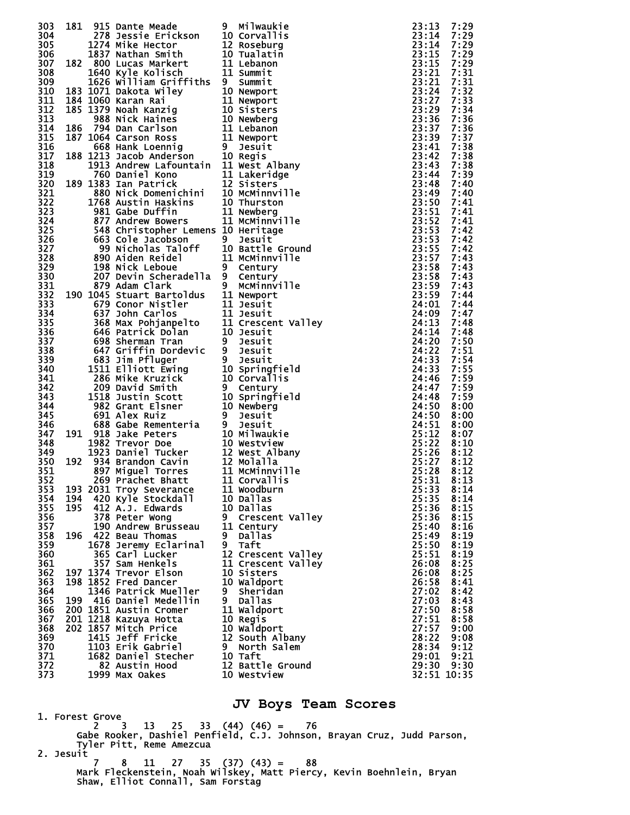| 303        |     |                                               |   |                                                                                                                                                                                                                                                                       |                      | 7:29         |
|------------|-----|-----------------------------------------------|---|-----------------------------------------------------------------------------------------------------------------------------------------------------------------------------------------------------------------------------------------------------------------------|----------------------|--------------|
| 304        |     |                                               |   |                                                                                                                                                                                                                                                                       |                      | 7:29         |
| 305        |     |                                               |   |                                                                                                                                                                                                                                                                       |                      | 7:29         |
| 306        |     |                                               |   |                                                                                                                                                                                                                                                                       |                      | 7:29         |
| 307        |     |                                               |   |                                                                                                                                                                                                                                                                       |                      | 7:29         |
| 308        |     |                                               |   |                                                                                                                                                                                                                                                                       |                      | 7:31         |
| 309        |     |                                               |   |                                                                                                                                                                                                                                                                       |                      | 7:31         |
| 310        |     |                                               |   |                                                                                                                                                                                                                                                                       |                      | 7:32         |
| 311        |     |                                               |   |                                                                                                                                                                                                                                                                       |                      | 7:33         |
| 312        |     |                                               |   |                                                                                                                                                                                                                                                                       |                      | 7:34         |
| 313        |     |                                               |   |                                                                                                                                                                                                                                                                       |                      | 7:36         |
| 314        |     |                                               |   |                                                                                                                                                                                                                                                                       |                      | 7:36         |
| 315        |     |                                               |   |                                                                                                                                                                                                                                                                       |                      | 7:37         |
| 316        |     |                                               |   |                                                                                                                                                                                                                                                                       |                      | 7:38         |
| 317        |     |                                               |   |                                                                                                                                                                                                                                                                       |                      | 7:38         |
| 318<br>319 |     |                                               |   |                                                                                                                                                                                                                                                                       |                      | 7:38<br>7:39 |
| 320        |     |                                               |   |                                                                                                                                                                                                                                                                       |                      | 7:40         |
| 321        |     |                                               |   |                                                                                                                                                                                                                                                                       |                      | 7:40         |
| 322        |     |                                               |   |                                                                                                                                                                                                                                                                       |                      | 7:41         |
| 323        |     |                                               |   |                                                                                                                                                                                                                                                                       |                      | 7:41         |
| 324        |     |                                               |   |                                                                                                                                                                                                                                                                       |                      | 7:41         |
| 325        |     |                                               |   |                                                                                                                                                                                                                                                                       |                      | 7:42         |
| 326        |     |                                               |   |                                                                                                                                                                                                                                                                       |                      | 7:42         |
| 327        |     |                                               |   |                                                                                                                                                                                                                                                                       |                      | 7:42         |
| 328        |     |                                               |   |                                                                                                                                                                                                                                                                       |                      | 7:43         |
| 329        |     |                                               |   |                                                                                                                                                                                                                                                                       |                      | 7:43         |
| 330        |     |                                               |   |                                                                                                                                                                                                                                                                       |                      | 7:43         |
| 331        |     |                                               |   |                                                                                                                                                                                                                                                                       |                      | 7:43         |
| 332        |     |                                               |   |                                                                                                                                                                                                                                                                       |                      | 7:44         |
| 333        |     |                                               |   |                                                                                                                                                                                                                                                                       |                      | 7:44         |
| 334        |     |                                               |   |                                                                                                                                                                                                                                                                       |                      | 7:47         |
| 335        |     |                                               |   |                                                                                                                                                                                                                                                                       |                      | 7:48         |
| 336        |     |                                               |   |                                                                                                                                                                                                                                                                       |                      | 7:48         |
| 337<br>338 |     |                                               |   |                                                                                                                                                                                                                                                                       |                      | 7:50<br>7:51 |
| 339        |     |                                               |   |                                                                                                                                                                                                                                                                       |                      | 7:54         |
| 340        |     |                                               |   |                                                                                                                                                                                                                                                                       |                      | 7:55         |
| 341        |     |                                               |   |                                                                                                                                                                                                                                                                       |                      | 7:59         |
| 342        |     |                                               |   |                                                                                                                                                                                                                                                                       |                      | 7:59         |
| 343        |     |                                               |   |                                                                                                                                                                                                                                                                       |                      | 7:59         |
| 344        |     |                                               |   |                                                                                                                                                                                                                                                                       |                      | 8:00         |
| 345        |     |                                               |   |                                                                                                                                                                                                                                                                       |                      | 8:00         |
| 346        |     |                                               |   |                                                                                                                                                                                                                                                                       |                      | 8:00         |
| 347        |     |                                               |   |                                                                                                                                                                                                                                                                       |                      | 8:07         |
| 348        |     |                                               |   |                                                                                                                                                                                                                                                                       |                      | 8:10         |
| 349        |     |                                               |   |                                                                                                                                                                                                                                                                       |                      | 8:12         |
| 350        |     |                                               |   |                                                                                                                                                                                                                                                                       |                      | 8:12         |
| 351        |     |                                               |   |                                                                                                                                                                                                                                                                       |                      | 8:12         |
| 352        |     | 269 Prachet Bhatt 11 Corvallis                |   |                                                                                                                                                                                                                                                                       | $25:31$ $8:13$       |              |
| 353<br>354 | 194 | 193 2031 Troy Severance<br>420 Kyle Stockdall |   | 181 915 banne Meade<br>181 278 aessie Erickson 9 education 10 Corvallis<br>1724 Mike Hector 110 Rosslaure<br>1724 Mike Hector 110 Rosslaure<br>1827 Micham Smith 201 Vialation<br>1827 Micham Smith 201 Vialation<br>1823 Matcha Milley 1<br>11 Woodburn<br>10 Dallas | 25:33<br>25:35       | 8:14<br>8:14 |
| 355        | 195 | 412 A.J. Edwards                              |   | 10 Dallas                                                                                                                                                                                                                                                             | 25:36                | 8:15         |
| 356        |     | 378 Peter Wong                                |   | 9 Crescent Valley                                                                                                                                                                                                                                                     | 25:36                | 8:15         |
| 357        |     | 190 Andrew Brusseau                           |   | 11 Century                                                                                                                                                                                                                                                            | 25:40                | 8:16         |
| 358        |     | 196 422 Beau Thomas                           |   | 9 Dallas                                                                                                                                                                                                                                                              | 25:49                | 8:19         |
| 359        |     | 1678 Jeremy Eclarinal                         |   | 9 Taft                                                                                                                                                                                                                                                                | 25:50                | 8:19         |
| 360        |     | 365 Carl Lucker                               |   | 12 Crescent Valley                                                                                                                                                                                                                                                    | 25:51                | 8:19         |
| 361        |     | 357 Sam Henkels                               |   | 11 Crescent Valley                                                                                                                                                                                                                                                    | 26:08                | 8:25         |
| 362        |     | 197 1374 Trevor Elson                         |   | 10 Sisters                                                                                                                                                                                                                                                            | 26:08                | 8:25         |
| 363        |     | 198 1852 Fred Dancer                          |   | 10 Waldport                                                                                                                                                                                                                                                           | 26:58                | 8:41         |
| 364        |     | 1346 Patrick Mueller                          |   | 9 Sheridan                                                                                                                                                                                                                                                            | 27:02                | 8:42         |
| 365        |     | 199 416 Daniel Medellin                       | 9 | Dallas                                                                                                                                                                                                                                                                | 27:03                | 8:43         |
| 366        |     | 200 1851 Austin Cromer                        |   | 11 Waldport                                                                                                                                                                                                                                                           | 27:50                | 8:58         |
| 367        |     | 201 1218 Kazuya Hotta                         |   | 10 Regis                                                                                                                                                                                                                                                              | 27:51                | 8:58         |
| 368        |     | 202 1857 Mitch Price                          |   | 10 Waldport                                                                                                                                                                                                                                                           | 27:57                | 9:00         |
| 369        |     | 1415 Jeff Fricke                              |   | 12 South Albany                                                                                                                                                                                                                                                       | 28:22                | 9:08         |
| 370        |     | 1103 Erik Gabriel                             |   | 9 North Salem                                                                                                                                                                                                                                                         | 28:34                | 9:12         |
| 371<br>372 |     | 1682 Daniel Stecher                           |   | 10 Taft                                                                                                                                                                                                                                                               | 29:01                | 9:21         |
| 373        |     | 82 Austin Hood<br>1999 Max Oakes              |   | 12 Battle Ground<br>10 Westview                                                                                                                                                                                                                                       | 29:30<br>32:51 10:35 | 9:30         |
|            |     |                                               |   |                                                                                                                                                                                                                                                                       |                      |              |

**JV Boys Team Scores** 

 1. Forest Grove 2 3 13 25 33 (44) (46) = 76 Gabe Rooker, Dashiel Penfield, C.J. Johnson, Brayan Cruz, Judd Parson, Tyler Pitt, Reme Amezcua 2. Jesuit 7 8 11 27 35 (37) (43) = 88

 Mark Fleckenstein, Noah Wilskey, Matt Piercy, Kevin Boehnlein, Bryan Shaw, Elliot Connall, Sam Forstag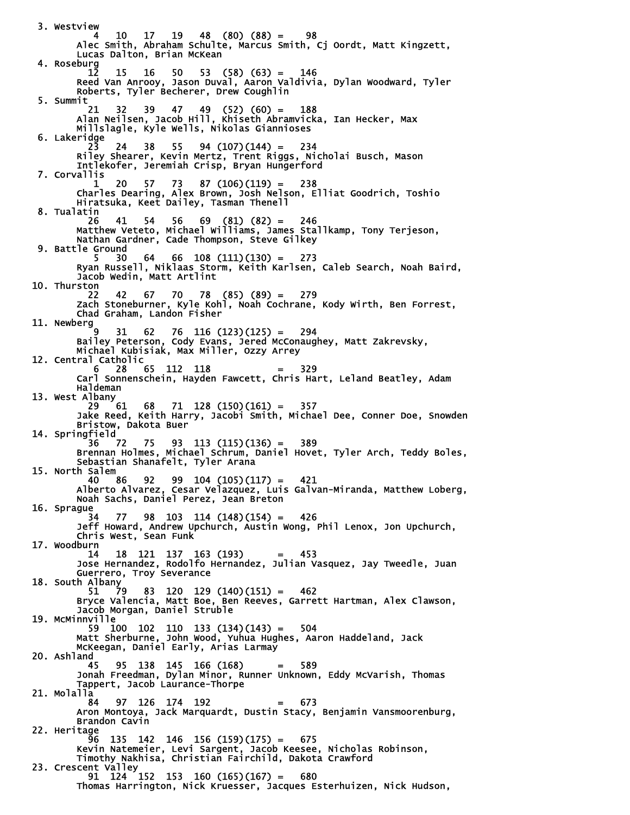3. Westview 4 10 17 19 48 (80) (88) = 98 Alec Smith, Abraham Schulte, Marcus Smith, Cj Oordt, Matt Kingzett, Lucas Dalton, Brian McKean 4. Roseburg 12 15 16 50 53 (58) (63) = 146 Reed Van Anrooy, Jason Duval, Aaron Valdivia, Dylan Woodward, Tyler Roberts, Tyler Becherer, Drew Coughlin 5. Summit 21 32 39 47 49 (52) (60) = 188 Alan Neilsen, Jacob Hill, Khiseth Abramvicka, Ian Hecker, Max Millslagle, Kyle Wells, Nikolas Giannioses 6. Lakeridge 23 24 38 55 94 (107)(144) = 234 Riley Shearer, Kevin Mertz, Trent Riggs, Nicholai Busch, Mason Intlekofer, Jeremiah Crisp, Bryan Hungerford 7. Corvallis 1 20 57 73 87 (106)(119) = 238 Charles Dearing, Alex Brown, Josh Nelson, Elliat Goodrich, Toshio Hiratsuka, Keet Dailey, Tasman Thenell 8. Tualatin 26 41 54 56 69 (81) (82) = 246 Matthew Veteto, Michael Williams, James Stallkamp, Tony Terjeson, Nathan Gardner, Cade Thompson, Steve Gilkey 9. Battle Ground  $64$   $66$   $108$   $(111)(130) = 273$  Ryan Russell, Niklaas Storm, Keith Karlsen, Caleb Search, Noah Baird, Jacob Wedin, Matt Artlint 10. Thurston 22 42 67 70 78 (85) (89) = 279 Zach Stoneburner, Kyle Kohl, Noah Cochrane, Kody Wirth, Ben Forrest, Chad Graham, Landon Fisher 11. Newberg  $9 \quad 31 \quad 62 \quad 76 \quad 116 \quad (123)(125) = 294$  Bailey Peterson, Cody Evans, Jered McConaughey, Matt Zakrevsky, Michael Kubisiak, Max Miller, Ozzy Arrey 12. Central Catholic  $6 \t28 \t65 \t112 \t118 = 329$  Carl Sonnenschein, Hayden Fawcett, Chris Hart, Leland Beatley, Adam Haldeman 13. West Albany<br>29 61 29 61 68 71 128 (150)(161) = 357 Jake Reed, Keith Harry, Jacobi Smith, Michael Dee, Conner Doe, Snowden Bristow, Dakota Buer 14. Springfield 36 72 75 93 113 (115)(136) = 389 Brennan Holmes, Michael Schrum, Daniel Hovet, Tyler Arch, Teddy Boles, Sebastian Shanafelt, Tyler Arana 15. North Salem 40 86 92 99 104 (105)(117) = 421 Alberto Alvarez, Cesar Velazquez, Luis Galvan-Miranda, Matthew Loberg, Noah Sachs, Daniel Perez, Jean Breton 16. Sprague  $34$   $77$   $98$   $103$   $114$   $(148)(154) = 426$  Jeff Howard, Andrew Upchurch, Austin Wong, Phil Lenox, Jon Upchurch, Chris West, Sean Funk 17. Woodburn 14 18 121 137 163 (193) = 453 Jose Hernandez, Rodolfo Hernandez, Julian Vasquez, Jay Tweedle, Juan Guerrero, Troy Severance 18. South Albany<br>51 79 51 79 83 120 129 (140)(151) = 462 Bryce Valencia, Matt Boe, Ben Reeves, Garrett Hartman, Alex Clawson, Jacob Morgan, Daniel Struble 19. McMinnville 59 100 102 110 133 (134)(143) = 504 Matt Sherburne, John Wood, Yuhua Hughes, Aaron Haddeland, Jack McKeegan, Daniel Early, Arias Larmay 20. Ashland<br>45 45 95 138 145 166 (168) = 589 Jonah Freedman, Dylan Minor, Runner Unknown, Eddy McVarish, Thomas Tappert, Jacob Laurance-Thorpe 21. Molalla 84 97 126 174 192 = 673 Aron Montoya, Jack Marquardt, Dustin Stacy, Benjamin Vansmoorenburg, Brandon Cavin 22. Heritage 96 135 142 146 156 (159)(175) = 675 Kevin Natemeier, Levi Sargent, Jacob Keesee, Nicholas Robinson, Timothy Nakhisa, Christian Fairchild, Dakota Crawford 23. Crescent Valley 91 124 152 153 160 (165)(167) = 680 Thomas Harrington, Nick Kruesser, Jacques Esterhuizen, Nick Hudson,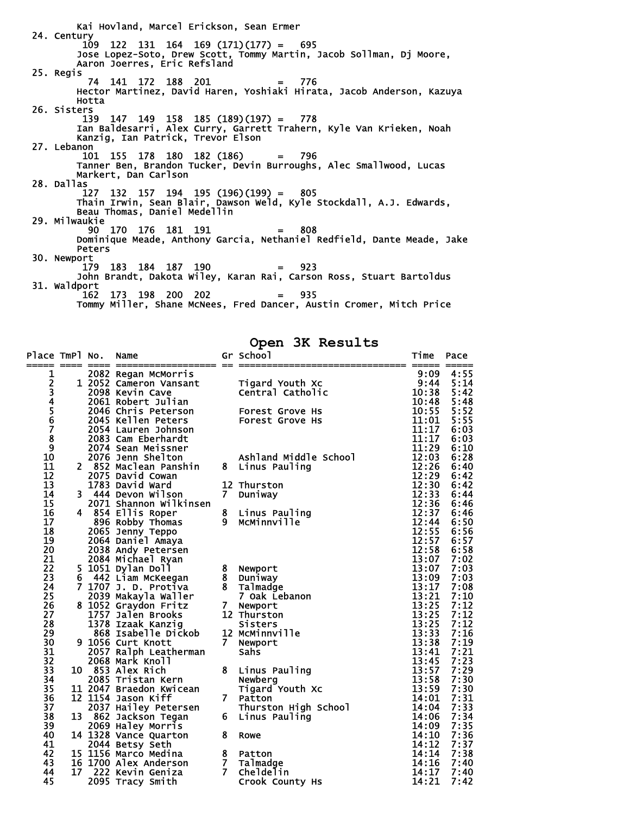Kai Hovland, Marcel Erickson, Sean Ermer 24. Century  $109$  122 131 164 169 (171)(177) = 695 Jose Lopez-Soto, Drew Scott, Tommy Martin, Jacob Sollman, Dj Moore, Aaron Joerres, Eric Refsland 25. Regis 74 141 172 188 201 = 776 Hector Martinez, David Haren, Yoshiaki Hirata, Jacob Anderson, Kazuya Hotta 26. Sisters 139 147 149 158 185 (189)(197) = 778 Ian Baldesarri, Alex Curry, Garrett Trahern, Kyle Van Krieken, Noah Kanzig, Ian Patrick, Trevor Elson 27. Lebanon 101 155 178 180 182 (186) = 796 Tanner Ben, Brandon Tucker, Devin Burroughs, Alec Smallwood, Lucas Markert, Dan Carlson 28. Dallas 127 132 157 194 195 (196)(199) = 805 Thain Irwin, Sean Blair, Dawson Weld, Kyle Stockdall, A.J. Edwards, Beau Thomas, Daniel Medellin 29. Milwaukie  $\frac{1}{90}$  170 176 181 191 = 808 Dominique Meade, Anthony Garcia, Nethaniel Redfield, Dante Meade, Jake Peters 30. Newport 179 183 184 187 190 = 923 John Brandt, Dakota Wiley, Karan Rai, Carson Ross, Stuart Bartoldus 31. Waldport  $162$   $173$   $198$   $200$   $202$  = 935 Tommy Miller, Shane McNees, Fred Dancer, Austin Cromer, Mitch Price

**Open 3K Results** 

| Place TmPl No. |    | Name<br>===== ==== ==== ===================== == |                | Gr School              | Time           | Pace         |
|----------------|----|--------------------------------------------------|----------------|------------------------|----------------|--------------|
| 1              |    | 2082 Regan McMorris                              |                |                        | 9:09           | 4:55         |
| 23456789       |    | 1 2052 Cameron Vansant                           |                | Tigard Youth Xc        | 9:44           | 5:14         |
|                |    | 2098 Kevin Cave                                  |                | Central Catholic       | 10:38          | 5:42         |
|                |    | 2061 Robert Julian                               |                |                        | 10:48          | 5:48         |
|                |    | 2046 Chris Peterson                              |                | <b>Forest Grove Hs</b> | 10:55          | 5:52         |
|                |    | 2045 Kellen Peters                               |                | <b>Forest Grove Hs</b> | 11:01          | 5:55         |
|                |    | 2054 Lauren Johnson                              |                |                        | 11:17          | 6:03         |
|                |    | 2083 Cam Eberhardt                               |                |                        | 11:17          | 6:03         |
|                |    | 2074 Sean Meissner                               |                |                        | 11:29          | 6:10         |
| 10             |    | 2076 Jenn Shelton                                |                | Ashland Middle School  | 12:03          | 6:28         |
| 11             | 2  | 852 Maclean Panshin                              |                | 8 Linus Pauling        | 12:26          | 6:40         |
| 12             |    | 2075 David Cowan                                 |                |                        | 12:29          | 6:42         |
| 13             |    | 1783 David Ward                                  |                | 12 Thurston            | 12:30          | 6:42         |
| 14             | 3  | 444 Devon Wilson                                 | 7 <sup>7</sup> | Duniway                | 12:33          | 6:44         |
| 15             |    | 2071 Shannon Wilkinsen                           |                |                        | 12:36          | 6:46         |
| 16             |    | 4 854 Ellis Roper                                | 8              | Linus Pauling          | 12:37          | 6:46         |
| 17             |    | 896 Robby Thomas                                 | 9              | McMinnville            | 12:44          | 6:50         |
| 18             |    | 2065 Jenny Teppo                                 |                |                        | 12:55<br>12:57 | 6:56         |
| 19<br>20       |    | 2064 Daniel Amaya                                |                |                        | 12:58          | 6:57         |
| 21             |    | 2038 Andy Petersen<br>2084 Michael Ryan          |                |                        | 13:07          | 6:58<br>7:02 |
| 22             |    | 5 1051 Dylan Doll                                |                |                        | 13:07          | 7:03         |
| 23             | 6  | 442 Liam McKeegan                                |                | 8 Newport<br>8 Duniway | 13:09          | 7:03         |
| 24             |    | 7 1707 J. D. Protiva                             |                | 8 Talmadge             | 13:17          | 7:08         |
| 25             |    | 2039 Makayla Waller                              |                | 7 Oak Lebanon          | 13:21          | 7:10         |
| 26             |    | 8 1052 Graydon Fritz                             | $7 -$          | Newport                | 13:25          | 7:12         |
| 27             |    | 1757 Jalen Brooks                                |                | 12 Thurston            | 13:25          | 7:12         |
| 28             |    | 1378 Izaak Kanzig                                |                | <b>Sisters</b>         | 13:25          | 7:12         |
| 29             |    | 868 Isabelle Dickob                              |                | 12 MCMinnville         | 13:33          | 7:16         |
| 30             |    | 9 1056 Curt Knott                                | $7 -$          | Newport                | 13:38          | 7:19         |
| 31             |    | 2057 Ralph Leatherman                            |                | Sahs                   | 13:41          | 7:21         |
| 32             |    | 2068 Mark Knoll                                  |                |                        | 13:45          | 7:23         |
| 33             |    | 10 853 Alex Rich                                 | 8              | Linus Pauling          | 13:57          | 7:29         |
| 34             |    | 2085 Tristan Kern                                |                | Newberg                | 13:58          | 7:30         |
| 35             |    | 11 2047 Braedon Kwicean                          |                | Tigard Youth Xc        | 13:59          | 7:30         |
| 36             |    | 12 1154 Jason Kiff                               | $\mathbf{7}$   | Patton                 | 14:01          | 7:31         |
| 37             |    | 2037 Hailey Petersen                             |                | Thurston High School   | 14:04          | 7:33         |
| 38             |    | 13 862 Jackson Tegan                             | 6              | Linus Pauling          | 14:06          | 7:34         |
| 39             |    | 2069 Haley Morris                                |                |                        | 14:09          | 7:35         |
| 40             |    | 14 1328 Vance Quarton                            | 8              | Rowe                   | 14:10          | 7:36         |
| 41             |    | 2044 Betsy Seth                                  |                |                        | 14:12          | 7:37         |
| 42             |    | 15 1156 Marco Medina                             |                | 8 Patton               | 14:14          | 7:38         |
| 43             |    | 16 1700 Alex Anderson                            | 7 <sup>7</sup> | Talmadge               | 14:16          | 7:40         |
| 44             | 17 | 222 Kevin Geniza                                 | $\mathbf{7}$   | Cheldelin              | 14:17          | 7:40         |
| 45             |    | 2095 Tracy Smith                                 |                | Crook County Hs        | 14:21          | 7:42         |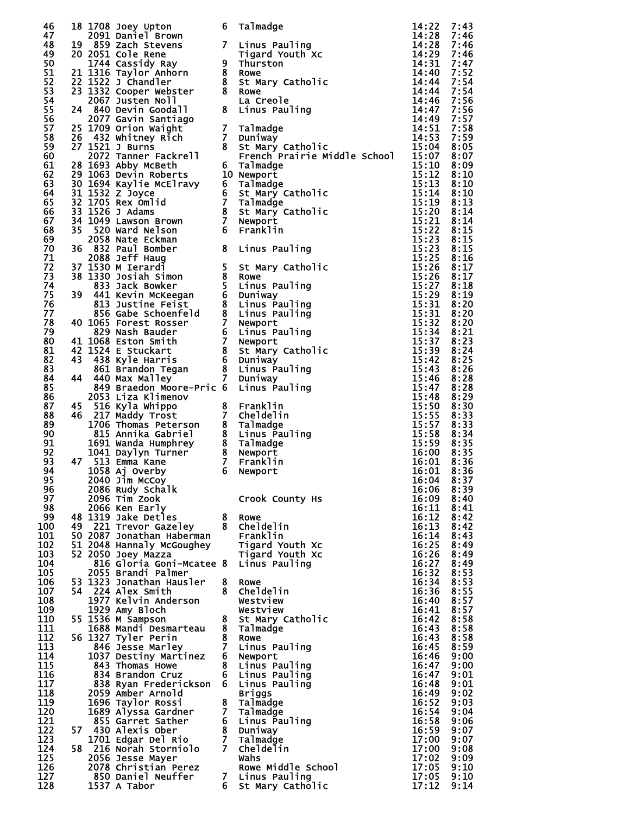|     |    |                                                                                                                                                                                                                                                                           |                | $\begin{tabular}{c c} \multicolumn{4}{c}{\textbf{c}x} & \multicolumn{4}{c}{\textbf{c}x} & \multicolumn{4}{c}{\textbf{c}x} & \multicolumn{4}{c}{\textbf{c}x} & \multicolumn{4}{c}{\textbf{c}x} & \multicolumn{4}{c}{\textbf{c}x} & \multicolumn{4}{c}{\textbf{c}x} & \multicolumn{4}{c}{\textbf{c}x} & \multicolumn{4}{c}{\textbf{c}x} & \multicolumn{4}{c}{\textbf{c}x} & \multicolumn{4}{c}{\textbf{c}x} & \multicolumn{4}{c}{\textbf$ |                |      |
|-----|----|---------------------------------------------------------------------------------------------------------------------------------------------------------------------------------------------------------------------------------------------------------------------------|----------------|-----------------------------------------------------------------------------------------------------------------------------------------------------------------------------------------------------------------------------------------------------------------------------------------------------------------------------------------------------------------------------------------------------------------------------------------|----------------|------|
| 46  |    | 18 1708 Joey Upton<br>18 1708 Joey Upton<br>2091 Daniel Brown<br>19 859 Zach Stevens<br>20 2051 Cole Rene Tigard Youth Xc<br>1744 Cassidy Ray 9 Thurston<br>21 1316 Taylor Anhorn 8 Rowe<br>22 1522 J Chandler 8 St Mary Catholic<br>23 1332 Cooper Webster 8 Rowe        |                |                                                                                                                                                                                                                                                                                                                                                                                                                                         |                |      |
| 47  |    |                                                                                                                                                                                                                                                                           |                |                                                                                                                                                                                                                                                                                                                                                                                                                                         |                |      |
| 48  |    |                                                                                                                                                                                                                                                                           |                |                                                                                                                                                                                                                                                                                                                                                                                                                                         |                |      |
| 49  |    |                                                                                                                                                                                                                                                                           |                |                                                                                                                                                                                                                                                                                                                                                                                                                                         |                |      |
| 50  |    |                                                                                                                                                                                                                                                                           |                |                                                                                                                                                                                                                                                                                                                                                                                                                                         |                |      |
| 51  |    |                                                                                                                                                                                                                                                                           |                |                                                                                                                                                                                                                                                                                                                                                                                                                                         |                |      |
| 52  |    |                                                                                                                                                                                                                                                                           |                |                                                                                                                                                                                                                                                                                                                                                                                                                                         |                |      |
|     |    |                                                                                                                                                                                                                                                                           |                |                                                                                                                                                                                                                                                                                                                                                                                                                                         |                |      |
| 53  |    |                                                                                                                                                                                                                                                                           |                |                                                                                                                                                                                                                                                                                                                                                                                                                                         |                |      |
| 54  |    |                                                                                                                                                                                                                                                                           |                |                                                                                                                                                                                                                                                                                                                                                                                                                                         |                |      |
| 55  |    |                                                                                                                                                                                                                                                                           |                |                                                                                                                                                                                                                                                                                                                                                                                                                                         |                |      |
| 56  |    |                                                                                                                                                                                                                                                                           |                |                                                                                                                                                                                                                                                                                                                                                                                                                                         |                |      |
| 57  |    | 25 1709 Orion Waight                                                                                                                                                                                                                                                      |                |                                                                                                                                                                                                                                                                                                                                                                                                                                         |                |      |
| 58  |    | 26 432 Whitney Rich<br>26 432 Whitney Rich 7 Duniway<br>27 1521 J Burns<br>2072 Tanner Fackrell 8 st Mary Catholic<br>2072 Tanner Fackrell 6 Talmadge<br>30 1063 Devin Roberts 10 Newport<br>30 1694 Kaylie McElravy 6 Talmadge<br>31 1532 Z Joyce<br>35 1705 Rex Omlid 7 |                |                                                                                                                                                                                                                                                                                                                                                                                                                                         |                |      |
| 59  |    | 27 1521 J Burns                                                                                                                                                                                                                                                           |                |                                                                                                                                                                                                                                                                                                                                                                                                                                         |                |      |
| 60  |    |                                                                                                                                                                                                                                                                           |                |                                                                                                                                                                                                                                                                                                                                                                                                                                         |                |      |
|     |    |                                                                                                                                                                                                                                                                           |                |                                                                                                                                                                                                                                                                                                                                                                                                                                         |                |      |
| 61  |    |                                                                                                                                                                                                                                                                           |                |                                                                                                                                                                                                                                                                                                                                                                                                                                         |                |      |
| 62  |    |                                                                                                                                                                                                                                                                           |                |                                                                                                                                                                                                                                                                                                                                                                                                                                         |                |      |
| 63  |    |                                                                                                                                                                                                                                                                           |                |                                                                                                                                                                                                                                                                                                                                                                                                                                         |                |      |
| 64  |    |                                                                                                                                                                                                                                                                           |                |                                                                                                                                                                                                                                                                                                                                                                                                                                         |                |      |
| 65  |    |                                                                                                                                                                                                                                                                           |                |                                                                                                                                                                                                                                                                                                                                                                                                                                         |                |      |
| 66  |    |                                                                                                                                                                                                                                                                           |                |                                                                                                                                                                                                                                                                                                                                                                                                                                         |                |      |
| 67  |    |                                                                                                                                                                                                                                                                           |                |                                                                                                                                                                                                                                                                                                                                                                                                                                         |                |      |
|     |    |                                                                                                                                                                                                                                                                           |                |                                                                                                                                                                                                                                                                                                                                                                                                                                         |                |      |
| 68  |    |                                                                                                                                                                                                                                                                           |                |                                                                                                                                                                                                                                                                                                                                                                                                                                         |                |      |
| 69  |    |                                                                                                                                                                                                                                                                           |                |                                                                                                                                                                                                                                                                                                                                                                                                                                         |                |      |
| 70  |    |                                                                                                                                                                                                                                                                           |                |                                                                                                                                                                                                                                                                                                                                                                                                                                         |                |      |
| 71  |    |                                                                                                                                                                                                                                                                           |                |                                                                                                                                                                                                                                                                                                                                                                                                                                         |                |      |
| 72  |    |                                                                                                                                                                                                                                                                           |                |                                                                                                                                                                                                                                                                                                                                                                                                                                         |                |      |
| 73  |    |                                                                                                                                                                                                                                                                           |                |                                                                                                                                                                                                                                                                                                                                                                                                                                         |                |      |
| 74  |    |                                                                                                                                                                                                                                                                           |                |                                                                                                                                                                                                                                                                                                                                                                                                                                         |                |      |
|     |    |                                                                                                                                                                                                                                                                           |                |                                                                                                                                                                                                                                                                                                                                                                                                                                         |                |      |
| 75  |    |                                                                                                                                                                                                                                                                           |                |                                                                                                                                                                                                                                                                                                                                                                                                                                         |                |      |
| 76  |    |                                                                                                                                                                                                                                                                           |                |                                                                                                                                                                                                                                                                                                                                                                                                                                         |                |      |
| 77  |    |                                                                                                                                                                                                                                                                           |                |                                                                                                                                                                                                                                                                                                                                                                                                                                         |                |      |
| 78  |    |                                                                                                                                                                                                                                                                           |                |                                                                                                                                                                                                                                                                                                                                                                                                                                         |                |      |
| 79  |    |                                                                                                                                                                                                                                                                           |                |                                                                                                                                                                                                                                                                                                                                                                                                                                         |                |      |
| 80  |    |                                                                                                                                                                                                                                                                           |                |                                                                                                                                                                                                                                                                                                                                                                                                                                         |                |      |
|     |    |                                                                                                                                                                                                                                                                           |                |                                                                                                                                                                                                                                                                                                                                                                                                                                         |                |      |
| 81  |    |                                                                                                                                                                                                                                                                           |                |                                                                                                                                                                                                                                                                                                                                                                                                                                         |                |      |
| 82  |    |                                                                                                                                                                                                                                                                           |                |                                                                                                                                                                                                                                                                                                                                                                                                                                         |                |      |
| 83  |    |                                                                                                                                                                                                                                                                           |                |                                                                                                                                                                                                                                                                                                                                                                                                                                         |                |      |
| 84  |    |                                                                                                                                                                                                                                                                           |                |                                                                                                                                                                                                                                                                                                                                                                                                                                         |                |      |
| 85  |    | 849 Braedon Moore-Pric 6 Linus Pauling                                                                                                                                                                                                                                    |                |                                                                                                                                                                                                                                                                                                                                                                                                                                         |                |      |
| 86  |    | 2053 Liza Klimenov                                                                                                                                                                                                                                                        |                |                                                                                                                                                                                                                                                                                                                                                                                                                                         |                |      |
| 87  | 45 |                                                                                                                                                                                                                                                                           |                |                                                                                                                                                                                                                                                                                                                                                                                                                                         |                |      |
|     |    |                                                                                                                                                                                                                                                                           |                |                                                                                                                                                                                                                                                                                                                                                                                                                                         |                |      |
| 88  |    | 46 217 Maddy Trost                                                                                                                                                                                                                                                        |                |                                                                                                                                                                                                                                                                                                                                                                                                                                         | 15:55 8:33     |      |
| 89  |    |                                                                                                                                                                                                                                                                           |                |                                                                                                                                                                                                                                                                                                                                                                                                                                         | 15:57 8:33     |      |
| 90  |    |                                                                                                                                                                                                                                                                           |                | 8 Linus Pauling                                                                                                                                                                                                                                                                                                                                                                                                                         | 15:58 8:34     |      |
| 91  |    |                                                                                                                                                                                                                                                                           |                |                                                                                                                                                                                                                                                                                                                                                                                                                                         | 15:59 8:35     |      |
| 92  |    |                                                                                                                                                                                                                                                                           |                |                                                                                                                                                                                                                                                                                                                                                                                                                                         | 16:00 8:35     |      |
| 93  |    | 47 513 Emma Kane                                                                                                                                                                                                                                                          |                |                                                                                                                                                                                                                                                                                                                                                                                                                                         | 16:01          | 8:36 |
| 94  |    |                                                                                                                                                                                                                                                                           |                |                                                                                                                                                                                                                                                                                                                                                                                                                                         | 16:01          | 8:36 |
|     |    | 2053 Liza Klimenov<br>516 Kyla Whippo<br>217 Maddy Trost 8 Franklin<br>1706 Thomas Peterson 8 Talmadge<br>815 Annika Gabriel 8 Linus Paul<br>1691 Wanda Humphrey 8 Talmadge<br>1041 Daylyn Turner 8 Newport<br>513 Emma Kane 7 Franklin<br>105                            |                |                                                                                                                                                                                                                                                                                                                                                                                                                                         |                |      |
| 95  |    | 2040 Jim McCoy                                                                                                                                                                                                                                                            |                |                                                                                                                                                                                                                                                                                                                                                                                                                                         | 16:04          | 8:37 |
| 96  |    | 2086 Rudy Schalk                                                                                                                                                                                                                                                          |                |                                                                                                                                                                                                                                                                                                                                                                                                                                         | 16:06          | 8:39 |
| 97  |    | 2096 Tim Zook                                                                                                                                                                                                                                                             |                | Crook County Hs                                                                                                                                                                                                                                                                                                                                                                                                                         | 16:09          | 8:40 |
| 98  |    | 2066 Ken Early                                                                                                                                                                                                                                                            |                |                                                                                                                                                                                                                                                                                                                                                                                                                                         | 16:11          | 8:41 |
| 99  |    | 48 1319 Jake Detles                                                                                                                                                                                                                                                       | 8              | Rowe                                                                                                                                                                                                                                                                                                                                                                                                                                    | 16:12          | 8:42 |
| 100 |    | 49 221 Trevor Gazeley                                                                                                                                                                                                                                                     |                | 8 Cheldelin                                                                                                                                                                                                                                                                                                                                                                                                                             | 16:13          | 8:42 |
| 101 |    | 50 2087 Jonathan Haberman                                                                                                                                                                                                                                                 |                | Franklin                                                                                                                                                                                                                                                                                                                                                                                                                                | 16:14          | 8:43 |
|     |    |                                                                                                                                                                                                                                                                           |                |                                                                                                                                                                                                                                                                                                                                                                                                                                         |                |      |
| 102 |    | 51 2048 Hannaly McGoughey                                                                                                                                                                                                                                                 |                | Tigard Youth Xc                                                                                                                                                                                                                                                                                                                                                                                                                         | 16:25          | 8:49 |
| 103 |    | 52 2050 Joey Mazza                                                                                                                                                                                                                                                        |                | Tigard Youth Xc                                                                                                                                                                                                                                                                                                                                                                                                                         | 16:26          | 8:49 |
| 104 |    | 816 Gloria Goni-Mcatee 8 Linus Pauling                                                                                                                                                                                                                                    |                |                                                                                                                                                                                                                                                                                                                                                                                                                                         | 16:27          | 8:49 |
| 105 |    | 2055 Brandi Palmer                                                                                                                                                                                                                                                        |                |                                                                                                                                                                                                                                                                                                                                                                                                                                         | 16:32          | 8:53 |
| 106 |    | 53 1323 Jonathan Hausler                                                                                                                                                                                                                                                  | 8              | <b>Rowe</b>                                                                                                                                                                                                                                                                                                                                                                                                                             | 16:34          | 8:53 |
| 107 |    | 54 224 Alex Smith                                                                                                                                                                                                                                                         | 8              | Cheldelin                                                                                                                                                                                                                                                                                                                                                                                                                               | 16:36          | 8:55 |
| 108 |    | 1977 Kelvin Anderson                                                                                                                                                                                                                                                      |                | Westview                                                                                                                                                                                                                                                                                                                                                                                                                                | 16:40          | 8:57 |
|     |    |                                                                                                                                                                                                                                                                           |                |                                                                                                                                                                                                                                                                                                                                                                                                                                         |                |      |
| 109 |    | 1929 Amy Bloch                                                                                                                                                                                                                                                            |                | Westview                                                                                                                                                                                                                                                                                                                                                                                                                                | 16:41          | 8:57 |
| 110 |    | 55 1536 M Sampson                                                                                                                                                                                                                                                         |                | 8 St Mary Catholic                                                                                                                                                                                                                                                                                                                                                                                                                      | 16:42          | 8:58 |
| 111 |    | 1688 Mandi Desmarteau                                                                                                                                                                                                                                                     |                | 8 Talmadge                                                                                                                                                                                                                                                                                                                                                                                                                              | 16:43          | 8:58 |
| 112 |    | 56 1327 Tyler Perin                                                                                                                                                                                                                                                       |                | 8 Rowe                                                                                                                                                                                                                                                                                                                                                                                                                                  | 16:43          | 8:58 |
| 113 |    | 846 Jesse Marley                                                                                                                                                                                                                                                          | $\mathbf{7}$   | Linus Pauling                                                                                                                                                                                                                                                                                                                                                                                                                           | 16:45          | 8:59 |
| 114 |    | 1037 Destiny Martinez                                                                                                                                                                                                                                                     |                | 6 Newport                                                                                                                                                                                                                                                                                                                                                                                                                               | 16:46          | 9:00 |
| 115 |    | 843 Thomas Howe                                                                                                                                                                                                                                                           | 8              | Linus Pauling                                                                                                                                                                                                                                                                                                                                                                                                                           | 16:47          | 9:00 |
| 116 |    | 834 Brandon Cruz                                                                                                                                                                                                                                                          |                | 6 Linus Pauling                                                                                                                                                                                                                                                                                                                                                                                                                         | 16:47          | 9:01 |
| 117 |    |                                                                                                                                                                                                                                                                           |                |                                                                                                                                                                                                                                                                                                                                                                                                                                         |                |      |
|     |    | 838 Ryan Frederickson                                                                                                                                                                                                                                                     |                | 6 Linus Pauling                                                                                                                                                                                                                                                                                                                                                                                                                         | 16:48          | 9:01 |
| 118 |    | 2059 Amber Arnold                                                                                                                                                                                                                                                         |                | <b>Briggs</b>                                                                                                                                                                                                                                                                                                                                                                                                                           | 16:49          | 9:02 |
| 119 |    | 1696 Taylor Rossi                                                                                                                                                                                                                                                         |                | 8 Talmadge                                                                                                                                                                                                                                                                                                                                                                                                                              | 16:52          | 9:03 |
| 120 |    | 1689 Alyssa Gardner                                                                                                                                                                                                                                                       | 7 <sup>7</sup> | Talmadge                                                                                                                                                                                                                                                                                                                                                                                                                                | 16:54          | 9:04 |
| 121 |    | 855 Garret Sather                                                                                                                                                                                                                                                         |                | 6 Linus Pauling                                                                                                                                                                                                                                                                                                                                                                                                                         | 16:58          | 9:06 |
| 122 |    | 57 430 Alexis Ober                                                                                                                                                                                                                                                        |                | 8 Duniway                                                                                                                                                                                                                                                                                                                                                                                                                               | 16:59          | 9:07 |
| 123 |    | 1701 Edgar Del Rio                                                                                                                                                                                                                                                        | 7 <sup>7</sup> | Talmadge                                                                                                                                                                                                                                                                                                                                                                                                                                | 17:00          | 9:07 |
| 124 |    |                                                                                                                                                                                                                                                                           |                |                                                                                                                                                                                                                                                                                                                                                                                                                                         |                |      |
|     |    | 58 216 Norah Storniolo                                                                                                                                                                                                                                                    |                | 7 Cheldelin                                                                                                                                                                                                                                                                                                                                                                                                                             | 17:00          | 9:08 |
| 125 |    | 2056 Jesse Mayer                                                                                                                                                                                                                                                          |                | Wahs                                                                                                                                                                                                                                                                                                                                                                                                                                    | 17:02          | 9:09 |
| 126 |    | 2078 Christian Perez                                                                                                                                                                                                                                                      |                | Rowe Middle School                                                                                                                                                                                                                                                                                                                                                                                                                      | 17:05          | 9:10 |
|     |    |                                                                                                                                                                                                                                                                           |                |                                                                                                                                                                                                                                                                                                                                                                                                                                         |                |      |
| 127 |    | 850 Daniel Neuffer                                                                                                                                                                                                                                                        |                |                                                                                                                                                                                                                                                                                                                                                                                                                                         |                | 9:10 |
| 128 |    | 1537 A Tabor                                                                                                                                                                                                                                                              | 6              | 7 Linus Pauling<br>St Mary Catholic                                                                                                                                                                                                                                                                                                                                                                                                     | 17:05<br>17:12 | 9:14 |

| 46         |    | 18 1708 Joey Upton                                                                                                                                                                                                                                                    | 6              | Talmadge<br>18 1708 Joey Uption<br>18 2003 Dariel Brown<br>20 2003 Dariel Brown<br>20 2003 Dariel Brown<br>20 1744 CassidView<br>21 1316 Taylor Anhorn B Rowe<br>21 1316 Taylor Mohen Brown<br>21 1316 Taylor Webster Brown Carling<br>21 1322 Chandler B | 14:22          | 7:43         |
|------------|----|-----------------------------------------------------------------------------------------------------------------------------------------------------------------------------------------------------------------------------------------------------------------------|----------------|-----------------------------------------------------------------------------------------------------------------------------------------------------------------------------------------------------------------------------------------------------------|----------------|--------------|
| 47<br>48   |    | 2091 Daniel Brown                                                                                                                                                                                                                                                     |                |                                                                                                                                                                                                                                                           | 14:28          | 7:46         |
| 49         |    |                                                                                                                                                                                                                                                                       |                |                                                                                                                                                                                                                                                           |                |              |
| 50         |    |                                                                                                                                                                                                                                                                       |                |                                                                                                                                                                                                                                                           |                |              |
| 51         |    |                                                                                                                                                                                                                                                                       |                |                                                                                                                                                                                                                                                           |                |              |
| 52         |    |                                                                                                                                                                                                                                                                       |                |                                                                                                                                                                                                                                                           |                |              |
| 53         |    |                                                                                                                                                                                                                                                                       |                |                                                                                                                                                                                                                                                           |                |              |
| 54         |    |                                                                                                                                                                                                                                                                       |                |                                                                                                                                                                                                                                                           |                |              |
| 55         |    |                                                                                                                                                                                                                                                                       |                |                                                                                                                                                                                                                                                           |                |              |
| 56         |    |                                                                                                                                                                                                                                                                       |                |                                                                                                                                                                                                                                                           |                |              |
| 57         |    |                                                                                                                                                                                                                                                                       |                |                                                                                                                                                                                                                                                           |                |              |
| 58<br>59   |    |                                                                                                                                                                                                                                                                       |                |                                                                                                                                                                                                                                                           |                |              |
| 60         |    |                                                                                                                                                                                                                                                                       |                |                                                                                                                                                                                                                                                           |                |              |
| 61         |    |                                                                                                                                                                                                                                                                       |                |                                                                                                                                                                                                                                                           |                |              |
| 62         |    |                                                                                                                                                                                                                                                                       |                |                                                                                                                                                                                                                                                           |                |              |
| 63         |    |                                                                                                                                                                                                                                                                       |                |                                                                                                                                                                                                                                                           |                |              |
| 64         |    |                                                                                                                                                                                                                                                                       |                |                                                                                                                                                                                                                                                           |                |              |
| 65         |    |                                                                                                                                                                                                                                                                       |                |                                                                                                                                                                                                                                                           |                |              |
| 66         |    |                                                                                                                                                                                                                                                                       |                |                                                                                                                                                                                                                                                           |                |              |
| 67         |    |                                                                                                                                                                                                                                                                       |                |                                                                                                                                                                                                                                                           |                |              |
| 68<br>69   |    |                                                                                                                                                                                                                                                                       |                |                                                                                                                                                                                                                                                           |                |              |
| 70         |    |                                                                                                                                                                                                                                                                       |                |                                                                                                                                                                                                                                                           |                |              |
| 71         |    |                                                                                                                                                                                                                                                                       |                |                                                                                                                                                                                                                                                           |                |              |
| 72         |    |                                                                                                                                                                                                                                                                       |                |                                                                                                                                                                                                                                                           |                |              |
| 73         |    |                                                                                                                                                                                                                                                                       |                |                                                                                                                                                                                                                                                           |                |              |
| 74         |    |                                                                                                                                                                                                                                                                       |                |                                                                                                                                                                                                                                                           |                |              |
| 75         |    |                                                                                                                                                                                                                                                                       |                |                                                                                                                                                                                                                                                           |                |              |
| 76         |    |                                                                                                                                                                                                                                                                       |                |                                                                                                                                                                                                                                                           |                |              |
| 77         |    |                                                                                                                                                                                                                                                                       |                |                                                                                                                                                                                                                                                           |                |              |
| 78<br>79   |    |                                                                                                                                                                                                                                                                       |                |                                                                                                                                                                                                                                                           |                |              |
| 80         |    |                                                                                                                                                                                                                                                                       |                |                                                                                                                                                                                                                                                           |                |              |
| 81         |    |                                                                                                                                                                                                                                                                       |                |                                                                                                                                                                                                                                                           |                |              |
| 82         |    |                                                                                                                                                                                                                                                                       |                |                                                                                                                                                                                                                                                           |                |              |
| 83         |    |                                                                                                                                                                                                                                                                       |                |                                                                                                                                                                                                                                                           |                |              |
| 84         |    |                                                                                                                                                                                                                                                                       |                |                                                                                                                                                                                                                                                           |                |              |
| 85         |    |                                                                                                                                                                                                                                                                       |                |                                                                                                                                                                                                                                                           |                |              |
| 86         |    | 2053 Liza Klimenov                                                                                                                                                                                                                                                    |                |                                                                                                                                                                                                                                                           | 15:48          | 8:29         |
| 87         |    | 45 516 Kyla Whippo                                                                                                                                                                                                                                                    |                |                                                                                                                                                                                                                                                           | 15:50          | 8:30         |
| 88<br>89   |    | 2053 Liza Klimenov<br>516 Kyla Whippo<br>217 Maddy Trost 7 Cheldelin<br>1706 Thomas Peterson 8 Talmadge<br>815 Annika Gabriel 8 Linus Pauling<br>1691 Wanda Humphrey 8 Talmadge<br>1041 Daylyn Turner 8 Newport<br>513 Emma Kane 7 Franklin<br><br>46 217 Maddy Trost |                |                                                                                                                                                                                                                                                           | 15:55<br>15:57 | 8:33<br>8:33 |
| 90         |    |                                                                                                                                                                                                                                                                       |                |                                                                                                                                                                                                                                                           | 15:58 8:34     |              |
| 91         |    |                                                                                                                                                                                                                                                                       |                |                                                                                                                                                                                                                                                           | 15:59 8:35     |              |
| 92         |    |                                                                                                                                                                                                                                                                       |                |                                                                                                                                                                                                                                                           | 16:00 8:35     |              |
| 93         |    | 47 513 Emma Kane                                                                                                                                                                                                                                                      |                |                                                                                                                                                                                                                                                           | $16:01$ 8:36   |              |
| 94         |    |                                                                                                                                                                                                                                                                       |                |                                                                                                                                                                                                                                                           | 16:01          | 8:36         |
| 95         |    | 2040 Jim McCoy                                                                                                                                                                                                                                                        |                |                                                                                                                                                                                                                                                           | 16:04          | 8:37         |
| 96         |    | 2086 Rudy Schalk                                                                                                                                                                                                                                                      |                |                                                                                                                                                                                                                                                           | 16:06          | 8:39         |
| 97         |    | 2096 Tim Zook                                                                                                                                                                                                                                                         |                | Crook County Hs                                                                                                                                                                                                                                           | 16:09          | 8:40         |
| 98<br>99   |    | 2066 Ken Early<br>48 1319 Jake Detles                                                                                                                                                                                                                                 |                | 8 Rowe                                                                                                                                                                                                                                                    | 16:11<br>16:12 | 8:41<br>8:42 |
| 100        |    | 49 221 Trevor Gazeley 8 Cheldelin                                                                                                                                                                                                                                     |                |                                                                                                                                                                                                                                                           | 16:13          | 8:42         |
| 101        |    | 50 2087 Jonathan Haberman                                                                                                                                                                                                                                             |                | Franklin                                                                                                                                                                                                                                                  | 16:14          | 8:43         |
| 102        |    | 51 2048 Hannaly McGoughey Tigard Youth Xc                                                                                                                                                                                                                             |                |                                                                                                                                                                                                                                                           | 16:25          | 8:49         |
| 103        |    | 52 2050 Joey Mazza                                                                                                                                                                                                                                                    |                | Tigard Youth Xc                                                                                                                                                                                                                                           | 16:26          | 8:49         |
| 104        |    | 816 Gloria Goni-Mcatee 8 Linus Pauling                                                                                                                                                                                                                                |                |                                                                                                                                                                                                                                                           | 16:27          | 8:49         |
| 105        |    | 2055 Brandi Palmer                                                                                                                                                                                                                                                    |                |                                                                                                                                                                                                                                                           | 16:32          | 8:53         |
| 106<br>107 |    | 53 1323 Jonathan Hausler<br>54 224 Alex Smith                                                                                                                                                                                                                         | 8              | Rowe<br>8 Cheldelin                                                                                                                                                                                                                                       | 16:34<br>16:36 | 8:53<br>8:55 |
| 108        |    | 1977 Kelvin Anderson                                                                                                                                                                                                                                                  |                | Westview                                                                                                                                                                                                                                                  | 16:40          | 8:57         |
| 109        |    | 1929 Amy Bloch                                                                                                                                                                                                                                                        |                | Westview                                                                                                                                                                                                                                                  | 16:41          | 8:57         |
| 110        |    | 55 1536 M Sampson                                                                                                                                                                                                                                                     |                | 8 St Mary Catholic                                                                                                                                                                                                                                        | 16:42          | 8:58         |
| 111        |    | 1688 Mandi Desmarteau                                                                                                                                                                                                                                                 |                | 8 Talmadge                                                                                                                                                                                                                                                | 16:43          | 8:58         |
| 112        |    | 56 1327 Tyler Perin                                                                                                                                                                                                                                                   |                | 8 Rowe                                                                                                                                                                                                                                                    | 16:43          | 8:58         |
| 113        |    | 846 Jesse Marley                                                                                                                                                                                                                                                      |                | 7 Linus Pauling                                                                                                                                                                                                                                           | 16:45          | 8:59         |
| 114        |    | 1037 Destiny Martinez                                                                                                                                                                                                                                                 |                | 6 Newport                                                                                                                                                                                                                                                 | 16:46          | 9:00         |
| 115        |    | 843 Thomas Howe                                                                                                                                                                                                                                                       |                | 8 Linus Pauling                                                                                                                                                                                                                                           | 16:47          | 9:00         |
| 116<br>117 |    | 834 Brandon Cruz                                                                                                                                                                                                                                                      |                | 6 Linus Pauling<br>6 Linus Pauling                                                                                                                                                                                                                        | 16:47          | 9:01<br>9:01 |
| 118        |    | 838 Ryan Frederickson<br>2059 Amber Arnold                                                                                                                                                                                                                            |                | <b>Briggs</b>                                                                                                                                                                                                                                             | 16:48<br>16:49 | 9:02         |
| 119        |    | 1696 Taylor Rossi                                                                                                                                                                                                                                                     |                | 8 Talmadge                                                                                                                                                                                                                                                | 16:52          | 9:03         |
| 120        |    | 1689 Alyssa Gardner                                                                                                                                                                                                                                                   | 7 <sup>7</sup> | Talmadge                                                                                                                                                                                                                                                  | 16:54          | 9:04         |
| 121        |    | 855 Garret Sather                                                                                                                                                                                                                                                     |                | 6 Linus Pauling                                                                                                                                                                                                                                           | 16:58          | 9:06         |
| 122        | 57 | 430 Alexis Ober                                                                                                                                                                                                                                                       |                | 8 Duniway                                                                                                                                                                                                                                                 | 16:59          | 9:07         |
| 123        |    | 1701 Edgar Del Rio                                                                                                                                                                                                                                                    | $\overline{7}$ | Talmadge                                                                                                                                                                                                                                                  | 17:00          | 9:07         |
| 124        |    | 58 216 Norah Storniolo                                                                                                                                                                                                                                                |                | 7 Cheldelin                                                                                                                                                                                                                                               | 17:00          | 9:08         |
| 125        |    | 2056 Jesse Mayer                                                                                                                                                                                                                                                      |                | Wahs                                                                                                                                                                                                                                                      | 17:02          | 9:09         |
| 126<br>127 |    | 2078 Christian Perez<br>850 Daniel Neuffer                                                                                                                                                                                                                            |                | Rowe Middle School<br>7 Linus Pauling                                                                                                                                                                                                                     | 17:05<br>17:05 | 9:10<br>9:10 |
| 128        |    | 1537 A Tabor                                                                                                                                                                                                                                                          |                | 6 St Mary Catholic Contract St Mars                                                                                                                                                                                                                       | 17:12          | 9:14         |
|            |    |                                                                                                                                                                                                                                                                       |                |                                                                                                                                                                                                                                                           |                |              |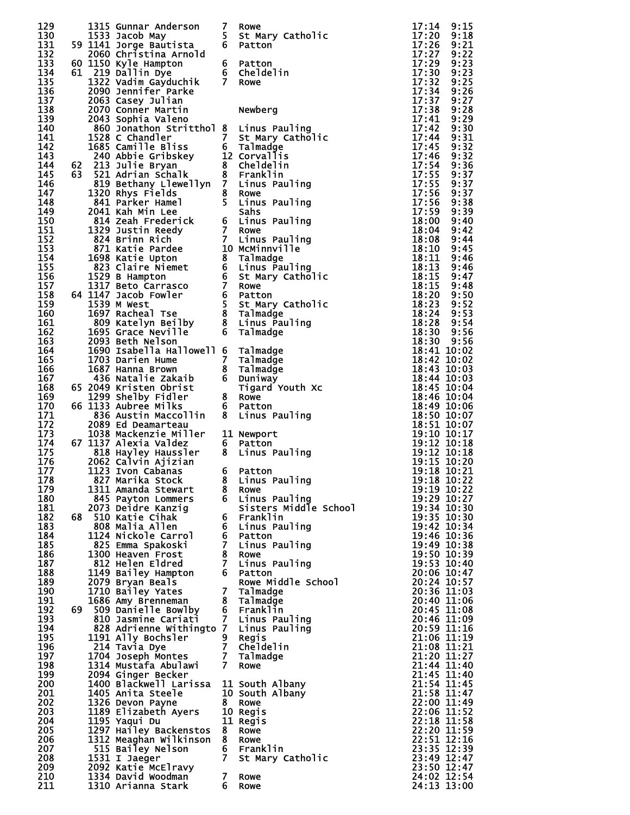| 129<br>130        |      | 1315 Gunnar Anderson<br>1533 Jacob May                                                                                                                                                                                                                   | 7<br>5 <sub>1</sub> | Rowe<br>St Mary Catholic                 | 17:14<br>17:20                 | 9:15<br>9:18         |
|-------------------|------|----------------------------------------------------------------------------------------------------------------------------------------------------------------------------------------------------------------------------------------------------------|---------------------|------------------------------------------|--------------------------------|----------------------|
| 131<br>132        |      | 59 1141 Jorge Bautista<br>2060 Christina Arnold                                                                                                                                                                                                          | 6                   | Patton                                   | 17:26<br>17:27                 | 9:21<br>9:22         |
| 133<br>134        |      | 60 1150 Kyle Hampton<br>61 219 Dallin Dye                                                                                                                                                                                                                |                     | 6 Patton<br>6 Cheldelin                  | 17:29<br>17:30                 | 9:23<br>9:23         |
| 135<br>136<br>137 |      | 1322 Vadim Gayduchik<br>2090 Jennifer Parke                                                                                                                                                                                                              | 7 <sup>7</sup>      | Rowe                                     | 17:32<br>17:34<br>17:37        | 9:25<br>9:26<br>9:27 |
| 138<br>139        |      | 2063 Casey Julian<br>2070 Conner Martin<br>2043 Sophia Valeno                                                                                                                                                                                            |                     | Newberg                                  | 17:38<br>17:41                 | 9:28<br>9:29         |
| 140<br>141        |      | 860 Jonathon Stritthol 8 Linus Pauling<br>1528 C Chandler                                                                                                                                                                                                |                     |                                          | 17:42<br>17:44                 | 9:30<br>9:31         |
| 142<br>143        |      |                                                                                                                                                                                                                                                          |                     | 7 St Mary Catholic<br>6 Talmadge         | 17:45<br>17:46                 | 9:32<br>9:32         |
| 144               | 62   | 1685 Camille Bliss<br>240 Abbie Gribskey<br>213 Julie Bryan<br>521 Adrian Schalk<br>521 Adrian Schalk<br>8 Tranklin<br>839 Bethany Llewellyn<br>7 Linus Pauling<br>839 Bethany Llewellyn<br>8 Cheldelin<br>8 Cheldelin<br>8 Cheldelin<br>8 Cheldelin<br> |                     |                                          | 17:54                          | 9:36                 |
| 145<br>146        | 63   |                                                                                                                                                                                                                                                          |                     |                                          | 17:55<br>17:55                 | 9:37<br>9:37         |
| 147<br>148        |      | 819 Bethany Llewellyn 7 Linus Pauling<br>1320 Rhys Fields 8 Rowe<br>841 Parker Hamel 5 Linus Pauling<br>2041 Kah Min Lee Sahs<br>814 Zeah Frederick 6 Linus Pauling<br>1329 Justin Reedy 7 Rowe<br>824 Brinn Rich 7 Linus Pauling<br>871 Kat             |                     |                                          | 17:56<br>17:56                 | 9:37<br>9:38         |
| 149<br>150        |      |                                                                                                                                                                                                                                                          |                     |                                          | 17:59<br>18:00                 | 9:39<br>9:40         |
| 151<br>152        |      |                                                                                                                                                                                                                                                          |                     |                                          | 18:04<br>18:08                 | 9:42<br>9:44         |
| 153<br>154        |      |                                                                                                                                                                                                                                                          |                     |                                          | 18:10<br>18:11                 | 9:45<br>9:46         |
| 155               |      |                                                                                                                                                                                                                                                          |                     |                                          | 18:13                          | 9:46                 |
| 156<br>157        |      |                                                                                                                                                                                                                                                          |                     |                                          | 18:15<br>18:15                 | 9:47<br>9:48         |
| 158<br>159        |      |                                                                                                                                                                                                                                                          |                     |                                          | 18:20<br>18:23                 | 9:50<br>9:52         |
| 160<br>161        |      |                                                                                                                                                                                                                                                          |                     |                                          | 18:24<br>18:28 9:54            | 9:53                 |
| 162<br>163        |      | 2093 Beth Nelson                                                                                                                                                                                                                                         |                     |                                          | 18:30<br>18:30                 | 9:56<br>9:56         |
| 164<br>165        |      | 1690 Isabella Hallowell 6 Talmadge<br>$\overline{z}$<br>1703 Darien Hume                                                                                                                                                                                 |                     | Talmadge                                 | 18:41 10:02<br>18:42 10:02     |                      |
| 166               |      |                                                                                                                                                                                                                                                          |                     | 8 Talmadge                               | 18:43 10:03                    |                      |
| 167<br>168        |      | <b>1687 Hanna Brown<br/>436 Natalie Zakaib<br/>65 2049 Kristen Obrist<br/>1299 Shelby Fidler</b>                                                                                                                                                         |                     | 6 Duniway<br>Tigard Youth Xc             | 18:44 10:03<br>18:45 10:04     |                      |
| 169<br>170        |      | 66 1133 Aubree Milks                                                                                                                                                                                                                                     |                     | 8 Rowe<br>6 Patton                       | 18:46 10:04<br>18:49 10:06     |                      |
| 171<br>172        |      | 836 Austin Maccollin<br>2089 Ed Deamarteau                                                                                                                                                                                                               |                     | 8 Linus Pauling                          | 18:50 10:07<br>18:51 10:07     |                      |
| 173<br>174        |      | 1038 Mackenzie Miller<br>67 1137 Alexia Valdez                                                                                                                                                                                                           |                     | 11 Newport<br>6 Patton                   | 19:10 10:17<br>$19:12$ 10:18   |                      |
| 175<br>176        |      | ---, cisara valdez<br>818 Hayley Haussler<br>062 Calvin 115                                                                                                                                                                                              |                     | 8 Linus Pauling                          | $19:12$ $10:18$<br>19:15 10:20 |                      |
| 177               |      | 2062 Calvin Ajizian<br>1123 Ivon Cabanas                                                                                                                                                                                                                 | 6                   | Patton                                   | 19:18 10:21                    |                      |
| 178<br>179        |      | 827 Marika Stock<br>1311 Amanda Stewart                                                                                                                                                                                                                  |                     | 8 Linus Pauling<br>8 Rowe                | 19:18 10:22<br>19:19 10:22     |                      |
| 180<br>181        |      | 845 Payton Lommers<br>2073 Deidre Kanzig                                                                                                                                                                                                                 |                     | 6 Linus Pauling<br>Sisters Middle School | 19:29 10:27<br>19:34 10:30     |                      |
| 182<br>183        | 68 - | 510 Katie Cihak<br>808 Malia Allen                                                                                                                                                                                                                       |                     | 6 Franklin<br>6 Linus Pauling            | 19:35 10:30<br>19:42 10:34     |                      |
| 184<br>185        |      | 1124 Nickole Carrol<br>825 Emma Spakoski                                                                                                                                                                                                                 |                     | 6 Patton<br>7 Linus Pauling              | 19:46 10:36<br>19:49 10:38     |                      |
| 186               |      | 1300 Heaven Frost                                                                                                                                                                                                                                        |                     | 8 Rowe                                   | 19:50 10:39                    |                      |
| 187<br>188        |      | 812 Helen Eldred<br>1149 Bailey Hampton                                                                                                                                                                                                                  | 7 <sup>7</sup>      | Linus Pauling<br>6 Patton                | 19:53 10:40<br>20:06 10:47     |                      |
| 189<br>190        |      | 2079 Bryan Beals<br>1710 Bailey Yates                                                                                                                                                                                                                    |                     | Rowe Middle School<br>7 Talmadge         | 20:24 10:57<br>20:36 11:03     |                      |
| 191<br>192        | 69 - | 1686 Amy Brenneman<br>509 Danielle Bowlby                                                                                                                                                                                                                |                     | 8 Talmadge<br>6 Franklin                 | 20:40 11:06<br>20:45 11:08     |                      |
| 193<br>194        |      | 810 Jasmine Cariati<br>828 Adrienne Withingto 7 Linus Pauling                                                                                                                                                                                            | 7 <sup>7</sup>      | Linus Pauling                            | 20:46 11:09<br>20:59 11:16     |                      |
| 195<br>196        |      | 1191 Ally Bochsler<br>214 Tavia Dye                                                                                                                                                                                                                      |                     | 9 Regis<br>7 Cheldelin                   | 21:06 11:19<br>21:08 11:21     |                      |
| 197               |      | 1704 Joseph Montes                                                                                                                                                                                                                                       | 7 <sup>7</sup>      | Talmadge                                 | 21:20 11:27                    |                      |
| 198<br>199        |      | 1314 Mustafa Abulawi<br>2094 Ginger Becker                                                                                                                                                                                                               | 7 <sup>7</sup>      | Rowe                                     | 21:44 11:40<br>21:45 11:40     |                      |
| 200<br>201        |      | 1400 Blackwell Larissa<br>1405 Anita Steele                                                                                                                                                                                                              |                     | 11 South Albany<br>10 South Albany       | 21:54 11:45<br>21:58 11:47     |                      |
| 202<br>203        |      | 1326 Devon Payne<br>1189 Elizabeth Ayers                                                                                                                                                                                                                 |                     | 8 Rowe<br>10 Regis                       | 22:00 11:49<br>22:06 11:52     |                      |
| 204<br>205        |      | 1195 Yaqui Du<br>1297 Hailey Backenstos                                                                                                                                                                                                                  | 8                   | 11 Regis<br>Rowe                         | 22:18 11:58<br>22:20 11:59     |                      |
| 206<br>207        |      | 1312 Meaghan Wilkinson<br>515 Bailey Nelson                                                                                                                                                                                                              | 8                   | Rowe<br>6 Franklin                       | 22:51 12:16<br>23:35 12:39     |                      |
| 208               |      | 1531 I Jaeger                                                                                                                                                                                                                                            | 7 <sup>7</sup>      | St Mary Catholic                         | 23:49 12:47                    |                      |
| 209<br>210        |      | 2092 Katie McElravy<br>1334 David Woodman                                                                                                                                                                                                                | 7                   | Rowe                                     | 23:50 12:47<br>24:02 12:54     |                      |
| 211               |      | 1310 Arianna Stark                                                                                                                                                                                                                                       | 6                   | Rowe                                     | 24:13 13:00                    |                      |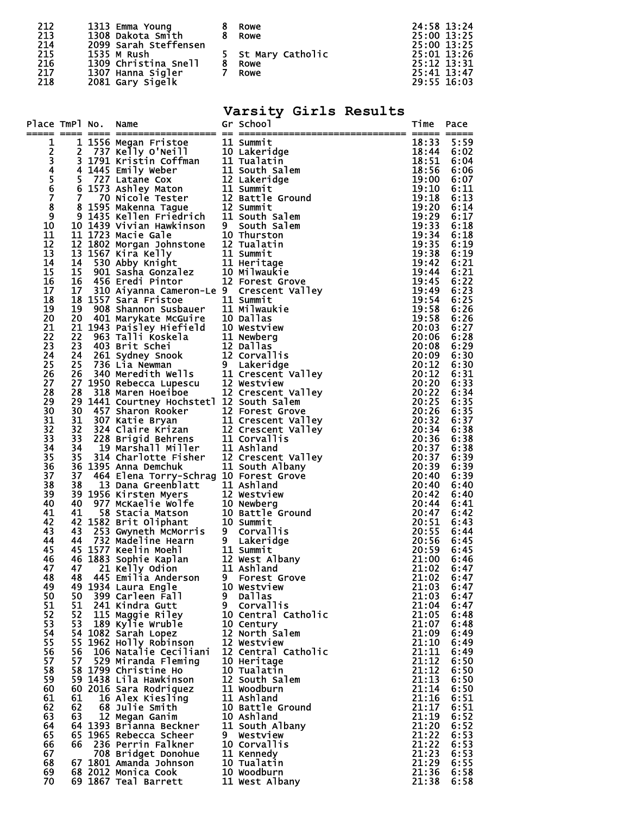| 212 | 1313 Emma Young       | Rowe               | 24:58 13:24 |
|-----|-----------------------|--------------------|-------------|
| 213 | 1308 Dakota Smith     | 8 Rowe             | 25:00 13:25 |
| 214 | 2099 Sarah Steffensen |                    | 25:00 13:25 |
| 215 | 1535 M Rush           | 5 St Mary Catholic | 25:01 13:26 |
| 216 | 1309 Christina Snell  | Rowe               | 25:12 13:31 |
| 217 | 1307 Hanna Sigler     | Rowe               | 25:41 13:47 |
| 218 | 2081 Gary Sigelk      |                    | 29:55 16:03 |

# **Varsity Girls Results**

| Place TmPl No. |          | Name                                                                                                                                                                                                                                                                                                                             |   | Gr School                      | Time           | Pace         |
|----------------|----------|----------------------------------------------------------------------------------------------------------------------------------------------------------------------------------------------------------------------------------------------------------------------------------------------------------------------------------|---|--------------------------------|----------------|--------------|
|                |          |                                                                                                                                                                                                                                                                                                                                  |   |                                | 18:33          |              |
| 1              |          |                                                                                                                                                                                                                                                                                                                                  |   |                                | 18:44          | 5:59<br>6:02 |
|                |          |                                                                                                                                                                                                                                                                                                                                  |   |                                | 18:51          | 6:04         |
|                |          |                                                                                                                                                                                                                                                                                                                                  |   |                                | 18:56          | 6:06         |
|                |          |                                                                                                                                                                                                                                                                                                                                  |   |                                | 19:00          | 6:07         |
|                |          |                                                                                                                                                                                                                                                                                                                                  |   |                                | 19:10          | 6:11         |
| 2345678        |          |                                                                                                                                                                                                                                                                                                                                  |   |                                | 19:18          | 6:13         |
| 9              |          |                                                                                                                                                                                                                                                                                                                                  |   |                                | 19:20<br>19:29 | 6:14         |
| 10             |          |                                                                                                                                                                                                                                                                                                                                  |   |                                | 19:33          | 6:17<br>6:18 |
| 11             |          | 10 1439 Vivian Hawkinson 9 South Salem<br>11 1723 Macie Gale 10 Thurston<br>11 1723 Macie Gale<br>12 1802 Morgan Johnstone<br>12 1867 Kira Kelly<br>13 1567 Kira Kelly<br>11 Summit<br>14 530 Abby Knight<br>15 901 Sasha Gonzalez<br>10 Milwaukie<br>16 456 Eredi Pintor<br>12 Forest Grove<br>16 456 Eredi Pintor<br>12 Forest |   |                                | 19:34          | 6:18         |
| 12             |          |                                                                                                                                                                                                                                                                                                                                  |   |                                | 19:35          | 6:19         |
| 13             |          |                                                                                                                                                                                                                                                                                                                                  |   |                                | 19:38          | 6:19         |
| 14             |          |                                                                                                                                                                                                                                                                                                                                  |   |                                | 19:42          | 6:21         |
| 15             |          |                                                                                                                                                                                                                                                                                                                                  |   |                                | 19:44          | 6:21         |
| 16<br>17       | 17       | 310 Aiyanna Cameron-Le 9 Crescent Valley                                                                                                                                                                                                                                                                                         |   |                                | 19:45<br>19:49 | 6:22<br>6:23 |
| 18             |          |                                                                                                                                                                                                                                                                                                                                  |   |                                | 19:54          | 6:25         |
| 19             |          |                                                                                                                                                                                                                                                                                                                                  |   |                                | 19:58          | 6:26         |
| 20             |          |                                                                                                                                                                                                                                                                                                                                  |   |                                | 19:58          | 6:26         |
| 21             |          |                                                                                                                                                                                                                                                                                                                                  |   |                                | 20:03          | 6:27         |
| 22             |          |                                                                                                                                                                                                                                                                                                                                  |   |                                | 20:06          | 6:28         |
| 23             |          |                                                                                                                                                                                                                                                                                                                                  |   |                                | 20:08          | 6:29         |
| 24<br>25       |          |                                                                                                                                                                                                                                                                                                                                  |   |                                | 20:09<br>20:12 | 6:30<br>6:30 |
| 26             |          |                                                                                                                                                                                                                                                                                                                                  |   |                                | 20:12          | 6:31         |
| 27             |          |                                                                                                                                                                                                                                                                                                                                  |   |                                | 20:20 6:33     |              |
| 28             |          | 17 310 Alyanna Cameron-Le 9 Crescent Valley<br>18 1557 Sara Fristoe 11 Summit<br>19 908 Shannon Susbauer 11 Milwaukie<br>20 401 Marykate McGuire 10 Dallas<br>21 1943 Paisley Hiefield 10 Westview<br>22 963 Talli Koskela 11 Newberg<br>2                                                                                       |   |                                | 20:22          | 6:34         |
| 29             |          | 29 1441 Courtney Hochstet1 12 South Salem                                                                                                                                                                                                                                                                                        |   |                                | 20:25          | 6:35         |
| 30             | 30       | 457 Sharon Rooker<br>457 Sharon Rooker<br>307 Katie Bryan<br>324 Claire Krizan<br>228 Brigid Behrens<br>11 Corvallis<br>19 Marshall Miller<br>314 Charlotte Fisher<br>314 Charlotte Fisher<br>12 Crescent Valley<br>314 Charlotte Fisher<br>12 Cresc                                                                             |   |                                | 20:26          | 6:35         |
| 31             | 31       |                                                                                                                                                                                                                                                                                                                                  |   |                                | 20:32          | 6:37         |
| 32<br>33       | 32<br>33 |                                                                                                                                                                                                                                                                                                                                  |   |                                | 20:34<br>20:36 | 6:38<br>6:38 |
| 34             | 34       |                                                                                                                                                                                                                                                                                                                                  |   |                                | 20:37          | 6:38         |
| 35             | 35       |                                                                                                                                                                                                                                                                                                                                  |   |                                | 20:37          | 6:39         |
| 36             |          | 36 1395 Anna Demchuk                                                                                                                                                                                                                                                                                                             |   | $\overline{11}$ South Albany   | 20:39          | 6:39         |
| 37             | 37       | 464 Elena Torry-Schrag 10 Forest Grove                                                                                                                                                                                                                                                                                           |   |                                | 20:40          | 6:39         |
| 38             |          | 37 464 Elena Torry-Schrag 10 Forest Grove<br>38 13 Dana Greenblatt 11 Ashland<br>39 1956 Kirsten Myers 12 Westview<br>40 977 McKaelie Wolfe 10 Newberg<br>41 58 Stacia Matson 10 Battle Ground<br>42 1582 Brit Oliphant 10 Summit<br>43 25                                                                                       |   |                                | 20:40          | 6:40         |
| 39<br>40       |          |                                                                                                                                                                                                                                                                                                                                  |   |                                | 20:42<br>20:44 | 6:40<br>6:41 |
| 41             |          |                                                                                                                                                                                                                                                                                                                                  |   |                                | 20:47          | 6:42         |
| 42             |          |                                                                                                                                                                                                                                                                                                                                  |   |                                | 20:51          | 6:43         |
| 43             |          |                                                                                                                                                                                                                                                                                                                                  |   |                                | 20:55          | 6:44         |
| 44             |          |                                                                                                                                                                                                                                                                                                                                  |   |                                | 20:56          | 6:45         |
| 45             |          |                                                                                                                                                                                                                                                                                                                                  |   |                                | 20:59          | 6:45         |
| 46<br>47       |          |                                                                                                                                                                                                                                                                                                                                  |   |                                | 21:00<br>21:02 | 6:46<br>6:47 |
| 48             |          |                                                                                                                                                                                                                                                                                                                                  |   |                                | 21:02          | 6:47         |
| 49             |          | 49 1934 Laura Engle                                                                                                                                                                                                                                                                                                              |   | 10 Westview                    | 21:03          | 6:47         |
| 50             | 50       | 399 Carleen Fall                                                                                                                                                                                                                                                                                                                 | 9 | Dallas                         | 21:03          | 6:47         |
| 51             | 51       | 241 Kindra Gutt                                                                                                                                                                                                                                                                                                                  |   | 9 Corvallis                    | 21:04          | 6:47         |
| 52             | 52       | 115 Maggie Riley<br>189 Kylie Wruble                                                                                                                                                                                                                                                                                             |   | 10 Central Catholic            | 21:05          | 6:48         |
| 53<br>54       | 53       |                                                                                                                                                                                                                                                                                                                                  |   | 10 Century<br>12 North Salem   | 21:07<br>21:09 | 6:48         |
| 55             |          | 54 1082 Sarah Lopez<br>55 1962 Holly Robinson                                                                                                                                                                                                                                                                                    |   | 12 Westview                    | 21:10          | 6:49<br>6:49 |
| 56             | 56       | 106 Natalie Ceciliani                                                                                                                                                                                                                                                                                                            |   | 12 Central Catholic            | 21:11          | 6:49         |
| 57             | 57       | 529 Miranda Fleming                                                                                                                                                                                                                                                                                                              |   | 10 Heritage                    | 21:12          | 6:50         |
| 58             |          | 58 1799 Christine Ho                                                                                                                                                                                                                                                                                                             |   | 10 Tualatin                    | 21:12          | 6:50         |
| 59             |          | 59 1438 Lila Hawkinson                                                                                                                                                                                                                                                                                                           |   | 12 South Salem                 | 21:13          | 6:50         |
| 60             |          | 60 2016 Sara Rodriquez                                                                                                                                                                                                                                                                                                           |   | 11 Woodburn                    | 21:14          | 6:50         |
| 61<br>62       | 61<br>62 | 16 Alex Kiesling<br>68 Julie Smith                                                                                                                                                                                                                                                                                               |   | 11 Ashland<br>10 Battle Ground | 21:16<br>21:17 | 6:51<br>6:51 |
| 63             | 63       | 12 Megan Ganim                                                                                                                                                                                                                                                                                                                   |   | 10 Ashland                     | 21:19          | 6:52         |
| 64             |          | 64 1393 Brianna Beckner                                                                                                                                                                                                                                                                                                          |   | 11 South Albany                | 21:20          | 6:52         |
| 65             |          | 65 1965 Rebecca Scheer                                                                                                                                                                                                                                                                                                           |   | 9 Westview                     | 21:22          | 6:53         |
| 66             |          | 66 236 Perrin Falkner                                                                                                                                                                                                                                                                                                            |   | 10 Corvallis                   | 21:22          | 6:53         |
| 67             |          | 708 Bridget Donohue                                                                                                                                                                                                                                                                                                              |   | 11 Kennedy                     | 21:23          | 6:53         |
| 68<br>69       |          | 67 1801 Amanda Johnson<br>68 2012 Monica Cook                                                                                                                                                                                                                                                                                    |   | 10 Tualatin<br>10 Woodburn     | 21:29<br>21:36 | 6:55<br>6:58 |
| 70             |          | 69 1867 Teal Barrett                                                                                                                                                                                                                                                                                                             |   | 11 West Albany                 | 21:38          | 6:58         |
|                |          |                                                                                                                                                                                                                                                                                                                                  |   |                                |                |              |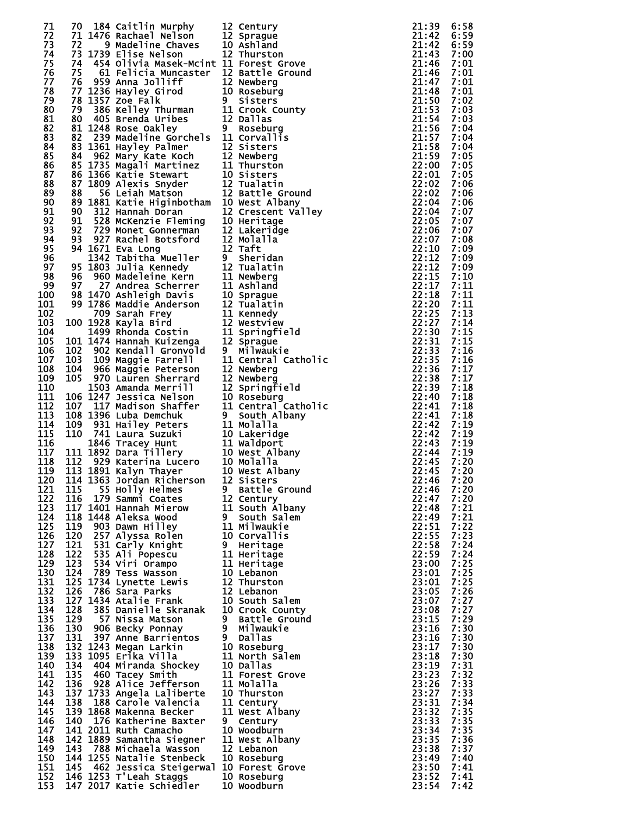| 71         | 70  | 184 Caitlin Murphy                                                                                                                                                                                                                               | 12 Century                                  | 21:39 | 6:58 |
|------------|-----|--------------------------------------------------------------------------------------------------------------------------------------------------------------------------------------------------------------------------------------------------|---------------------------------------------|-------|------|
| 72         |     |                                                                                                                                                                                                                                                  |                                             | 21:42 | 6:59 |
| 73         |     | 70 184 Caitlin Murphy 12 Century<br>71 1476 Rachael Nelson 12 Sprague<br>72 9 Madeline Chaves 10 Ashland<br>73 1739 Elise Nelson 12 Thurston                                                                                                     |                                             | 21:42 | 6:59 |
| 74         |     |                                                                                                                                                                                                                                                  |                                             | 21:43 | 7:00 |
| 75         |     | 74 454 Olivia Masek-Mcint 11 Forest Grove                                                                                                                                                                                                        |                                             | 21:46 | 7:01 |
| 76         | 75  | 61 Felicia Muncaster  12 Battle Ground                                                                                                                                                                                                           |                                             | 21:46 | 7:01 |
| 77         |     |                                                                                                                                                                                                                                                  |                                             | 21:47 | 7:01 |
| 78         |     |                                                                                                                                                                                                                                                  |                                             | 21:48 | 7:01 |
| 79         |     |                                                                                                                                                                                                                                                  |                                             | 21:50 | 7:02 |
| 80         |     |                                                                                                                                                                                                                                                  |                                             | 21:53 | 7:03 |
| 81         |     |                                                                                                                                                                                                                                                  |                                             | 21:54 | 7:03 |
| 82         |     |                                                                                                                                                                                                                                                  |                                             | 21:56 | 7:04 |
| 83         |     |                                                                                                                                                                                                                                                  |                                             | 21:57 | 7:04 |
| 84         |     |                                                                                                                                                                                                                                                  |                                             | 21:58 | 7:04 |
| 85         |     |                                                                                                                                                                                                                                                  |                                             | 21:59 | 7:05 |
| 86         |     |                                                                                                                                                                                                                                                  |                                             | 22:00 | 7:05 |
| 87         |     |                                                                                                                                                                                                                                                  |                                             | 22:01 | 7:05 |
| 88         |     | 75 61 Felicia Muncaster 12 Battle Ground<br>76 959 Anna Jolliff 12 Newberg<br>77 1236 Hayley Girod 10 Roseburg<br>78 1357 Zoe Falk 9 Sisters<br>79 386 Kelley Thurman 11 Crook County<br>80 405 Brenda Uribes 12 Dallas<br>81 1248 Rose Oa       |                                             | 22:02 | 7:06 |
| 89         |     |                                                                                                                                                                                                                                                  | 12 Battle Ground                            | 22:02 | 7:06 |
| 90         |     |                                                                                                                                                                                                                                                  |                                             | 22:04 | 7:06 |
|            |     |                                                                                                                                                                                                                                                  | <b>LU West Albany</b><br>12 Crescent Valley | 22:04 |      |
| 91         |     |                                                                                                                                                                                                                                                  |                                             |       | 7:07 |
| 92         |     |                                                                                                                                                                                                                                                  |                                             | 22:05 | 7:07 |
| 93         |     |                                                                                                                                                                                                                                                  |                                             | 22:06 | 7:07 |
| 94         |     |                                                                                                                                                                                                                                                  |                                             | 22:07 | 7:08 |
| 95         |     |                                                                                                                                                                                                                                                  |                                             | 22:10 | 7:09 |
| 96         |     |                                                                                                                                                                                                                                                  |                                             | 22:12 | 7:09 |
| 97         |     |                                                                                                                                                                                                                                                  |                                             | 22:12 | 7:09 |
| 98         |     |                                                                                                                                                                                                                                                  |                                             | 22:15 | 7:10 |
| 99         |     |                                                                                                                                                                                                                                                  |                                             | 22:17 | 7:11 |
| 100        |     | 89 1881 Katie Higinbotham 10 West Albany<br>90 312 Hannah Doran 12 Crescent Val<br>91 528 McKenzie Fleming 10 Heritage<br>92 729 Monet Gonnerman 12 Lakeridge<br>93 927 Rachel Botsford 12 Molalla<br>94 1671 Eva Long 12 Taft<br>1342 Tabitha M |                                             | 22:18 | 7:11 |
| 101        |     |                                                                                                                                                                                                                                                  |                                             | 22:20 | 7:11 |
| 102        |     |                                                                                                                                                                                                                                                  |                                             | 22:25 | 7:13 |
| 103        |     | 100 1928 Kayla Bird                                                                                                                                                                                                                              |                                             | 22:27 | 7:14 |
| 104        |     |                                                                                                                                                                                                                                                  |                                             | 22:30 | 7:15 |
| 105        |     | 101 1474 Hannah Kuizenga 12 Sprague<br>102 902 Kendall Gronvold 9 Milwauk                                                                                                                                                                        |                                             | 22:31 | 7:15 |
| 106        |     |                                                                                                                                                                                                                                                  | 9 Milwaukie                                 | 22:33 | 7:16 |
| 107        |     | 104 966 Maggie Farrell<br>104 966 Maggie Peterson<br>105 970 Lauren Sharre                                                                                                                                                                       | 11 Central Catholic                         | 22:35 | 7:16 |
| 108        |     |                                                                                                                                                                                                                                                  | 12 Newberg                                  | 22:36 | 7:17 |
| 109        |     |                                                                                                                                                                                                                                                  | 12 Newberg                                  | 22:38 | 7:17 |
| 110        |     | 970 Lauren Sherrard<br>1503 Amanda Merrill                                                                                                                                                                                                       | 12 Springfield                              | 22:39 | 7:18 |
| 111        |     |                                                                                                                                                                                                                                                  |                                             | 22:40 | 7:18 |
| 112        |     |                                                                                                                                                                                                                                                  |                                             | 22:41 | 7:18 |
| 113        |     |                                                                                                                                                                                                                                                  |                                             |       |      |
|            |     | 1503 Amanda Merrill 12 Springfield<br>106 1247 Jessica Nelson 10 Roseburg<br>107 117 Madison Shaffer 11 Central Catholic<br>108 1396 Luba Demchuk 9 South Albany<br>109 931 Hailey Peters 11 Molalla<br>110 741 Laura Suzuki 10 Lakeridge<br>184 |                                             | 22:41 | 7:18 |
| 114        |     |                                                                                                                                                                                                                                                  |                                             | 22:42 | 7:19 |
| 115        |     |                                                                                                                                                                                                                                                  |                                             | 22:42 | 7:19 |
| 116        |     |                                                                                                                                                                                                                                                  |                                             | 22:43 | 7:19 |
| 117        |     |                                                                                                                                                                                                                                                  |                                             | 22:44 | 7:19 |
| 118        |     |                                                                                                                                                                                                                                                  |                                             | 22:45 | 7:20 |
| 119        |     |                                                                                                                                                                                                                                                  |                                             | 22:45 | 7:20 |
| 120        |     | 114 1363 Jordan Richerson 12 Sisters                                                                                                                                                                                                             |                                             | 22:46 | 7:20 |
| 121        | 115 | 55 Holly Helmes                                                                                                                                                                                                                                  | 9 Battle Ground                             | 22:46 | 7:20 |
| 122        | 116 | 179 Sammi Coates                                                                                                                                                                                                                                 | 12 Century                                  | 22:47 | 7:20 |
| 123        |     | 117 1401 Hannah Mierow                                                                                                                                                                                                                           |                                             | 22:48 | 7:21 |
| 124        |     | 118 1448 Aleksa Wood                                                                                                                                                                                                                             | 11 South Albany<br>9 South Salem            | 22:49 | 7:21 |
| 125        | 119 | 903 Dawn Hilley                                                                                                                                                                                                                                  | 11 Milwaukie<br>10 Gervellis                | 22:51 | 7:22 |
| 126        | 120 | 257 Alyssa Rolen                                                                                                                                                                                                                                 | 10 Corvallis                                | 22:55 | 7:23 |
| 127        | 121 | 531 Carly Knight                                                                                                                                                                                                                                 | 9 Heritage                                  | 22:58 | 7:24 |
| 128        | 122 | 535 Ali Popescu                                                                                                                                                                                                                                  | 11 Heritage                                 | 22:59 | 7:24 |
| 129        | 123 |                                                                                                                                                                                                                                                  | 11 Heritage                                 | 23:00 | 7:25 |
| 130        | 124 | 534 Viri Orampo<br>789 Tess Wasson                                                                                                                                                                                                               | 10 Lebanon                                  | 23:01 | 7:25 |
| 131        |     | 125 1734 Lynette Lewis 12 Thurston<br>126 786 Sara Parks 12 Lebanon                                                                                                                                                                              |                                             | 23:01 | 7:25 |
| 132        | 126 | 786 Sara Parks                                                                                                                                                                                                                                   | 12 Lebanon                                  | 23:05 | 7:26 |
| 133        |     | 127 1434 Atalie Frank                                                                                                                                                                                                                            | 10 South Salem                              | 23:07 | 7:27 |
| 134        | 128 | 1434 Atalie Frank<br>385 Danielle Skranak                                                                                                                                                                                                        | 10 Crook County                             | 23:08 | 7:27 |
| 135        | 129 | 57 Nissa Matson                                                                                                                                                                                                                                  | 9 Battle Ground                             | 23:15 | 7:29 |
| 136        | 130 | 906 Becky Ponnay                                                                                                                                                                                                                                 | 9 Milwaukie                                 | 23:16 | 7:30 |
| 137        | 131 | 397 Anne Barrientos                                                                                                                                                                                                                              | 9 Dallas                                    | 23:16 | 7:30 |
| 138        |     | 132 1243 Megan Larkin                                                                                                                                                                                                                            | 10 Roseburg                                 | 23:17 | 7:30 |
| 139        |     | 133 1095 Erika Villa                                                                                                                                                                                                                             | 11 North Salem                              | 23:18 | 7:30 |
| 140        |     | 134 404 Miranda Shockey                                                                                                                                                                                                                          | 10 Dallas                                   | 23:19 | 7:31 |
| 141        | 135 | 460 Tacey Smith                                                                                                                                                                                                                                  | 11 Forest Grove                             | 23:23 | 7:32 |
| 142        |     | 136 928 Alice Jefferson                                                                                                                                                                                                                          | 11 Molalla                                  | 23:26 | 7:33 |
| 143        |     | 137 1733 Angela Laliberte                                                                                                                                                                                                                        | 10 Thurston                                 | 23:27 | 7:33 |
| 144        | 138 | 188 Carole Valencia                                                                                                                                                                                                                              | 11 Century                                  | 23:31 | 7:34 |
|            |     |                                                                                                                                                                                                                                                  |                                             |       |      |
| 145<br>146 |     | 139 1868 Makenna Becker<br>140 176 Katherine Baxter                                                                                                                                                                                              | 11 West Albany                              | 23:32 | 7:35 |
|            |     |                                                                                                                                                                                                                                                  | 9 Century                                   | 23:33 | 7:35 |
| 147        |     | 141 2011 Ruth Camacho                                                                                                                                                                                                                            | 10 Woodburn                                 | 23:34 | 7:35 |
| 148        |     | 142 1889 Samantha Siegner                                                                                                                                                                                                                        | 11 West Albany                              | 23:35 | 7:36 |
| 149        | 143 | 788 Michaela Wasson                                                                                                                                                                                                                              | 12 Lebanon                                  | 23:38 | 7:37 |
| 150        |     | 144 1255 Natalie Stenbeck                                                                                                                                                                                                                        | 10 Roseburg                                 | 23:49 | 7:40 |
| 151        |     | 145 462 Jessica Steigerwal 10 Forest Grove                                                                                                                                                                                                       |                                             | 23:50 | 7:41 |
| 152        |     | 146 1253 T'Leah Staggs                                                                                                                                                                                                                           | 10 Roseburg                                 | 23:52 | 7:41 |
| 153        |     | 147 2017 Katie Schiedler                                                                                                                                                                                                                         | 10 Woodburn                                 | 23:54 | 7:42 |

| $\frac{2}{2}$                           | Century                                |
|-----------------------------------------|----------------------------------------|
|                                         | Sprague<br>Ashland                     |
| $\frac{0}{2}$                           | Thurston                               |
| 1<br>2<br>2<br>0                        | Forest Grove<br>Battle Ground          |
|                                         | Newberg                                |
| I.                                      | Roseburg<br>Sisters                    |
|                                         | Crook County                           |
|                                         | Dallas<br>Roseburg                     |
|                                         | Corvallis<br>Sisters                   |
|                                         | Newberg                                |
|                                         | Thurston<br>Sisters                    |
|                                         | Tualatin                               |
|                                         | Battle Ground<br>West Albany           |
|                                         | Crescent<br>Valley                     |
|                                         | Heritage<br>Lakeridge                  |
|                                         | <b>Molalla</b><br>Taft                 |
|                                         | Sheridan                               |
|                                         | Tualatin<br>Newberg                    |
|                                         | Ashland                                |
|                                         | Sprague<br>Tualatin                    |
|                                         | Kennedy                                |
|                                         | Westview<br>Springfield                |
|                                         | Sprague                                |
| 12,12,210,220,202,211,10,211,212,220,11 | Milwaukie<br>Central<br>Catholio       |
|                                         | Newberg                                |
|                                         | Newberg<br>Springfield                 |
|                                         | Roseburg<br>Central Catholio           |
| I.                                      | South Albany<br>Molalla                |
| $\mathbf{1}$                            | Lakeridge                              |
| $\frac{0}{1}$                           | Waldport                               |
| $\boldsymbol{0}$<br>0.                  | west Albany<br>Molall <u>a</u>         |
| $\mathbf{0}$                            | West Albany                            |
| 2.                                      | Sisters<br><b>Battle Ground</b>        |
| $\mathbf{1}$                            | Century<br>South Al <mark>ban</mark> y |
| L                                       | South Salem                            |
| $\frac{1}{0}$                           | <b>Milwaukie</b><br>Corvallis          |
|                                         | Heritage                               |
| $\mathbf{1}$<br>1                       | Heritage<br>Heritage                   |
| $\ddot{\mathbf{0}}$                     | Lebanon                                |
| $\frac{2}{2}$                           | Thurston<br>Lebanon                    |
| 0.<br>0.                                | South Salem                            |
| I                                       | Crook County<br>Battle Ground          |
| I<br>۱                                  | <b>Milwaukie</b><br><b>Dallas</b>      |
| $\mathbf{0}$                            | Roseburg                               |
| $\mathbf{1}$<br>$\bf{0}$                | North Salem<br>Dallas                  |
| $\frac{1}{1}$                           | Forest Grove<br>Molalla                |
|                                         | Thurston                               |
| $\begin{array}{c} 0 \\ 1 \end{array}$   | Century                                |
|                                         | West Albany<br>Century                 |
| $\mathbf{0}$                            | Woodburn                               |
| $\frac{1}{2}$                           | West Albany<br>Lebanon                 |
| 0.<br>$\bf{0}$                          | Roseburg<br>Forest Grove               |
| $\mathbf{0}$                            | Roseburg                               |
| $\mathbf{0}$                            | Woodburn                               |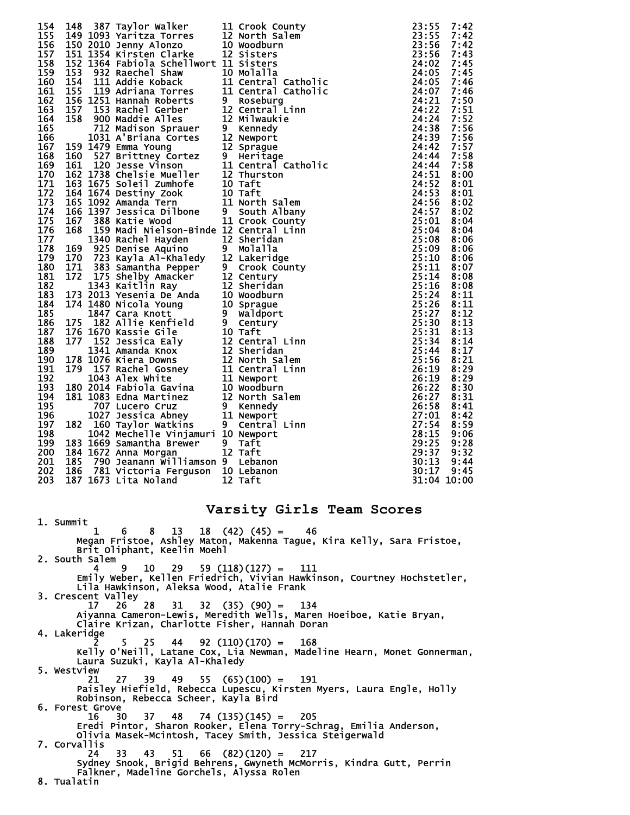| 154                                                                          |                                                                                                                                                                                                                                           |             |
|------------------------------------------------------------------------------|-------------------------------------------------------------------------------------------------------------------------------------------------------------------------------------------------------------------------------------------|-------------|
| 155                                                                          |                                                                                                                                                                                                                                           |             |
| 156                                                                          |                                                                                                                                                                                                                                           |             |
| 157                                                                          |                                                                                                                                                                                                                                           |             |
| 158                                                                          |                                                                                                                                                                                                                                           |             |
| 159                                                                          |                                                                                                                                                                                                                                           |             |
| 160                                                                          |                                                                                                                                                                                                                                           |             |
| 161                                                                          |                                                                                                                                                                                                                                           |             |
| 162<br>163                                                                   |                                                                                                                                                                                                                                           |             |
| 164                                                                          |                                                                                                                                                                                                                                           |             |
| 165                                                                          |                                                                                                                                                                                                                                           |             |
| 166                                                                          |                                                                                                                                                                                                                                           |             |
| 167                                                                          |                                                                                                                                                                                                                                           |             |
| 168                                                                          |                                                                                                                                                                                                                                           |             |
| 169                                                                          |                                                                                                                                                                                                                                           |             |
| 170                                                                          |                                                                                                                                                                                                                                           |             |
| 171                                                                          |                                                                                                                                                                                                                                           |             |
| 172                                                                          |                                                                                                                                                                                                                                           |             |
| 173<br>174                                                                   |                                                                                                                                                                                                                                           |             |
| 175                                                                          |                                                                                                                                                                                                                                           |             |
| 176                                                                          |                                                                                                                                                                                                                                           |             |
| 177                                                                          |                                                                                                                                                                                                                                           |             |
| 178                                                                          |                                                                                                                                                                                                                                           |             |
| 179                                                                          |                                                                                                                                                                                                                                           |             |
| 180                                                                          |                                                                                                                                                                                                                                           |             |
| 181                                                                          |                                                                                                                                                                                                                                           |             |
| 182                                                                          |                                                                                                                                                                                                                                           |             |
| 183                                                                          |                                                                                                                                                                                                                                           |             |
| 184                                                                          |                                                                                                                                                                                                                                           |             |
| 185<br>186                                                                   |                                                                                                                                                                                                                                           |             |
| 187                                                                          |                                                                                                                                                                                                                                           |             |
| 188                                                                          |                                                                                                                                                                                                                                           |             |
| 189                                                                          |                                                                                                                                                                                                                                           |             |
| 190                                                                          |                                                                                                                                                                                                                                           |             |
| 191                                                                          |                                                                                                                                                                                                                                           |             |
| 192                                                                          |                                                                                                                                                                                                                                           |             |
| 193                                                                          |                                                                                                                                                                                                                                           |             |
| 194<br>195                                                                   |                                                                                                                                                                                                                                           |             |
| 196                                                                          |                                                                                                                                                                                                                                           |             |
| 197                                                                          |                                                                                                                                                                                                                                           |             |
| 198                                                                          |                                                                                                                                                                                                                                           |             |
| 199                                                                          |                                                                                                                                                                                                                                           |             |
| 200                                                                          |                                                                                                                                                                                                                                           |             |
| 201                                                                          |                                                                                                                                                                                                                                           |             |
| 202 186 781 victoria Ferguson 10 Lebanon<br>203 187 1673 Lita Noland 12 Taft |                                                                                                                                                                                                                                           | 30:17 9:45  |
|                                                                              | 148 387 Taylor walker<br>148 387 Taylor walker<br>149 1003 Yaritza Torrow County<br>149 1039 Yaritza Torrow Sillin († 23155 71:42<br>1513 1536 Fabrica Torrow Sillin States<br>1513 1536 Fabrica Schwarz 11 Sistems<br>1513 1536 Rachel S | 31:04 10:00 |
|                                                                              |                                                                                                                                                                                                                                           |             |
|                                                                              | Varsity Girls Team Scores                                                                                                                                                                                                                 |             |
| 1. Summit                                                                    |                                                                                                                                                                                                                                           |             |
| 1.                                                                           | $6 \t 8 \t 13 \t 18 \t (42) \t (45) = 46$                                                                                                                                                                                                 |             |
|                                                                              | Megan Fristoe, Ashley Maton, Makenna Tague, Kira Kelly, Sara Fristoe,                                                                                                                                                                     |             |
| Brit Oliphant, Keelin Moehl                                                  |                                                                                                                                                                                                                                           |             |
| 2. South Salem<br>9<br>- 29 -<br>10<br>4                                     | $59(118)(127) = 111$                                                                                                                                                                                                                      |             |
|                                                                              | Emily Weber, Kellen Friedrich, Vivian Hawkinson, Courtney Hochstetler,                                                                                                                                                                    |             |
| Lila Hawkinson, Aleksa Wood, Atalie Frank                                    |                                                                                                                                                                                                                                           |             |
| 3. Crescent Valley                                                           |                                                                                                                                                                                                                                           |             |
| 31<br>17.<br>26<br>28.                                                       | $32$ $(35)$ $(90) = 134$                                                                                                                                                                                                                  |             |
|                                                                              | Aiyanna Cameron-Lewis, Meredith Wells, Maren Hoeiboe, Katie Bryan,                                                                                                                                                                        |             |
| Claire Krizan, Charlotte Fisher, Hannah Doran                                |                                                                                                                                                                                                                                           |             |
| 4. Lakeridge<br>5                                                            |                                                                                                                                                                                                                                           |             |
| 25 —                                                                         | $44 \quad 92 \quad (110) \quad (170) = 168$<br>Kelly O'Neill, Latane Cox, Lia Newman, Madeline Hearn, Monet Gonnerman,                                                                                                                    |             |
| Laura Suzuki, Kayla Al-Khaledy                                               |                                                                                                                                                                                                                                           |             |
| 5. Westview                                                                  |                                                                                                                                                                                                                                           |             |
| 27<br>21                                                                     | $39$ 49 55 (65)(100) = 191                                                                                                                                                                                                                |             |
|                                                                              | Paisley Hiefield, Rebecca Lupescu, Kirsten Myers, Laura Engle, Holly                                                                                                                                                                      |             |
| Robinson, Rebecca Scheer, Kayla Bird                                         |                                                                                                                                                                                                                                           |             |

 6. Forest Grove 16 30 37 48 74 (135)(145) = 205 Eredi Pintor, Sharon Rooker, Elena Torry-Schrag, Emilia Anderson, Olivia Masek-Mcintosh, Tacey Smith, Jessica Steigerwald 7. Corvallis 24 33 43 51 66 (82)(120) = 217 Sydney Snook, Brigid Behrens, Gwyneth McMorris, Kindra Gutt, Perrin Falkner, Madeline Gorchels, Alyssa Rolen 8. Tualatin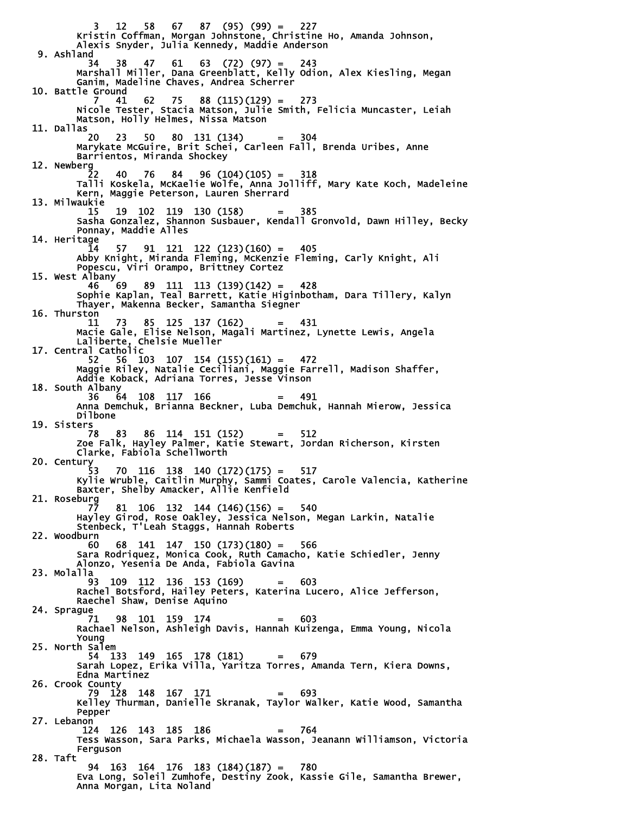3 12 58 67 87 (95) (99) = 227 Kristin Coffman, Morgan Johnstone, Christine Ho, Amanda Johnson, Alexis Snyder, Julia Kennedy, Maddie Anderson 9. Ashland<br>34 34 38 47 61 63 (72) (97) = 243 Marshall Miller, Dana Greenblatt, Kelly Odion, Alex Kiesling, Megan Ganim, Madeline Chaves, Andrea Scherrer 10. Battle Ground 7 41 62 75 88 (115)(129) = 273 Nicole Tester, Stacia Matson, Julie Smith, Felicia Muncaster, Leiah Matson, Holly Helmes, Nissa Matson 11. Dallas 20 23 50 80 131 (134) = 304 Marykate McGuire, Brit Schei, Carleen Fall, Brenda Uribes, Anne Barrientos, Miranda Shockey 12. Newberg 22 40 76 84 96 (104)(105) = 318 Talli Koskela, McKaelie Wolfe, Anna Jolliff, Mary Kate Koch, Madeleine Kern, Maggie Peterson, Lauren Sherrard 13. Milwaukie 15 19 102 119 130 (158) = 385 Sasha Gonzalez, Shannon Susbauer, Kendall Gronvold, Dawn Hilley, Becky Ponnay, Maddie Alles 14. Heritage  $91$  121 122 (123)(160) = 405 Abby Knight, Miranda Fleming, McKenzie Fleming, Carly Knight, Ali Popescu, Viri Orampo, Brittney Cortez 15. West Albany<br>46 69 46 69 89 111 113 (139)(142) = 428 Sophie Kaplan, Teal Barrett, Katie Higinbotham, Dara Tillery, Kalyn Thayer, Makenna Becker, Samantha Siegner 16. Thurston 11 73 85 125 137 (162) = 431 Macie Gale, Elise Nelson, Magali Martinez, Lynette Lewis, Angela Laliberte, Chelsie Mueller 17. Central Catholic 52 56 103 107 154 (155)(161) = 472 Maggie Riley, Natalie Ceciliani, Maggie Farrell, Madison Shaffer, Addie Koback, Adriana Torres, Jesse Vinson 18. South Albany 36 64 108 117 166 = 491 Anna Demchuk, Brianna Beckner, Luba Demchuk, Hannah Mierow, Jessica Dilbone 19. Sisters 78 83 86 114 151 (152) = 512 Zoe Falk, Hayley Palmer, Katie Stewart, Jordan Richerson, Kirsten Clarke, Fabiola Schellworth 20. Century<br>53 53 70 116 138 140 (172)(175) = 517 Kylie Wruble, Caitlin Murphy, Sammi Coates, Carole Valencia, Katherine Baxter, Shelby Amacker, Allie Kenfield 21. Roseburg 81 106 132 144 (146)(156) = 540 Hayley Girod, Rose Oakley, Jessica Nelson, Megan Larkin, Natalie Stenbeck, T'Leah Staggs, Hannah Roberts 22. Woodburn 60 68 141 147 150 (173)(180) = 566 Sara Rodriquez, Monica Cook, Ruth Camacho, Katie Schiedler, Jenny Alonzo, Yesenia De Anda, Fabiola Gavina 23. Molalla 93 109 112 136 153 (169) = 603 Rachel Botsford, Hailey Peters, Katerina Lucero, Alice Jefferson, Raechel Shaw, Denise Aquino 24. Sprague 71 98 101 159 174 = 603 Rachael Nelson, Ashleigh Davis, Hannah Kuizenga, Emma Young, Nicola Young 25. North Salem 54 133 149 165 178 (181) = 679 Sarah Lopez, Erika Villa, Yaritza Torres, Amanda Tern, Kiera Downs, Edna Martinez 26. Crook County 79 128 148 167 171 = 693 Kelley Thurman, Danielle Skranak, Taylor Walker, Katie Wood, Samantha Pepper 27. Lebanon 124 126 143 185 186 = 764 Tess Wasson, Sara Parks, Michaela Wasson, Jeanann Williamson, Victoria Ferguson 28. Taft 94 163 164 176 183 (184)(187) = 780 Eva Long, Soleil Zumhofe, Destiny Zook, Kassie Gile, Samantha Brewer, Anna Morgan, Lita Noland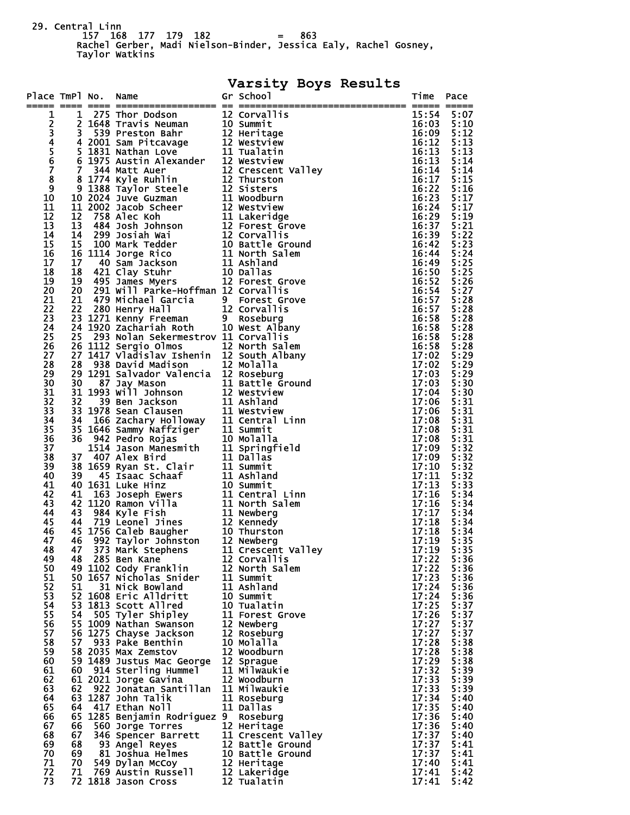29. Central Linn 157 168 177 179 182 = 863

 Rachel Gerber, Madi Nielson-Binder, Jessica Ealy, Rachel Gosney, Taylor Watkins

## **Varsity Boys Results**

| 15:54 5:07<br>1<br>23456<br>16:03 5:10<br>16:09 5:12<br>5:13<br>16:12<br>5:13<br>16:13<br>16:13<br>5:14<br>7<br>16:14<br>5:14<br>8<br>16:17<br>5:15<br>9<br>16:22<br>5:16<br>16:23<br>5:17<br>10<br>$16:24$ 5:17<br>11<br>16:29<br>5:19<br>12<br>13<br>16:37 5:21<br>16:39 5:22<br>14<br>5:23<br>15<br>16:42<br>16<br>16:44 5:24<br>5:25<br>17<br>16:49<br>18<br>16:50 5:25<br>19<br>5:26<br>16:52<br>20<br>20<br>291 Will Parke-Hoffman 12 Corvallis<br>16:54 5:27<br>5:28<br>21<br>21 479 Michael Garcia 9 Forest Grove<br>22 280 Henry Hall 12 Corvallis<br>23 1271 Kenny Freeman 9 Roseburg<br>24 1920 Zachariah Roth 10 West Albany<br>16:57<br>22<br>16:57<br>5:28<br>23<br>16:58<br>5:28<br>24<br>16:58<br>5:28<br>25 293 Nolan Sekermestrov 11 Corvallis<br>25<br>5:28<br>16:58<br>26<br>26 1112 Sergio Olmos<br>27 1417 Vladislav Ishenin 12 South Albany<br>5:28<br>16:58<br>5:29<br>27<br>17:02<br>20 1112 South albany<br>28 938 David Madison 12 South Albany<br>28 938 David Madison 12 Nolalla<br>29 1291 Salvador Valencia 12 Roseburg<br>31 1993 Will Johnson 11 Battle Ground<br>31 1993 Will Johnson 11 Westview<br>32 39 Ben Jackson<br>5:29<br>28<br>17:02<br>17:03 5:29<br>29<br>30<br>17:03<br>5:30<br>31<br>17:04 5:30<br>32<br>17:06<br>5:31<br>33<br>5:31<br>17:06<br>34<br>17:08 5:31<br>35<br>5:31<br>17:08<br>36<br>17:08<br>5:31<br>37<br>17:09 5:32<br>38<br>17:09 5:32<br>39<br>17:10<br>5:32<br>17:11<br>5:32<br>40<br>5:33<br>41<br>17:13<br>17:16<br>42<br>5:34<br>43<br>17:16<br>5:34<br>17:17<br>5:34<br>44<br>11 Newberg<br>12 Kennedy<br>10 Thurston<br>12 Newberg<br>11 Crescent Valley<br>17:18<br>45<br>5:34<br>17:18<br>5:34<br>46<br>47<br>17:19<br>5:35<br>17:19<br>48<br>5:35<br>49<br>48<br>285 Ben Kane<br>12 Corvallis<br>5:36<br>17:22<br>50<br>17:22<br>49 1102 Cody Franklin<br>12 North Salem<br>5:36<br>17:23<br>51<br>50 1657 Nicholas Snider<br>11 Summit<br>5:36<br>52<br>17:24<br>51<br>11 Ashland<br>5:36<br>31 Nick Bowland<br>53<br>17:24<br>52 1608 Eric Alldritt<br>10 Summit<br>5:36<br>54<br>17:25<br>53 1813 Scott Allred<br>5:37<br>10 Tualatin<br>55<br>17:26<br>5:37<br>54<br>505 Tyler Shipley<br>11 Forest Grove<br>17:27<br>5:37<br>56<br>55 1009 Nathan Swanson<br>12 Newberg<br>57<br>17:27<br>5:37<br>56 1275 Chayse Jackson<br>12 Roseburg<br>58<br>17:28<br>5:38<br>57<br>933 Pake Benthin<br>10 Molalla<br>59<br>17:28<br>58 2035 Max Zemstov<br>12 Woodburn<br>5:38<br>17:29<br>60<br>59 1489 Justus Mac George<br>12 Sprague<br>5:38<br>61<br>17:32<br>11 Milwaukie<br>5:39<br>60 914 Sterling Hummel<br>17:33<br>62<br>5:39<br>61 2021 Jorge Gavina<br>12 Woodburn<br>17:33<br>63<br>922 Jonatan Santillan<br>11 Milwaukie<br>5:39<br>62<br>63 1287 John Talik<br>64<br>17:34<br>11 Roseburg<br>5:40<br>17:35<br>65<br>417 Ethan Noll<br>11 Dallas<br>64<br>5:40<br>17:36<br>66<br>65 1285 Benjamin Rodriguez 9 Roseburg<br>5:40<br>12 Heritage<br>17:36<br>67<br>66<br>560 Jorge Torres<br>5:40<br>17:37<br>68<br>67<br>346 Spencer Barrett<br>11 Crescent Valley<br>5:40<br>17:37<br>69<br>68<br>12 Battle Ground<br>5:41<br>93 Angel Reyes<br>17:37<br>70<br>69<br>81 Joshua Helmes<br>10 Battle Ground<br>5:41<br>71<br>12 Heritage<br>17:40<br>70<br>549 Dylan McCoy<br>5:41<br>72<br>769 Austin Russell<br>12 Lakeridge<br>17:41<br>71<br>5:42<br>73<br>12 Tualatin<br>72 1818 Jason Cross<br>17:41<br>5:42 | Place TmPl No. Name |  |  | Gr School | Time Pace |  |
|----------------------------------------------------------------------------------------------------------------------------------------------------------------------------------------------------------------------------------------------------------------------------------------------------------------------------------------------------------------------------------------------------------------------------------------------------------------------------------------------------------------------------------------------------------------------------------------------------------------------------------------------------------------------------------------------------------------------------------------------------------------------------------------------------------------------------------------------------------------------------------------------------------------------------------------------------------------------------------------------------------------------------------------------------------------------------------------------------------------------------------------------------------------------------------------------------------------------------------------------------------------------------------------------------------------------------------------------------------------------------------------------------------------------------------------------------------------------------------------------------------------------------------------------------------------------------------------------------------------------------------------------------------------------------------------------------------------------------------------------------------------------------------------------------------------------------------------------------------------------------------------------------------------------------------------------------------------------------------------------------------------------------------------------------------------------------------------------------------------------------------------------------------------------------------------------------------------------------------------------------------------------------------------------------------------------------------------------------------------------------------------------------------------------------------------------------------------------------------------------------------------------------------------------------------------------------------------------------------------------------------------------------------------------------------------------------------------------------------------------------------------------------------------------------------------------------------------------------------------------------------------------------------------------------------------------------------------------------------------------------------------------------------------------------------------------------------------------------------------------------------------------------------------------------------------------------------------------------------------------------------------------------------------------------------------------------------------------------------------------------------------------------|---------------------|--|--|-----------|-----------|--|
|                                                                                                                                                                                                                                                                                                                                                                                                                                                                                                                                                                                                                                                                                                                                                                                                                                                                                                                                                                                                                                                                                                                                                                                                                                                                                                                                                                                                                                                                                                                                                                                                                                                                                                                                                                                                                                                                                                                                                                                                                                                                                                                                                                                                                                                                                                                                                                                                                                                                                                                                                                                                                                                                                                                                                                                                                                                                                                                                                                                                                                                                                                                                                                                                                                                                                                                                                                                                    |                     |  |  |           |           |  |
|                                                                                                                                                                                                                                                                                                                                                                                                                                                                                                                                                                                                                                                                                                                                                                                                                                                                                                                                                                                                                                                                                                                                                                                                                                                                                                                                                                                                                                                                                                                                                                                                                                                                                                                                                                                                                                                                                                                                                                                                                                                                                                                                                                                                                                                                                                                                                                                                                                                                                                                                                                                                                                                                                                                                                                                                                                                                                                                                                                                                                                                                                                                                                                                                                                                                                                                                                                                                    |                     |  |  |           |           |  |
|                                                                                                                                                                                                                                                                                                                                                                                                                                                                                                                                                                                                                                                                                                                                                                                                                                                                                                                                                                                                                                                                                                                                                                                                                                                                                                                                                                                                                                                                                                                                                                                                                                                                                                                                                                                                                                                                                                                                                                                                                                                                                                                                                                                                                                                                                                                                                                                                                                                                                                                                                                                                                                                                                                                                                                                                                                                                                                                                                                                                                                                                                                                                                                                                                                                                                                                                                                                                    |                     |  |  |           |           |  |
|                                                                                                                                                                                                                                                                                                                                                                                                                                                                                                                                                                                                                                                                                                                                                                                                                                                                                                                                                                                                                                                                                                                                                                                                                                                                                                                                                                                                                                                                                                                                                                                                                                                                                                                                                                                                                                                                                                                                                                                                                                                                                                                                                                                                                                                                                                                                                                                                                                                                                                                                                                                                                                                                                                                                                                                                                                                                                                                                                                                                                                                                                                                                                                                                                                                                                                                                                                                                    |                     |  |  |           |           |  |
|                                                                                                                                                                                                                                                                                                                                                                                                                                                                                                                                                                                                                                                                                                                                                                                                                                                                                                                                                                                                                                                                                                                                                                                                                                                                                                                                                                                                                                                                                                                                                                                                                                                                                                                                                                                                                                                                                                                                                                                                                                                                                                                                                                                                                                                                                                                                                                                                                                                                                                                                                                                                                                                                                                                                                                                                                                                                                                                                                                                                                                                                                                                                                                                                                                                                                                                                                                                                    |                     |  |  |           |           |  |
|                                                                                                                                                                                                                                                                                                                                                                                                                                                                                                                                                                                                                                                                                                                                                                                                                                                                                                                                                                                                                                                                                                                                                                                                                                                                                                                                                                                                                                                                                                                                                                                                                                                                                                                                                                                                                                                                                                                                                                                                                                                                                                                                                                                                                                                                                                                                                                                                                                                                                                                                                                                                                                                                                                                                                                                                                                                                                                                                                                                                                                                                                                                                                                                                                                                                                                                                                                                                    |                     |  |  |           |           |  |
|                                                                                                                                                                                                                                                                                                                                                                                                                                                                                                                                                                                                                                                                                                                                                                                                                                                                                                                                                                                                                                                                                                                                                                                                                                                                                                                                                                                                                                                                                                                                                                                                                                                                                                                                                                                                                                                                                                                                                                                                                                                                                                                                                                                                                                                                                                                                                                                                                                                                                                                                                                                                                                                                                                                                                                                                                                                                                                                                                                                                                                                                                                                                                                                                                                                                                                                                                                                                    |                     |  |  |           |           |  |
|                                                                                                                                                                                                                                                                                                                                                                                                                                                                                                                                                                                                                                                                                                                                                                                                                                                                                                                                                                                                                                                                                                                                                                                                                                                                                                                                                                                                                                                                                                                                                                                                                                                                                                                                                                                                                                                                                                                                                                                                                                                                                                                                                                                                                                                                                                                                                                                                                                                                                                                                                                                                                                                                                                                                                                                                                                                                                                                                                                                                                                                                                                                                                                                                                                                                                                                                                                                                    |                     |  |  |           |           |  |
|                                                                                                                                                                                                                                                                                                                                                                                                                                                                                                                                                                                                                                                                                                                                                                                                                                                                                                                                                                                                                                                                                                                                                                                                                                                                                                                                                                                                                                                                                                                                                                                                                                                                                                                                                                                                                                                                                                                                                                                                                                                                                                                                                                                                                                                                                                                                                                                                                                                                                                                                                                                                                                                                                                                                                                                                                                                                                                                                                                                                                                                                                                                                                                                                                                                                                                                                                                                                    |                     |  |  |           |           |  |
|                                                                                                                                                                                                                                                                                                                                                                                                                                                                                                                                                                                                                                                                                                                                                                                                                                                                                                                                                                                                                                                                                                                                                                                                                                                                                                                                                                                                                                                                                                                                                                                                                                                                                                                                                                                                                                                                                                                                                                                                                                                                                                                                                                                                                                                                                                                                                                                                                                                                                                                                                                                                                                                                                                                                                                                                                                                                                                                                                                                                                                                                                                                                                                                                                                                                                                                                                                                                    |                     |  |  |           |           |  |
|                                                                                                                                                                                                                                                                                                                                                                                                                                                                                                                                                                                                                                                                                                                                                                                                                                                                                                                                                                                                                                                                                                                                                                                                                                                                                                                                                                                                                                                                                                                                                                                                                                                                                                                                                                                                                                                                                                                                                                                                                                                                                                                                                                                                                                                                                                                                                                                                                                                                                                                                                                                                                                                                                                                                                                                                                                                                                                                                                                                                                                                                                                                                                                                                                                                                                                                                                                                                    |                     |  |  |           |           |  |
|                                                                                                                                                                                                                                                                                                                                                                                                                                                                                                                                                                                                                                                                                                                                                                                                                                                                                                                                                                                                                                                                                                                                                                                                                                                                                                                                                                                                                                                                                                                                                                                                                                                                                                                                                                                                                                                                                                                                                                                                                                                                                                                                                                                                                                                                                                                                                                                                                                                                                                                                                                                                                                                                                                                                                                                                                                                                                                                                                                                                                                                                                                                                                                                                                                                                                                                                                                                                    |                     |  |  |           |           |  |
|                                                                                                                                                                                                                                                                                                                                                                                                                                                                                                                                                                                                                                                                                                                                                                                                                                                                                                                                                                                                                                                                                                                                                                                                                                                                                                                                                                                                                                                                                                                                                                                                                                                                                                                                                                                                                                                                                                                                                                                                                                                                                                                                                                                                                                                                                                                                                                                                                                                                                                                                                                                                                                                                                                                                                                                                                                                                                                                                                                                                                                                                                                                                                                                                                                                                                                                                                                                                    |                     |  |  |           |           |  |
|                                                                                                                                                                                                                                                                                                                                                                                                                                                                                                                                                                                                                                                                                                                                                                                                                                                                                                                                                                                                                                                                                                                                                                                                                                                                                                                                                                                                                                                                                                                                                                                                                                                                                                                                                                                                                                                                                                                                                                                                                                                                                                                                                                                                                                                                                                                                                                                                                                                                                                                                                                                                                                                                                                                                                                                                                                                                                                                                                                                                                                                                                                                                                                                                                                                                                                                                                                                                    |                     |  |  |           |           |  |
|                                                                                                                                                                                                                                                                                                                                                                                                                                                                                                                                                                                                                                                                                                                                                                                                                                                                                                                                                                                                                                                                                                                                                                                                                                                                                                                                                                                                                                                                                                                                                                                                                                                                                                                                                                                                                                                                                                                                                                                                                                                                                                                                                                                                                                                                                                                                                                                                                                                                                                                                                                                                                                                                                                                                                                                                                                                                                                                                                                                                                                                                                                                                                                                                                                                                                                                                                                                                    |                     |  |  |           |           |  |
|                                                                                                                                                                                                                                                                                                                                                                                                                                                                                                                                                                                                                                                                                                                                                                                                                                                                                                                                                                                                                                                                                                                                                                                                                                                                                                                                                                                                                                                                                                                                                                                                                                                                                                                                                                                                                                                                                                                                                                                                                                                                                                                                                                                                                                                                                                                                                                                                                                                                                                                                                                                                                                                                                                                                                                                                                                                                                                                                                                                                                                                                                                                                                                                                                                                                                                                                                                                                    |                     |  |  |           |           |  |
|                                                                                                                                                                                                                                                                                                                                                                                                                                                                                                                                                                                                                                                                                                                                                                                                                                                                                                                                                                                                                                                                                                                                                                                                                                                                                                                                                                                                                                                                                                                                                                                                                                                                                                                                                                                                                                                                                                                                                                                                                                                                                                                                                                                                                                                                                                                                                                                                                                                                                                                                                                                                                                                                                                                                                                                                                                                                                                                                                                                                                                                                                                                                                                                                                                                                                                                                                                                                    |                     |  |  |           |           |  |
|                                                                                                                                                                                                                                                                                                                                                                                                                                                                                                                                                                                                                                                                                                                                                                                                                                                                                                                                                                                                                                                                                                                                                                                                                                                                                                                                                                                                                                                                                                                                                                                                                                                                                                                                                                                                                                                                                                                                                                                                                                                                                                                                                                                                                                                                                                                                                                                                                                                                                                                                                                                                                                                                                                                                                                                                                                                                                                                                                                                                                                                                                                                                                                                                                                                                                                                                                                                                    |                     |  |  |           |           |  |
|                                                                                                                                                                                                                                                                                                                                                                                                                                                                                                                                                                                                                                                                                                                                                                                                                                                                                                                                                                                                                                                                                                                                                                                                                                                                                                                                                                                                                                                                                                                                                                                                                                                                                                                                                                                                                                                                                                                                                                                                                                                                                                                                                                                                                                                                                                                                                                                                                                                                                                                                                                                                                                                                                                                                                                                                                                                                                                                                                                                                                                                                                                                                                                                                                                                                                                                                                                                                    |                     |  |  |           |           |  |
|                                                                                                                                                                                                                                                                                                                                                                                                                                                                                                                                                                                                                                                                                                                                                                                                                                                                                                                                                                                                                                                                                                                                                                                                                                                                                                                                                                                                                                                                                                                                                                                                                                                                                                                                                                                                                                                                                                                                                                                                                                                                                                                                                                                                                                                                                                                                                                                                                                                                                                                                                                                                                                                                                                                                                                                                                                                                                                                                                                                                                                                                                                                                                                                                                                                                                                                                                                                                    |                     |  |  |           |           |  |
|                                                                                                                                                                                                                                                                                                                                                                                                                                                                                                                                                                                                                                                                                                                                                                                                                                                                                                                                                                                                                                                                                                                                                                                                                                                                                                                                                                                                                                                                                                                                                                                                                                                                                                                                                                                                                                                                                                                                                                                                                                                                                                                                                                                                                                                                                                                                                                                                                                                                                                                                                                                                                                                                                                                                                                                                                                                                                                                                                                                                                                                                                                                                                                                                                                                                                                                                                                                                    |                     |  |  |           |           |  |
|                                                                                                                                                                                                                                                                                                                                                                                                                                                                                                                                                                                                                                                                                                                                                                                                                                                                                                                                                                                                                                                                                                                                                                                                                                                                                                                                                                                                                                                                                                                                                                                                                                                                                                                                                                                                                                                                                                                                                                                                                                                                                                                                                                                                                                                                                                                                                                                                                                                                                                                                                                                                                                                                                                                                                                                                                                                                                                                                                                                                                                                                                                                                                                                                                                                                                                                                                                                                    |                     |  |  |           |           |  |
|                                                                                                                                                                                                                                                                                                                                                                                                                                                                                                                                                                                                                                                                                                                                                                                                                                                                                                                                                                                                                                                                                                                                                                                                                                                                                                                                                                                                                                                                                                                                                                                                                                                                                                                                                                                                                                                                                                                                                                                                                                                                                                                                                                                                                                                                                                                                                                                                                                                                                                                                                                                                                                                                                                                                                                                                                                                                                                                                                                                                                                                                                                                                                                                                                                                                                                                                                                                                    |                     |  |  |           |           |  |
|                                                                                                                                                                                                                                                                                                                                                                                                                                                                                                                                                                                                                                                                                                                                                                                                                                                                                                                                                                                                                                                                                                                                                                                                                                                                                                                                                                                                                                                                                                                                                                                                                                                                                                                                                                                                                                                                                                                                                                                                                                                                                                                                                                                                                                                                                                                                                                                                                                                                                                                                                                                                                                                                                                                                                                                                                                                                                                                                                                                                                                                                                                                                                                                                                                                                                                                                                                                                    |                     |  |  |           |           |  |
|                                                                                                                                                                                                                                                                                                                                                                                                                                                                                                                                                                                                                                                                                                                                                                                                                                                                                                                                                                                                                                                                                                                                                                                                                                                                                                                                                                                                                                                                                                                                                                                                                                                                                                                                                                                                                                                                                                                                                                                                                                                                                                                                                                                                                                                                                                                                                                                                                                                                                                                                                                                                                                                                                                                                                                                                                                                                                                                                                                                                                                                                                                                                                                                                                                                                                                                                                                                                    |                     |  |  |           |           |  |
|                                                                                                                                                                                                                                                                                                                                                                                                                                                                                                                                                                                                                                                                                                                                                                                                                                                                                                                                                                                                                                                                                                                                                                                                                                                                                                                                                                                                                                                                                                                                                                                                                                                                                                                                                                                                                                                                                                                                                                                                                                                                                                                                                                                                                                                                                                                                                                                                                                                                                                                                                                                                                                                                                                                                                                                                                                                                                                                                                                                                                                                                                                                                                                                                                                                                                                                                                                                                    |                     |  |  |           |           |  |
|                                                                                                                                                                                                                                                                                                                                                                                                                                                                                                                                                                                                                                                                                                                                                                                                                                                                                                                                                                                                                                                                                                                                                                                                                                                                                                                                                                                                                                                                                                                                                                                                                                                                                                                                                                                                                                                                                                                                                                                                                                                                                                                                                                                                                                                                                                                                                                                                                                                                                                                                                                                                                                                                                                                                                                                                                                                                                                                                                                                                                                                                                                                                                                                                                                                                                                                                                                                                    |                     |  |  |           |           |  |
|                                                                                                                                                                                                                                                                                                                                                                                                                                                                                                                                                                                                                                                                                                                                                                                                                                                                                                                                                                                                                                                                                                                                                                                                                                                                                                                                                                                                                                                                                                                                                                                                                                                                                                                                                                                                                                                                                                                                                                                                                                                                                                                                                                                                                                                                                                                                                                                                                                                                                                                                                                                                                                                                                                                                                                                                                                                                                                                                                                                                                                                                                                                                                                                                                                                                                                                                                                                                    |                     |  |  |           |           |  |
|                                                                                                                                                                                                                                                                                                                                                                                                                                                                                                                                                                                                                                                                                                                                                                                                                                                                                                                                                                                                                                                                                                                                                                                                                                                                                                                                                                                                                                                                                                                                                                                                                                                                                                                                                                                                                                                                                                                                                                                                                                                                                                                                                                                                                                                                                                                                                                                                                                                                                                                                                                                                                                                                                                                                                                                                                                                                                                                                                                                                                                                                                                                                                                                                                                                                                                                                                                                                    |                     |  |  |           |           |  |
|                                                                                                                                                                                                                                                                                                                                                                                                                                                                                                                                                                                                                                                                                                                                                                                                                                                                                                                                                                                                                                                                                                                                                                                                                                                                                                                                                                                                                                                                                                                                                                                                                                                                                                                                                                                                                                                                                                                                                                                                                                                                                                                                                                                                                                                                                                                                                                                                                                                                                                                                                                                                                                                                                                                                                                                                                                                                                                                                                                                                                                                                                                                                                                                                                                                                                                                                                                                                    |                     |  |  |           |           |  |
|                                                                                                                                                                                                                                                                                                                                                                                                                                                                                                                                                                                                                                                                                                                                                                                                                                                                                                                                                                                                                                                                                                                                                                                                                                                                                                                                                                                                                                                                                                                                                                                                                                                                                                                                                                                                                                                                                                                                                                                                                                                                                                                                                                                                                                                                                                                                                                                                                                                                                                                                                                                                                                                                                                                                                                                                                                                                                                                                                                                                                                                                                                                                                                                                                                                                                                                                                                                                    |                     |  |  |           |           |  |
|                                                                                                                                                                                                                                                                                                                                                                                                                                                                                                                                                                                                                                                                                                                                                                                                                                                                                                                                                                                                                                                                                                                                                                                                                                                                                                                                                                                                                                                                                                                                                                                                                                                                                                                                                                                                                                                                                                                                                                                                                                                                                                                                                                                                                                                                                                                                                                                                                                                                                                                                                                                                                                                                                                                                                                                                                                                                                                                                                                                                                                                                                                                                                                                                                                                                                                                                                                                                    |                     |  |  |           |           |  |
|                                                                                                                                                                                                                                                                                                                                                                                                                                                                                                                                                                                                                                                                                                                                                                                                                                                                                                                                                                                                                                                                                                                                                                                                                                                                                                                                                                                                                                                                                                                                                                                                                                                                                                                                                                                                                                                                                                                                                                                                                                                                                                                                                                                                                                                                                                                                                                                                                                                                                                                                                                                                                                                                                                                                                                                                                                                                                                                                                                                                                                                                                                                                                                                                                                                                                                                                                                                                    |                     |  |  |           |           |  |
|                                                                                                                                                                                                                                                                                                                                                                                                                                                                                                                                                                                                                                                                                                                                                                                                                                                                                                                                                                                                                                                                                                                                                                                                                                                                                                                                                                                                                                                                                                                                                                                                                                                                                                                                                                                                                                                                                                                                                                                                                                                                                                                                                                                                                                                                                                                                                                                                                                                                                                                                                                                                                                                                                                                                                                                                                                                                                                                                                                                                                                                                                                                                                                                                                                                                                                                                                                                                    |                     |  |  |           |           |  |
|                                                                                                                                                                                                                                                                                                                                                                                                                                                                                                                                                                                                                                                                                                                                                                                                                                                                                                                                                                                                                                                                                                                                                                                                                                                                                                                                                                                                                                                                                                                                                                                                                                                                                                                                                                                                                                                                                                                                                                                                                                                                                                                                                                                                                                                                                                                                                                                                                                                                                                                                                                                                                                                                                                                                                                                                                                                                                                                                                                                                                                                                                                                                                                                                                                                                                                                                                                                                    |                     |  |  |           |           |  |
|                                                                                                                                                                                                                                                                                                                                                                                                                                                                                                                                                                                                                                                                                                                                                                                                                                                                                                                                                                                                                                                                                                                                                                                                                                                                                                                                                                                                                                                                                                                                                                                                                                                                                                                                                                                                                                                                                                                                                                                                                                                                                                                                                                                                                                                                                                                                                                                                                                                                                                                                                                                                                                                                                                                                                                                                                                                                                                                                                                                                                                                                                                                                                                                                                                                                                                                                                                                                    |                     |  |  |           |           |  |
|                                                                                                                                                                                                                                                                                                                                                                                                                                                                                                                                                                                                                                                                                                                                                                                                                                                                                                                                                                                                                                                                                                                                                                                                                                                                                                                                                                                                                                                                                                                                                                                                                                                                                                                                                                                                                                                                                                                                                                                                                                                                                                                                                                                                                                                                                                                                                                                                                                                                                                                                                                                                                                                                                                                                                                                                                                                                                                                                                                                                                                                                                                                                                                                                                                                                                                                                                                                                    |                     |  |  |           |           |  |
|                                                                                                                                                                                                                                                                                                                                                                                                                                                                                                                                                                                                                                                                                                                                                                                                                                                                                                                                                                                                                                                                                                                                                                                                                                                                                                                                                                                                                                                                                                                                                                                                                                                                                                                                                                                                                                                                                                                                                                                                                                                                                                                                                                                                                                                                                                                                                                                                                                                                                                                                                                                                                                                                                                                                                                                                                                                                                                                                                                                                                                                                                                                                                                                                                                                                                                                                                                                                    |                     |  |  |           |           |  |
|                                                                                                                                                                                                                                                                                                                                                                                                                                                                                                                                                                                                                                                                                                                                                                                                                                                                                                                                                                                                                                                                                                                                                                                                                                                                                                                                                                                                                                                                                                                                                                                                                                                                                                                                                                                                                                                                                                                                                                                                                                                                                                                                                                                                                                                                                                                                                                                                                                                                                                                                                                                                                                                                                                                                                                                                                                                                                                                                                                                                                                                                                                                                                                                                                                                                                                                                                                                                    |                     |  |  |           |           |  |
|                                                                                                                                                                                                                                                                                                                                                                                                                                                                                                                                                                                                                                                                                                                                                                                                                                                                                                                                                                                                                                                                                                                                                                                                                                                                                                                                                                                                                                                                                                                                                                                                                                                                                                                                                                                                                                                                                                                                                                                                                                                                                                                                                                                                                                                                                                                                                                                                                                                                                                                                                                                                                                                                                                                                                                                                                                                                                                                                                                                                                                                                                                                                                                                                                                                                                                                                                                                                    |                     |  |  |           |           |  |
|                                                                                                                                                                                                                                                                                                                                                                                                                                                                                                                                                                                                                                                                                                                                                                                                                                                                                                                                                                                                                                                                                                                                                                                                                                                                                                                                                                                                                                                                                                                                                                                                                                                                                                                                                                                                                                                                                                                                                                                                                                                                                                                                                                                                                                                                                                                                                                                                                                                                                                                                                                                                                                                                                                                                                                                                                                                                                                                                                                                                                                                                                                                                                                                                                                                                                                                                                                                                    |                     |  |  |           |           |  |
|                                                                                                                                                                                                                                                                                                                                                                                                                                                                                                                                                                                                                                                                                                                                                                                                                                                                                                                                                                                                                                                                                                                                                                                                                                                                                                                                                                                                                                                                                                                                                                                                                                                                                                                                                                                                                                                                                                                                                                                                                                                                                                                                                                                                                                                                                                                                                                                                                                                                                                                                                                                                                                                                                                                                                                                                                                                                                                                                                                                                                                                                                                                                                                                                                                                                                                                                                                                                    |                     |  |  |           |           |  |
|                                                                                                                                                                                                                                                                                                                                                                                                                                                                                                                                                                                                                                                                                                                                                                                                                                                                                                                                                                                                                                                                                                                                                                                                                                                                                                                                                                                                                                                                                                                                                                                                                                                                                                                                                                                                                                                                                                                                                                                                                                                                                                                                                                                                                                                                                                                                                                                                                                                                                                                                                                                                                                                                                                                                                                                                                                                                                                                                                                                                                                                                                                                                                                                                                                                                                                                                                                                                    |                     |  |  |           |           |  |
|                                                                                                                                                                                                                                                                                                                                                                                                                                                                                                                                                                                                                                                                                                                                                                                                                                                                                                                                                                                                                                                                                                                                                                                                                                                                                                                                                                                                                                                                                                                                                                                                                                                                                                                                                                                                                                                                                                                                                                                                                                                                                                                                                                                                                                                                                                                                                                                                                                                                                                                                                                                                                                                                                                                                                                                                                                                                                                                                                                                                                                                                                                                                                                                                                                                                                                                                                                                                    |                     |  |  |           |           |  |
|                                                                                                                                                                                                                                                                                                                                                                                                                                                                                                                                                                                                                                                                                                                                                                                                                                                                                                                                                                                                                                                                                                                                                                                                                                                                                                                                                                                                                                                                                                                                                                                                                                                                                                                                                                                                                                                                                                                                                                                                                                                                                                                                                                                                                                                                                                                                                                                                                                                                                                                                                                                                                                                                                                                                                                                                                                                                                                                                                                                                                                                                                                                                                                                                                                                                                                                                                                                                    |                     |  |  |           |           |  |
|                                                                                                                                                                                                                                                                                                                                                                                                                                                                                                                                                                                                                                                                                                                                                                                                                                                                                                                                                                                                                                                                                                                                                                                                                                                                                                                                                                                                                                                                                                                                                                                                                                                                                                                                                                                                                                                                                                                                                                                                                                                                                                                                                                                                                                                                                                                                                                                                                                                                                                                                                                                                                                                                                                                                                                                                                                                                                                                                                                                                                                                                                                                                                                                                                                                                                                                                                                                                    |                     |  |  |           |           |  |
|                                                                                                                                                                                                                                                                                                                                                                                                                                                                                                                                                                                                                                                                                                                                                                                                                                                                                                                                                                                                                                                                                                                                                                                                                                                                                                                                                                                                                                                                                                                                                                                                                                                                                                                                                                                                                                                                                                                                                                                                                                                                                                                                                                                                                                                                                                                                                                                                                                                                                                                                                                                                                                                                                                                                                                                                                                                                                                                                                                                                                                                                                                                                                                                                                                                                                                                                                                                                    |                     |  |  |           |           |  |
|                                                                                                                                                                                                                                                                                                                                                                                                                                                                                                                                                                                                                                                                                                                                                                                                                                                                                                                                                                                                                                                                                                                                                                                                                                                                                                                                                                                                                                                                                                                                                                                                                                                                                                                                                                                                                                                                                                                                                                                                                                                                                                                                                                                                                                                                                                                                                                                                                                                                                                                                                                                                                                                                                                                                                                                                                                                                                                                                                                                                                                                                                                                                                                                                                                                                                                                                                                                                    |                     |  |  |           |           |  |
|                                                                                                                                                                                                                                                                                                                                                                                                                                                                                                                                                                                                                                                                                                                                                                                                                                                                                                                                                                                                                                                                                                                                                                                                                                                                                                                                                                                                                                                                                                                                                                                                                                                                                                                                                                                                                                                                                                                                                                                                                                                                                                                                                                                                                                                                                                                                                                                                                                                                                                                                                                                                                                                                                                                                                                                                                                                                                                                                                                                                                                                                                                                                                                                                                                                                                                                                                                                                    |                     |  |  |           |           |  |
|                                                                                                                                                                                                                                                                                                                                                                                                                                                                                                                                                                                                                                                                                                                                                                                                                                                                                                                                                                                                                                                                                                                                                                                                                                                                                                                                                                                                                                                                                                                                                                                                                                                                                                                                                                                                                                                                                                                                                                                                                                                                                                                                                                                                                                                                                                                                                                                                                                                                                                                                                                                                                                                                                                                                                                                                                                                                                                                                                                                                                                                                                                                                                                                                                                                                                                                                                                                                    |                     |  |  |           |           |  |
|                                                                                                                                                                                                                                                                                                                                                                                                                                                                                                                                                                                                                                                                                                                                                                                                                                                                                                                                                                                                                                                                                                                                                                                                                                                                                                                                                                                                                                                                                                                                                                                                                                                                                                                                                                                                                                                                                                                                                                                                                                                                                                                                                                                                                                                                                                                                                                                                                                                                                                                                                                                                                                                                                                                                                                                                                                                                                                                                                                                                                                                                                                                                                                                                                                                                                                                                                                                                    |                     |  |  |           |           |  |
|                                                                                                                                                                                                                                                                                                                                                                                                                                                                                                                                                                                                                                                                                                                                                                                                                                                                                                                                                                                                                                                                                                                                                                                                                                                                                                                                                                                                                                                                                                                                                                                                                                                                                                                                                                                                                                                                                                                                                                                                                                                                                                                                                                                                                                                                                                                                                                                                                                                                                                                                                                                                                                                                                                                                                                                                                                                                                                                                                                                                                                                                                                                                                                                                                                                                                                                                                                                                    |                     |  |  |           |           |  |
|                                                                                                                                                                                                                                                                                                                                                                                                                                                                                                                                                                                                                                                                                                                                                                                                                                                                                                                                                                                                                                                                                                                                                                                                                                                                                                                                                                                                                                                                                                                                                                                                                                                                                                                                                                                                                                                                                                                                                                                                                                                                                                                                                                                                                                                                                                                                                                                                                                                                                                                                                                                                                                                                                                                                                                                                                                                                                                                                                                                                                                                                                                                                                                                                                                                                                                                                                                                                    |                     |  |  |           |           |  |
|                                                                                                                                                                                                                                                                                                                                                                                                                                                                                                                                                                                                                                                                                                                                                                                                                                                                                                                                                                                                                                                                                                                                                                                                                                                                                                                                                                                                                                                                                                                                                                                                                                                                                                                                                                                                                                                                                                                                                                                                                                                                                                                                                                                                                                                                                                                                                                                                                                                                                                                                                                                                                                                                                                                                                                                                                                                                                                                                                                                                                                                                                                                                                                                                                                                                                                                                                                                                    |                     |  |  |           |           |  |
|                                                                                                                                                                                                                                                                                                                                                                                                                                                                                                                                                                                                                                                                                                                                                                                                                                                                                                                                                                                                                                                                                                                                                                                                                                                                                                                                                                                                                                                                                                                                                                                                                                                                                                                                                                                                                                                                                                                                                                                                                                                                                                                                                                                                                                                                                                                                                                                                                                                                                                                                                                                                                                                                                                                                                                                                                                                                                                                                                                                                                                                                                                                                                                                                                                                                                                                                                                                                    |                     |  |  |           |           |  |
|                                                                                                                                                                                                                                                                                                                                                                                                                                                                                                                                                                                                                                                                                                                                                                                                                                                                                                                                                                                                                                                                                                                                                                                                                                                                                                                                                                                                                                                                                                                                                                                                                                                                                                                                                                                                                                                                                                                                                                                                                                                                                                                                                                                                                                                                                                                                                                                                                                                                                                                                                                                                                                                                                                                                                                                                                                                                                                                                                                                                                                                                                                                                                                                                                                                                                                                                                                                                    |                     |  |  |           |           |  |
|                                                                                                                                                                                                                                                                                                                                                                                                                                                                                                                                                                                                                                                                                                                                                                                                                                                                                                                                                                                                                                                                                                                                                                                                                                                                                                                                                                                                                                                                                                                                                                                                                                                                                                                                                                                                                                                                                                                                                                                                                                                                                                                                                                                                                                                                                                                                                                                                                                                                                                                                                                                                                                                                                                                                                                                                                                                                                                                                                                                                                                                                                                                                                                                                                                                                                                                                                                                                    |                     |  |  |           |           |  |
|                                                                                                                                                                                                                                                                                                                                                                                                                                                                                                                                                                                                                                                                                                                                                                                                                                                                                                                                                                                                                                                                                                                                                                                                                                                                                                                                                                                                                                                                                                                                                                                                                                                                                                                                                                                                                                                                                                                                                                                                                                                                                                                                                                                                                                                                                                                                                                                                                                                                                                                                                                                                                                                                                                                                                                                                                                                                                                                                                                                                                                                                                                                                                                                                                                                                                                                                                                                                    |                     |  |  |           |           |  |
|                                                                                                                                                                                                                                                                                                                                                                                                                                                                                                                                                                                                                                                                                                                                                                                                                                                                                                                                                                                                                                                                                                                                                                                                                                                                                                                                                                                                                                                                                                                                                                                                                                                                                                                                                                                                                                                                                                                                                                                                                                                                                                                                                                                                                                                                                                                                                                                                                                                                                                                                                                                                                                                                                                                                                                                                                                                                                                                                                                                                                                                                                                                                                                                                                                                                                                                                                                                                    |                     |  |  |           |           |  |
|                                                                                                                                                                                                                                                                                                                                                                                                                                                                                                                                                                                                                                                                                                                                                                                                                                                                                                                                                                                                                                                                                                                                                                                                                                                                                                                                                                                                                                                                                                                                                                                                                                                                                                                                                                                                                                                                                                                                                                                                                                                                                                                                                                                                                                                                                                                                                                                                                                                                                                                                                                                                                                                                                                                                                                                                                                                                                                                                                                                                                                                                                                                                                                                                                                                                                                                                                                                                    |                     |  |  |           |           |  |
|                                                                                                                                                                                                                                                                                                                                                                                                                                                                                                                                                                                                                                                                                                                                                                                                                                                                                                                                                                                                                                                                                                                                                                                                                                                                                                                                                                                                                                                                                                                                                                                                                                                                                                                                                                                                                                                                                                                                                                                                                                                                                                                                                                                                                                                                                                                                                                                                                                                                                                                                                                                                                                                                                                                                                                                                                                                                                                                                                                                                                                                                                                                                                                                                                                                                                                                                                                                                    |                     |  |  |           |           |  |
|                                                                                                                                                                                                                                                                                                                                                                                                                                                                                                                                                                                                                                                                                                                                                                                                                                                                                                                                                                                                                                                                                                                                                                                                                                                                                                                                                                                                                                                                                                                                                                                                                                                                                                                                                                                                                                                                                                                                                                                                                                                                                                                                                                                                                                                                                                                                                                                                                                                                                                                                                                                                                                                                                                                                                                                                                                                                                                                                                                                                                                                                                                                                                                                                                                                                                                                                                                                                    |                     |  |  |           |           |  |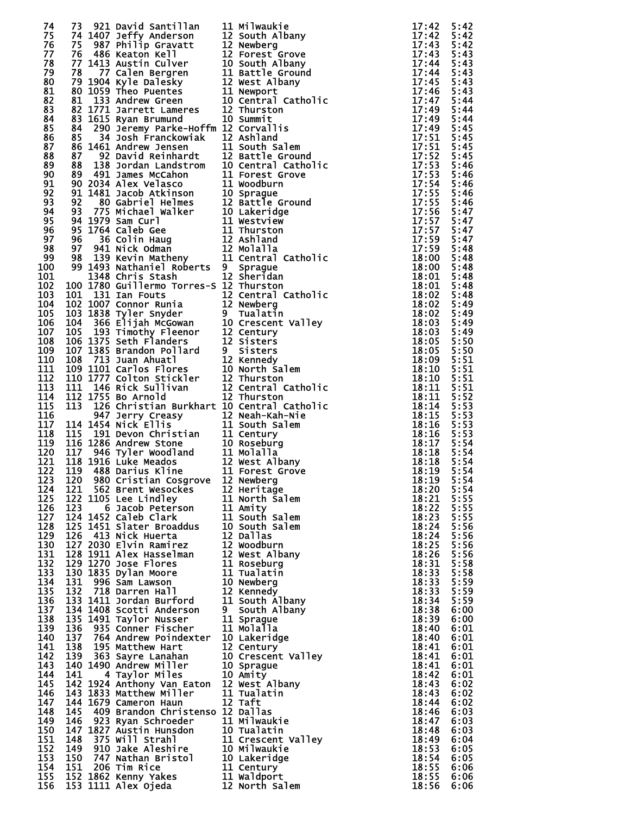| 74         |         |                                                  | 73 921 Bayis and the state of the state of the state of the state of the state of the state of the state of the state of the state of the state of the state of the state of the state of the state of the state of the state            |                |              |
|------------|---------|--------------------------------------------------|------------------------------------------------------------------------------------------------------------------------------------------------------------------------------------------------------------------------------------------|----------------|--------------|
| 75         |         |                                                  |                                                                                                                                                                                                                                          |                |              |
| 76<br>77   |         |                                                  |                                                                                                                                                                                                                                          |                |              |
| 78         |         |                                                  |                                                                                                                                                                                                                                          |                |              |
| 79         |         |                                                  |                                                                                                                                                                                                                                          |                |              |
| 80         |         |                                                  |                                                                                                                                                                                                                                          |                |              |
| 81<br>82   |         |                                                  |                                                                                                                                                                                                                                          |                |              |
| 83         |         |                                                  |                                                                                                                                                                                                                                          |                |              |
| 84         |         |                                                  |                                                                                                                                                                                                                                          |                |              |
| 85         |         |                                                  |                                                                                                                                                                                                                                          |                |              |
| 86<br>87   |         |                                                  |                                                                                                                                                                                                                                          |                |              |
| 88         |         |                                                  |                                                                                                                                                                                                                                          |                |              |
| 89         |         |                                                  |                                                                                                                                                                                                                                          |                |              |
| 90         |         |                                                  |                                                                                                                                                                                                                                          |                |              |
| 91         |         |                                                  |                                                                                                                                                                                                                                          |                |              |
| 92<br>93   |         |                                                  |                                                                                                                                                                                                                                          |                |              |
| 94         |         |                                                  |                                                                                                                                                                                                                                          |                |              |
| 95         |         |                                                  |                                                                                                                                                                                                                                          |                |              |
| 96         |         |                                                  |                                                                                                                                                                                                                                          |                |              |
| 97<br>98   |         |                                                  |                                                                                                                                                                                                                                          |                |              |
| 99         |         |                                                  |                                                                                                                                                                                                                                          |                |              |
| 100        |         |                                                  |                                                                                                                                                                                                                                          |                |              |
| 101        |         |                                                  |                                                                                                                                                                                                                                          |                |              |
| 102        |         |                                                  |                                                                                                                                                                                                                                          |                |              |
| 103        |         |                                                  |                                                                                                                                                                                                                                          |                |              |
| 104<br>105 |         |                                                  |                                                                                                                                                                                                                                          |                |              |
| 106        |         |                                                  |                                                                                                                                                                                                                                          |                |              |
| 107        |         |                                                  |                                                                                                                                                                                                                                          |                |              |
| 108        |         |                                                  |                                                                                                                                                                                                                                          |                |              |
| 109        |         |                                                  |                                                                                                                                                                                                                                          |                |              |
| 110<br>111 |         |                                                  |                                                                                                                                                                                                                                          |                |              |
| 112        |         |                                                  |                                                                                                                                                                                                                                          |                |              |
| 113        |         |                                                  |                                                                                                                                                                                                                                          |                |              |
| 114        |         |                                                  |                                                                                                                                                                                                                                          |                |              |
| 115        |         |                                                  |                                                                                                                                                                                                                                          |                |              |
| 116<br>117 |         |                                                  |                                                                                                                                                                                                                                          |                |              |
| 118        |         |                                                  |                                                                                                                                                                                                                                          |                |              |
| 119        |         |                                                  |                                                                                                                                                                                                                                          |                |              |
| 120        |         |                                                  |                                                                                                                                                                                                                                          |                |              |
| 121        |         |                                                  |                                                                                                                                                                                                                                          |                |              |
| 122        | 123 120 |                                                  |                                                                                                                                                                                                                                          |                |              |
| 124        |         |                                                  |                                                                                                                                                                                                                                          |                |              |
| 125        |         |                                                  |                                                                                                                                                                                                                                          |                |              |
| 126        |         |                                                  |                                                                                                                                                                                                                                          |                |              |
| 127        |         |                                                  |                                                                                                                                                                                                                                          |                |              |
| 128<br>129 |         |                                                  |                                                                                                                                                                                                                                          |                |              |
| 130        |         |                                                  |                                                                                                                                                                                                                                          |                |              |
| 131        |         |                                                  |                                                                                                                                                                                                                                          |                |              |
| 132        |         |                                                  |                                                                                                                                                                                                                                          |                |              |
| 133        |         |                                                  |                                                                                                                                                                                                                                          |                |              |
| 134<br>135 |         |                                                  |                                                                                                                                                                                                                                          |                |              |
| 136        |         |                                                  |                                                                                                                                                                                                                                          |                |              |
| 137        |         |                                                  |                                                                                                                                                                                                                                          |                |              |
| 138        |         |                                                  |                                                                                                                                                                                                                                          |                |              |
| 139        |         |                                                  |                                                                                                                                                                                                                                          |                |              |
| 140<br>141 | 137     | 764 Andrew Poindexter<br>138 195 Matthew Hart    | 10 Lakeridge                                                                                                                                                                                                                             | 18:40<br>18:41 | 6:01<br>6:01 |
| 142        |         | 139 363 Sayre Lanahan                            | 12 Century<br>10 Crescent Valley                                                                                                                                                                                                         | 18:41          | 6:01         |
| 143        |         | 140 1490 Andrew Miller                           | 10 Sprague                                                                                                                                                                                                                               | 18:41          | 6:01         |
| 144        | 141     | 4 Taylor Miles                                   | 10 Amity                                                                                                                                                                                                                                 | 18:42          | 6:01         |
| 145        |         | 142 1924 Anthony Van Eaton 12 West Albany        |                                                                                                                                                                                                                                          | 18:43          | 6:02         |
| 146<br>147 |         | 143 1833 Matthew Miller<br>144 1679 Cameron Haun | 11 Tualatin<br>12 Taft                                                                                                                                                                                                                   | 18:43<br>18:44 | 6:02<br>6:02 |
| 148        | 145     | 409 Brandon Christenso 12 Dallas                 |                                                                                                                                                                                                                                          | 18:46          | 6:03         |
| 149        |         |                                                  |                                                                                                                                                                                                                                          | 18:47          | 6:03         |
| 150        |         |                                                  |                                                                                                                                                                                                                                          | 18:48          | 6:03         |
| 151        |         |                                                  |                                                                                                                                                                                                                                          | 18:49          | 6:04         |
| 152<br>153 |         |                                                  |                                                                                                                                                                                                                                          | 18:53<br>18:54 | 6:05<br>6:05 |
| 154        |         |                                                  |                                                                                                                                                                                                                                          | 18:55          | 6:06         |
| 155        |         |                                                  |                                                                                                                                                                                                                                          | 18:55          | 6:06         |
| 156        |         |                                                  | 145 409 Brandon Christenso 12 Dalias<br>146 923 Ryan Schroeder 11 Milwaukie<br>147 1827 Austin Hunsdon 10 Tualatin<br>148 375 Will Strahl 11 Crescent Valley<br>149 910 Jake Aleshire 10 Milwaukie<br>150 747 Nathan Bristol 10 Lakeridg | 18:56          | 6:06         |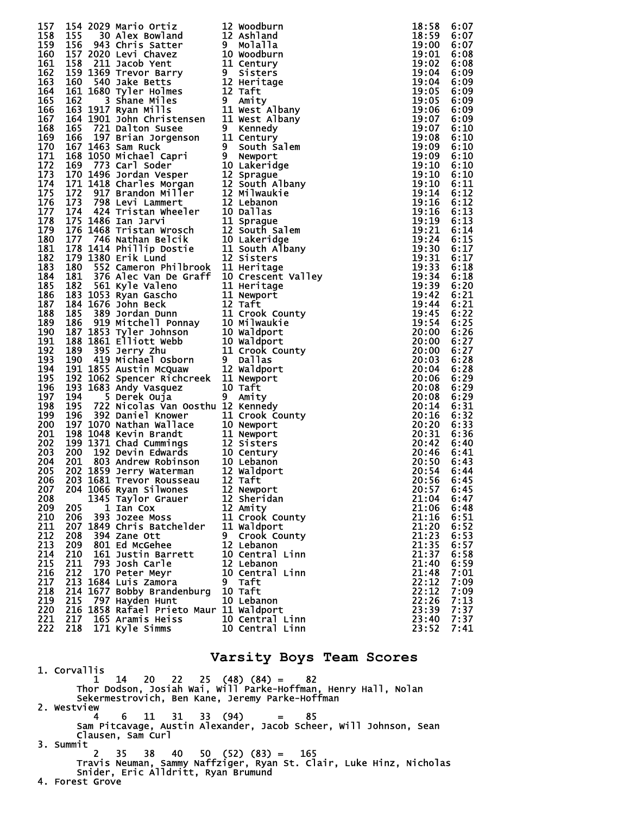| 157 |            |                                                                                                                                                                                                                                                  |                                                                                                                                                                                                                                  | 18:58 | 6:07 |
|-----|------------|--------------------------------------------------------------------------------------------------------------------------------------------------------------------------------------------------------------------------------------------------|----------------------------------------------------------------------------------------------------------------------------------------------------------------------------------------------------------------------------------|-------|------|
|     | 158        |                                                                                                                                                                                                                                                  |                                                                                                                                                                                                                                  | 18:59 | 6:07 |
|     |            | 154 2029 Mario Ortiz 12 Woodburn<br>154 2029 Mario Ortiz 12 Woodburn<br>156 3941 Chris Satter 19 Molalla<br>156 943 Chris Satter 10 Woodburn<br>157 2020 Levi Chavez 10 Woodburn<br>158 1369 Trevor Barry 19 Sistems<br>160 540 Jake Betts 12 He |                                                                                                                                                                                                                                  |       |      |
|     | 159        |                                                                                                                                                                                                                                                  |                                                                                                                                                                                                                                  | 19:00 | 6:07 |
|     | 160        |                                                                                                                                                                                                                                                  |                                                                                                                                                                                                                                  |       | 6:08 |
| 161 |            |                                                                                                                                                                                                                                                  |                                                                                                                                                                                                                                  |       | 6:08 |
|     |            |                                                                                                                                                                                                                                                  |                                                                                                                                                                                                                                  |       |      |
| 162 |            |                                                                                                                                                                                                                                                  |                                                                                                                                                                                                                                  |       | 6:09 |
| 163 |            |                                                                                                                                                                                                                                                  |                                                                                                                                                                                                                                  |       | 6:09 |
|     |            |                                                                                                                                                                                                                                                  |                                                                                                                                                                                                                                  |       |      |
|     | 164        |                                                                                                                                                                                                                                                  |                                                                                                                                                                                                                                  |       | 6:09 |
| 165 |            |                                                                                                                                                                                                                                                  |                                                                                                                                                                                                                                  |       | 6:09 |
|     | 166        |                                                                                                                                                                                                                                                  |                                                                                                                                                                                                                                  |       | 6:09 |
|     |            |                                                                                                                                                                                                                                                  |                                                                                                                                                                                                                                  |       |      |
|     | 167        |                                                                                                                                                                                                                                                  |                                                                                                                                                                                                                                  |       | 6:09 |
|     | 168        |                                                                                                                                                                                                                                                  |                                                                                                                                                                                                                                  |       | 6:10 |
|     | 169        |                                                                                                                                                                                                                                                  |                                                                                                                                                                                                                                  |       |      |
|     |            |                                                                                                                                                                                                                                                  |                                                                                                                                                                                                                                  |       | 6:10 |
|     | 170        |                                                                                                                                                                                                                                                  |                                                                                                                                                                                                                                  |       | 6:10 |
|     | 171        |                                                                                                                                                                                                                                                  |                                                                                                                                                                                                                                  |       | 6:10 |
|     |            |                                                                                                                                                                                                                                                  |                                                                                                                                                                                                                                  |       |      |
|     | 172        |                                                                                                                                                                                                                                                  |                                                                                                                                                                                                                                  |       | 6:10 |
|     | 173        |                                                                                                                                                                                                                                                  |                                                                                                                                                                                                                                  |       | 6:10 |
|     | 174        |                                                                                                                                                                                                                                                  |                                                                                                                                                                                                                                  |       | 6:11 |
|     |            |                                                                                                                                                                                                                                                  |                                                                                                                                                                                                                                  |       |      |
|     | 175        |                                                                                                                                                                                                                                                  |                                                                                                                                                                                                                                  |       | 6:12 |
|     | 176        |                                                                                                                                                                                                                                                  |                                                                                                                                                                                                                                  |       | 6:12 |
|     | 177        |                                                                                                                                                                                                                                                  |                                                                                                                                                                                                                                  |       | 6:13 |
|     |            |                                                                                                                                                                                                                                                  |                                                                                                                                                                                                                                  |       |      |
|     | 178        |                                                                                                                                                                                                                                                  |                                                                                                                                                                                                                                  |       | 6:13 |
|     | 179        |                                                                                                                                                                                                                                                  |                                                                                                                                                                                                                                  |       | 6:14 |
|     | 180        |                                                                                                                                                                                                                                                  |                                                                                                                                                                                                                                  |       | 6:15 |
|     |            |                                                                                                                                                                                                                                                  |                                                                                                                                                                                                                                  |       |      |
|     | 181        |                                                                                                                                                                                                                                                  |                                                                                                                                                                                                                                  |       | 6:17 |
| 182 |            |                                                                                                                                                                                                                                                  |                                                                                                                                                                                                                                  |       | 6:17 |
|     |            |                                                                                                                                                                                                                                                  |                                                                                                                                                                                                                                  |       |      |
|     | 183        |                                                                                                                                                                                                                                                  |                                                                                                                                                                                                                                  |       | 6:18 |
|     | 184        |                                                                                                                                                                                                                                                  |                                                                                                                                                                                                                                  |       | 6:18 |
| 185 |            |                                                                                                                                                                                                                                                  |                                                                                                                                                                                                                                  |       | 6:20 |
|     |            |                                                                                                                                                                                                                                                  |                                                                                                                                                                                                                                  |       |      |
|     | 186        |                                                                                                                                                                                                                                                  |                                                                                                                                                                                                                                  |       | 6:21 |
|     | 187        |                                                                                                                                                                                                                                                  |                                                                                                                                                                                                                                  |       | 6:21 |
|     | 188        |                                                                                                                                                                                                                                                  |                                                                                                                                                                                                                                  |       | 6:22 |
|     |            |                                                                                                                                                                                                                                                  |                                                                                                                                                                                                                                  |       |      |
|     | 189        |                                                                                                                                                                                                                                                  |                                                                                                                                                                                                                                  |       | 6:25 |
|     | 190        |                                                                                                                                                                                                                                                  |                                                                                                                                                                                                                                  |       | 6:26 |
|     | 191        |                                                                                                                                                                                                                                                  |                                                                                                                                                                                                                                  |       | 6:27 |
|     |            |                                                                                                                                                                                                                                                  |                                                                                                                                                                                                                                  |       |      |
|     | 192        |                                                                                                                                                                                                                                                  |                                                                                                                                                                                                                                  |       | 6:27 |
| 193 |            |                                                                                                                                                                                                                                                  |                                                                                                                                                                                                                                  |       | 6:28 |
|     |            |                                                                                                                                                                                                                                                  |                                                                                                                                                                                                                                  |       |      |
|     | 194        |                                                                                                                                                                                                                                                  |                                                                                                                                                                                                                                  |       | 6:28 |
| 195 |            |                                                                                                                                                                                                                                                  |                                                                                                                                                                                                                                  |       | 6:29 |
|     | 196        | 193 1683 Andy Vasquez 10 Taft<br>194 5 Derek Ouja 9 Amity                                                                                                                                                                                        |                                                                                                                                                                                                                                  |       | 6:29 |
|     |            |                                                                                                                                                                                                                                                  |                                                                                                                                                                                                                                  |       |      |
| 197 |            |                                                                                                                                                                                                                                                  | 9 Amity                                                                                                                                                                                                                          |       | 6:29 |
| 198 |            | 195 722 Nicolas Van Oosthu 12 Kennedy                                                                                                                                                                                                            |                                                                                                                                                                                                                                  |       | 6:31 |
| 199 |            |                                                                                                                                                                                                                                                  |                                                                                                                                                                                                                                  |       | 6:32 |
|     |            |                                                                                                                                                                                                                                                  |                                                                                                                                                                                                                                  |       |      |
|     | 200        |                                                                                                                                                                                                                                                  |                                                                                                                                                                                                                                  |       | 6:33 |
|     | 201        |                                                                                                                                                                                                                                                  |                                                                                                                                                                                                                                  |       | 6:36 |
|     | 202        |                                                                                                                                                                                                                                                  |                                                                                                                                                                                                                                  |       | 6:40 |
|     |            | 196 722 Nicolas van Joseph 11 Crook County<br>197 1070 Nathan Wallace 10 Newport<br>198 1048 Kevin Brandt 11 Newport<br>199 1371 Chad Cummings 12 Sisters<br>200 192 Devin Edwards 10 Century<br>201 803 Andrew Robinson 10 Lebanon<br>202 1859  | 18:59<br>19:00 19:00 19:00 19:00 19:00 19:00 19:00 19:00 19:00 19:00 19:00 19:00 19:00 19:00 19:00 19:00 19:00 19:00 19:00 19:00 19:00 19:00 19:00 19:00 19:00 19:00 19:00 19:00 19:00 19:00 19:00 19:00 19:10 19:10 19:10 19:10 |       |      |
|     | 203        |                                                                                                                                                                                                                                                  |                                                                                                                                                                                                                                  |       | 6:41 |
|     | 204        |                                                                                                                                                                                                                                                  |                                                                                                                                                                                                                                  |       | 6:43 |
| 205 |            |                                                                                                                                                                                                                                                  |                                                                                                                                                                                                                                  |       | 6:44 |
|     |            |                                                                                                                                                                                                                                                  |                                                                                                                                                                                                                                  |       |      |
|     | 206        | 203 1681 Trevor Rousseau 12 Taft                                                                                                                                                                                                                 |                                                                                                                                                                                                                                  | 20:56 | 6:45 |
|     | 207.       | 204 1066 Ryan Silwones                                                                                                                                                                                                                           | 12 Newport                                                                                                                                                                                                                       | 20:57 | 6:45 |
|     | 208        | 1345 Taylor Grauer                                                                                                                                                                                                                               | 12 Sheridan                                                                                                                                                                                                                      | 21:04 | 6:47 |
|     |            |                                                                                                                                                                                                                                                  |                                                                                                                                                                                                                                  |       |      |
|     | 205<br>209 | 1 Ian Cox                                                                                                                                                                                                                                        | 12 Amity                                                                                                                                                                                                                         | 21:06 | 6:48 |
|     | 210<br>206 | 393 Jozee Moss                                                                                                                                                                                                                                   | 11 Crook County                                                                                                                                                                                                                  | 21:16 | 6:51 |
|     | 211        | 207 1849 Chris Batchelder                                                                                                                                                                                                                        | 11 Waldport                                                                                                                                                                                                                      | 21:20 | 6:52 |
|     |            |                                                                                                                                                                                                                                                  |                                                                                                                                                                                                                                  |       |      |
|     | 212<br>208 | 394 Zane Ott                                                                                                                                                                                                                                     | 9 Crook County                                                                                                                                                                                                                   | 21:23 | 6:53 |
|     | 213<br>209 | 801 Ed McGehee                                                                                                                                                                                                                                   | 12 Lebanon                                                                                                                                                                                                                       | 21:35 | 6:57 |
|     | 214<br>210 | 161 Justin Barrett                                                                                                                                                                                                                               | 10 Central Linn                                                                                                                                                                                                                  | 21:37 | 6:58 |
|     |            |                                                                                                                                                                                                                                                  |                                                                                                                                                                                                                                  |       |      |
|     | 215<br>211 | 793 Josh Carle                                                                                                                                                                                                                                   | 12 Lebanon                                                                                                                                                                                                                       | 21:40 | 6:59 |
|     | 216<br>212 | 170 Peter Meyr                                                                                                                                                                                                                                   | 10 Central Linn                                                                                                                                                                                                                  | 21:48 | 7:01 |
|     | 217        | 213 1684 Luis Zamora                                                                                                                                                                                                                             | 9 Taft                                                                                                                                                                                                                           | 22:12 | 7:09 |
|     |            |                                                                                                                                                                                                                                                  |                                                                                                                                                                                                                                  |       |      |
| 218 |            | 214 1677 Bobby Brandenburg                                                                                                                                                                                                                       | 10 Taft                                                                                                                                                                                                                          | 22:12 | 7:09 |
|     | 219<br>215 | 797 Hayden Hunt                                                                                                                                                                                                                                  | 10 Lebanon                                                                                                                                                                                                                       | 22:26 | 7:13 |
|     | 220        | 216 1858 Rafael Prieto Maur 11 Waldport                                                                                                                                                                                                          |                                                                                                                                                                                                                                  | 23:39 | 7:37 |
|     |            |                                                                                                                                                                                                                                                  |                                                                                                                                                                                                                                  |       |      |
|     | 221        | 217 165 Aramis Heiss                                                                                                                                                                                                                             | 10 Central Linn                                                                                                                                                                                                                  | 23:40 | 7:37 |
|     | 222        | 218 171 Kyle Simms                                                                                                                                                                                                                               | 10 Central Linn                                                                                                                                                                                                                  | 23:52 | 7:41 |
|     |            |                                                                                                                                                                                                                                                  |                                                                                                                                                                                                                                  |       |      |

### **Varsity Boys Team Scores**

 1. Corvallis 1 14 20 22 25 (48) (84) = 82 Thor Dodson, Josiah Wai, Will Parke-Hoffman, Henry Hall, Nolan Sekermestrovich, Ben Kane, Jeremy Parke-Hoffman 2. Westview<br>4 4 6 11 31 33 (94) = 85 Sam Pitcavage, Austin Alexander, Jacob Scheer, Will Johnson, Sean Clausen, Sam Curl 3. Summit 2 35 38 40 50 (52) (83) = 165 Travis Neuman, Sammy Naffziger, Ryan St. Clair, Luke Hinz, Nicholas Snider, Eric Alldritt, Ryan Brumund 4. Forest Grove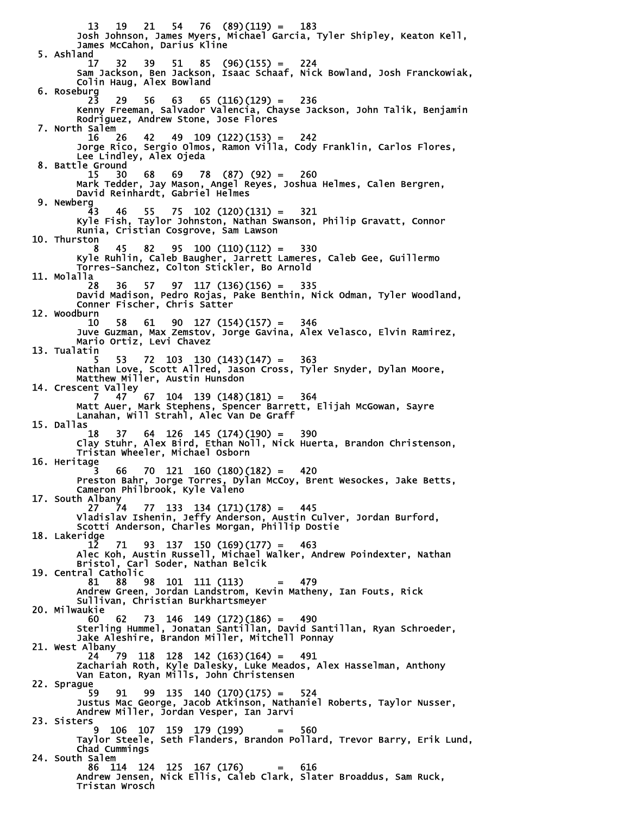13 19 21 54 76 (89)(119) = 183 Josh Johnson, James Myers, Michael Garcia, Tyler Shipley, Keaton Kell, James McCahon, Darius Kline 5. Ashland 17 32 39 51 85 (96)(155) = 224 Sam Jackson, Ben Jackson, Isaac Schaaf, Nick Bowland, Josh Franckowiak, Colin Haug, Alex Bowland 6. Roseburg 23 29 56 63 65 (116)(129) = 236 Kenny Freeman, Salvador Valencia, Chayse Jackson, John Talik, Benjamin Rodriguez, Andrew Stone, Jose Flores 7. North Salem<br>16 26 16 26 42 49 109 (122)(153) = 242 Jorge Rico, Sergio Olmos, Ramon Villa, Cody Franklin, Carlos Flores, Lee Lindley, Alex Ojeda 8. Battle Ground 15 30 68 69 78 (87) (92) = 260 Mark Tedder, Jay Mason, Angel Reyes, Joshua Helmes, Calen Bergren, David Reinhardt, Gabriel Helmes 9. Newberg 43 46 55 75 102 (120)(131) = 321 Kyle Fish, Taylor Johnston, Nathan Swanson, Philip Gravatt, Connor Runia, Cristian Cosgrove, Sam Lawson 10. Thurston 8 45 82 95 100 (110)(112) = 330 Kyle Ruhlin, Caleb Baugher, Jarrett Lameres, Caleb Gee, Guillermo Torres-Sanchez, Colton Stickler, Bo Arnold 11. Molalla 28 36 57 97 117 (136)(156) = 335 David Madison, Pedro Rojas, Pake Benthin, Nick Odman, Tyler Woodland, Conner Fischer, Chris Satter 12. Woodburn 10 58 61 90 127 (154)(157) = 346 Juve Guzman, Max Zemstov, Jorge Gavina, Alex Velasco, Elvin Ramirez, Mario Ortiz, Levi Chavez 13. Tualatin 5 53 72 103 130 (143)(147) = 363 Nathan Love, Scott Allred, Jason Cross, Tyler Snyder, Dylan Moore, Matthew Miller, Austin Hunsdon 14. Crescent Valley 7 47 67 104 139 (148)(181) = 364 Matt Auer, Mark Stephens, Spencer Barrett, Elijah McGowan, Sayre Lanahan, Will Strahl, Alec Van De Graff 15. Dallas  $64$  126 145 (174)(190) = 390 Clay Stuhr, Alex Bird, Ethan Noll, Nick Huerta, Brandon Christenson, Tristan Wheeler, Michael Osborn 16. Heritage<br>3  $66$  70 121 160 (180)(182) = 420 Preston Bahr, Jorge Torres, Dylan McCoy, Brent Wesockes, Jake Betts, Cameron Philbrook, Kyle Valeno 17. South Albany<br>27 74 27 74 77 133 134 (171)(178) = 445 Vladislav Ishenin, Jeffy Anderson, Austin Culver, Jordan Burford, Scotti Anderson, Charles Morgan, Phillip Dostie 18. Lakeridge 12 71 93 137 150 (169)(177) = 463 Alec Koh, Austin Russell, Michael Walker, Andrew Poindexter, Nathan Bristol, Carl Soder, Nathan Belcik 19. Central Catholic 81 88 98 101 111 (113) = 479 Andrew Green, Jordan Landstrom, Kevin Matheny, Ian Fouts, Rick Sullivan, Christian Burkhartsmeyer 20. Milwaukie 60 62 73 146 149 (172)(186) = 490 Sterling Hummel, Jonatan Santillan, David Santillan, Ryan Schroeder, Jake Aleshire, Brandon Miller, Mitchell Ponnay 21. West Albany 24 79 118 128 142 (163)(164) = 491 Zachariah Roth, Kyle Dalesky, Luke Meados, Alex Hasselman, Anthony Van Eaton, Ryan Mills, John Christensen 22. Sprague 59 91 99 135 140 (170)(175) = 524 Justus Mac George, Jacob Atkinson, Nathaniel Roberts, Taylor Nusser, Andrew Miller, Jordan Vesper, Ian Jarvi 23. Sisters 9 106 107 159 179 (199) = 560 Taylor Steele, Seth Flanders, Brandon Pollard, Trevor Barry, Erik Lund, Chad Cummings 24. South Salem 86 114 124 125 167 (176) = 616 Andrew Jensen, Nick Ellis, Caleb Clark, Slater Broaddus, Sam Ruck, Tristan Wrosch